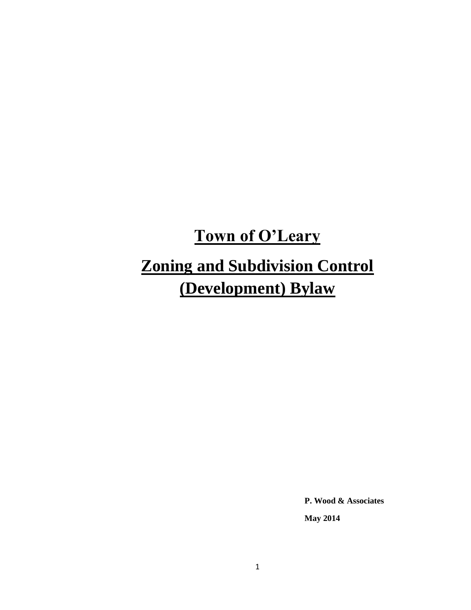# **Town of O'Leary Zoning and Subdivision Control (Development) Bylaw**

**P. Wood & Associates**

**May 2014**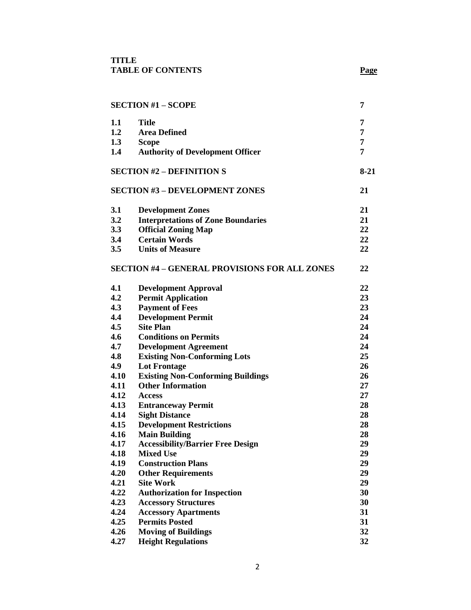| <b>SECTION #1 - SCOPE</b> |                                                      | 7        |
|---------------------------|------------------------------------------------------|----------|
| 1.1                       | <b>Title</b>                                         | 7        |
| 1.2                       | <b>Area Defined</b>                                  | 7        |
| 1.3                       | <b>Scope</b>                                         | 7        |
| 1.4                       | <b>Authority of Development Officer</b>              | 7        |
|                           | <b>SECTION #2 – DEFINITION S</b>                     | $8 - 21$ |
|                           | <b>SECTION #3 - DEVELOPMENT ZONES</b>                | 21       |
| 3.1                       | <b>Development Zones</b>                             | 21       |
| 3.2                       | <b>Interpretations of Zone Boundaries</b>            | 21       |
| 3.3                       | <b>Official Zoning Map</b>                           | 22       |
| 3.4                       | <b>Certain Words</b>                                 | 22       |
| 3.5                       | <b>Units of Measure</b>                              | 22       |
|                           | <b>SECTION #4 - GENERAL PROVISIONS FOR ALL ZONES</b> | 22       |
| 4.1                       | <b>Development Approval</b>                          | 22       |
| 4.2                       | <b>Permit Application</b>                            | 23       |
| 4.3                       | <b>Payment of Fees</b>                               | 23       |
| 4.4                       | <b>Development Permit</b>                            | 24       |
| 4.5                       | <b>Site Plan</b>                                     | 24       |
| 4.6                       | <b>Conditions on Permits</b>                         | 24       |
| 4.7                       | <b>Development Agreement</b>                         | 24       |
| 4.8                       | <b>Existing Non-Conforming Lots</b>                  | 25       |
| 4.9                       | <b>Lot Frontage</b>                                  | 26       |
| 4.10                      | <b>Existing Non-Conforming Buildings</b>             | 26       |
| 4.11                      | <b>Other Information</b>                             | 27       |
| 4.12                      | <b>Access</b>                                        | 27       |
| 4.13                      | <b>Entranceway Permit</b>                            | 28       |
| 4.14                      | <b>Sight Distance</b>                                | 28       |
| 4.15                      | <b>Development Restrictions</b>                      | 28       |
| 4.16                      | <b>Main Building</b>                                 | 28       |
| 4.17                      | <b>Accessibility/Barrier Free Design</b>             | 29       |
| 4.18                      | <b>Mixed Use</b>                                     | 29       |
| 4.19                      | <b>Construction Plans</b>                            | 29       |
| 4.20                      | <b>Other Requirements</b>                            | 29       |
| 4.21                      | <b>Site Work</b>                                     | 29       |
| 4.22                      | <b>Authorization for Inspection</b>                  | 30       |
| 4.23                      | <b>Accessory Structures</b>                          | 30       |
| 4.24                      | <b>Accessory Apartments</b>                          | 31       |
| 4.25                      | <b>Permits Posted</b>                                | 31       |
| 4.26                      | <b>Moving of Buildings</b>                           | 32       |
| 4.27                      | <b>Height Regulations</b>                            | 32       |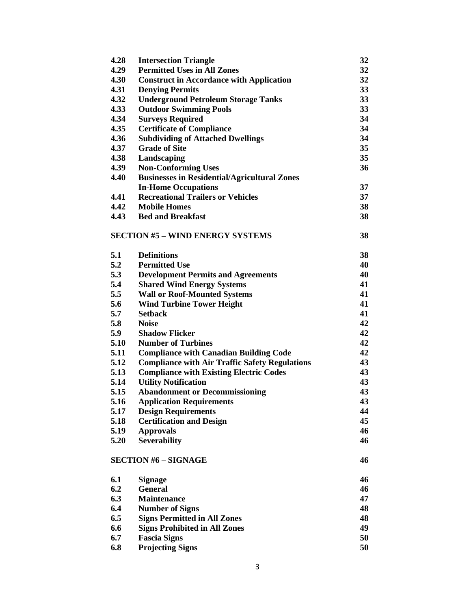| 4.28 | <b>Intersection Triangle</b>                          | 32 |
|------|-------------------------------------------------------|----|
| 4.29 | <b>Permitted Uses in All Zones</b>                    | 32 |
| 4.30 | <b>Construct in Accordance with Application</b>       | 32 |
| 4.31 | <b>Denying Permits</b>                                | 33 |
| 4.32 | <b>Underground Petroleum Storage Tanks</b>            | 33 |
| 4.33 | <b>Outdoor Swimming Pools</b>                         | 33 |
| 4.34 | <b>Surveys Required</b>                               | 34 |
| 4.35 | <b>Certificate of Compliance</b>                      | 34 |
| 4.36 | <b>Subdividing of Attached Dwellings</b>              | 34 |
| 4.37 | <b>Grade of Site</b>                                  | 35 |
| 4.38 | Landscaping                                           | 35 |
| 4.39 | <b>Non-Conforming Uses</b>                            | 36 |
| 4.40 | <b>Businesses in Residential/Agricultural Zones</b>   |    |
|      | <b>In-Home Occupations</b>                            | 37 |
| 4.41 | <b>Recreational Trailers or Vehicles</b>              | 37 |
| 4.42 | <b>Mobile Homes</b>                                   | 38 |
| 4.43 | <b>Bed and Breakfast</b>                              | 38 |
|      |                                                       |    |
|      | <b>SECTION #5 - WIND ENERGY SYSTEMS</b>               | 38 |
|      |                                                       |    |
| 5.1  | <b>Definitions</b>                                    | 38 |
| 5.2  | <b>Permitted Use</b>                                  | 40 |
| 5.3  | <b>Development Permits and Agreements</b>             | 40 |
| 5.4  | <b>Shared Wind Energy Systems</b>                     | 41 |
| 5.5  | <b>Wall or Roof-Mounted Systems</b>                   | 41 |
| 5.6  | <b>Wind Turbine Tower Height</b>                      | 41 |
| 5.7  | <b>Setback</b>                                        | 41 |
| 5.8  | <b>Noise</b>                                          | 42 |
| 5.9  | <b>Shadow Flicker</b>                                 | 42 |
| 5.10 |                                                       | 42 |
|      | <b>Number of Turbines</b>                             | 42 |
| 5.11 | <b>Compliance with Canadian Building Code</b>         |    |
| 5.12 | <b>Compliance with Air Traffic Safety Regulations</b> | 43 |
| 5.13 | <b>Compliance with Existing Electric Codes</b>        | 43 |
| 5.14 | <b>Utility Notification</b>                           | 43 |
| 5.15 | <b>Abandonment or Decommissioning</b>                 | 43 |
| 5.16 | <b>Application Requirements</b>                       | 43 |
| 5.17 | <b>Design Requirements</b>                            | 44 |
| 5.18 | <b>Certification and Design</b>                       | 45 |
| 5.19 | <b>Approvals</b>                                      | 46 |
| 5.20 | <b>Severability</b>                                   | 46 |
|      | <b>SECTION #6 - SIGNAGE</b>                           | 46 |
|      |                                                       |    |
| 6.1  | <b>Signage</b>                                        | 46 |
| 6.2  | <b>General</b>                                        | 46 |
| 6.3  | Maintenance                                           | 47 |
| 6.4  | <b>Number of Signs</b>                                | 48 |
| 6.5  | <b>Signs Permitted in All Zones</b>                   | 48 |
| 6.6  | <b>Signs Prohibited in All Zones</b>                  | 49 |
| 6.7  | <b>Fascia Signs</b>                                   | 50 |
| 6.8  | <b>Projecting Signs</b>                               | 50 |
|      |                                                       |    |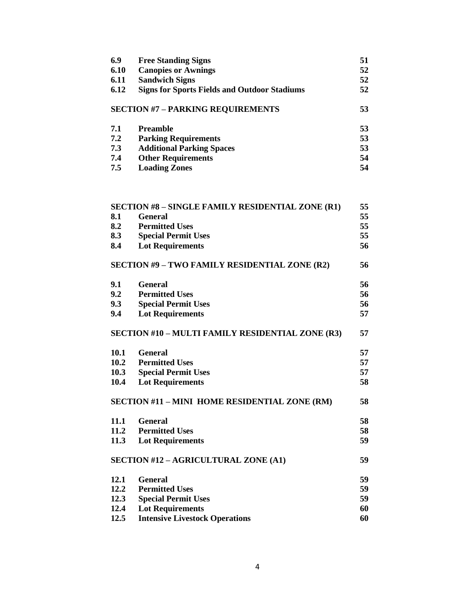| 6.9  | <b>Free Standing Signs</b>                          | 51 |
|------|-----------------------------------------------------|----|
| 6.10 | <b>Canopies or Awnings</b>                          | 52 |
| 6.11 | <b>Sandwich Signs</b>                               | 52 |
| 6.12 | <b>Signs for Sports Fields and Outdoor Stadiums</b> | 52 |
|      | <b>SECTION #7 - PARKING REQUIREMENTS</b>            | 53 |
| 7.1  | Preamble                                            | 53 |
| 7.2  | <b>Parking Requirements</b>                         | 53 |
| 7.3  | <b>Additional Parking Spaces</b>                    | 53 |
| 7.4  | <b>Other Requirements</b>                           | 54 |
| 7.5  | <b>Loading Zones</b>                                | 54 |
|      |                                                     |    |
|      |                                                     |    |

| <b>SECTION #8 - SINGLE FAMILY RESIDENTIAL ZONE (R1)</b> |                                                      | 55 |
|---------------------------------------------------------|------------------------------------------------------|----|
| 8.1                                                     | <b>General</b>                                       | 55 |
| 8.2                                                     | <b>Permitted Uses</b>                                | 55 |
| 8.3                                                     | <b>Special Permit Uses</b>                           | 55 |
| 8.4                                                     | <b>Lot Requirements</b>                              | 56 |
|                                                         | <b>SECTION #9 - TWO FAMILY RESIDENTIAL ZONE (R2)</b> | 56 |
| 9.1                                                     | <b>General</b>                                       | 56 |
| 9.2                                                     | <b>Permitted Uses</b>                                | 56 |
| 9.3                                                     | <b>Special Permit Uses</b>                           | 56 |
| 9.4                                                     | <b>Lot Requirements</b>                              | 57 |
|                                                         | SECTION #10 - MULTI FAMILY RESIDENTIAL ZONE (R3)     | 57 |
| 10.1                                                    | <b>General</b>                                       | 57 |
| 10.2                                                    | <b>Permitted Uses</b>                                | 57 |
| 10.3                                                    | <b>Special Permit Uses</b>                           | 57 |
| 10.4                                                    | <b>Lot Requirements</b>                              | 58 |
| SECTION #11 - MINI HOME RESIDENTIAL ZONE (RM)           |                                                      | 58 |
| 11.1                                                    | <b>General</b>                                       | 58 |
| 11.2                                                    | <b>Permitted Uses</b>                                | 58 |
| 11.3                                                    | <b>Lot Requirements</b>                              | 59 |
| SECTION #12 - AGRICULTURAL ZONE (A1)                    |                                                      | 59 |
| 12.1                                                    | <b>General</b>                                       | 59 |
| 12.2                                                    | <b>Permitted Uses</b>                                | 59 |
| 12.3                                                    | <b>Special Permit Uses</b>                           | 59 |
| 12.4                                                    | <b>Lot Requirements</b>                              | 60 |
| 12.5                                                    | <b>Intensive Livestock Operations</b>                | 60 |
|                                                         |                                                      |    |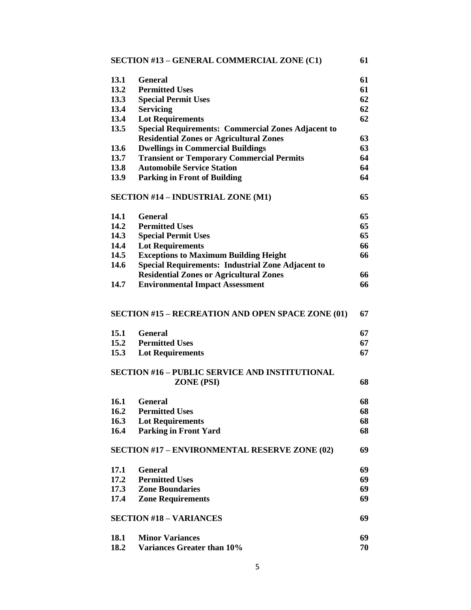|      | <b>SECTION #13 - GENERAL COMMERCIAL ZONE (C1)</b>                   | 61 |
|------|---------------------------------------------------------------------|----|
| 13.1 | <b>General</b>                                                      | 61 |
| 13.2 | <b>Permitted Uses</b>                                               | 61 |
| 13.3 | <b>Special Permit Uses</b>                                          | 62 |
| 13.4 | <b>Servicing</b>                                                    | 62 |
| 13.4 | <b>Lot Requirements</b>                                             | 62 |
| 13.5 | <b>Special Requirements: Commercial Zones Adjacent to</b>           |    |
|      | <b>Residential Zones or Agricultural Zones</b>                      | 63 |
| 13.6 | <b>Dwellings in Commercial Buildings</b>                            | 63 |
| 13.7 | <b>Transient or Temporary Commercial Permits</b>                    | 64 |
| 13.8 | <b>Automobile Service Station</b>                                   | 64 |
| 13.9 | <b>Parking in Front of Building</b>                                 | 64 |
|      | <b>SECTION #14 - INDUSTRIAL ZONE (M1)</b>                           | 65 |
| 14.1 | <b>General</b>                                                      | 65 |
| 14.2 | <b>Permitted Uses</b>                                               | 65 |
| 14.3 | <b>Special Permit Uses</b>                                          | 65 |
| 14.4 | <b>Lot Requirements</b>                                             | 66 |
| 14.5 | <b>Exceptions to Maximum Building Height</b>                        | 66 |
| 14.6 | <b>Special Requirements: Industrial Zone Adjacent to</b>            |    |
|      | <b>Residential Zones or Agricultural Zones</b>                      | 66 |
| 14.7 | <b>Environmental Impact Assessment</b>                              | 66 |
|      | <b>SECTION #15 - RECREATION AND OPEN SPACE ZONE (01)</b>            | 67 |
| 15.1 | <b>General</b>                                                      | 67 |
| 15.2 | <b>Permitted Uses</b>                                               | 67 |
| 15.3 | <b>Lot Requirements</b>                                             | 67 |
|      | <b>SECTION #16 - PUBLIC SERVICE AND INSTITUTIONAL</b><br>ZONE (PSI) | 68 |
|      | 16.1 General                                                        | 68 |
| 16.2 | <b>Permitted Uses</b>                                               | 68 |
| 16.3 | <b>Lot Requirements</b>                                             | 68 |
| 16.4 | <b>Parking in Front Yard</b>                                        | 68 |
|      | <b>SECTION #17 - ENVIRONMENTAL RESERVE ZONE (02)</b>                | 69 |
| 17.1 | <b>General</b>                                                      | 69 |
| 17.2 | <b>Permitted Uses</b>                                               | 69 |
| 17.3 | <b>Zone Boundaries</b>                                              | 69 |
| 17.4 | <b>Zone Requirements</b>                                            | 69 |
|      | <b>SECTION #18 - VARIANCES</b>                                      | 69 |
|      |                                                                     |    |
| 18.1 | <b>Minor Variances</b>                                              | 69 |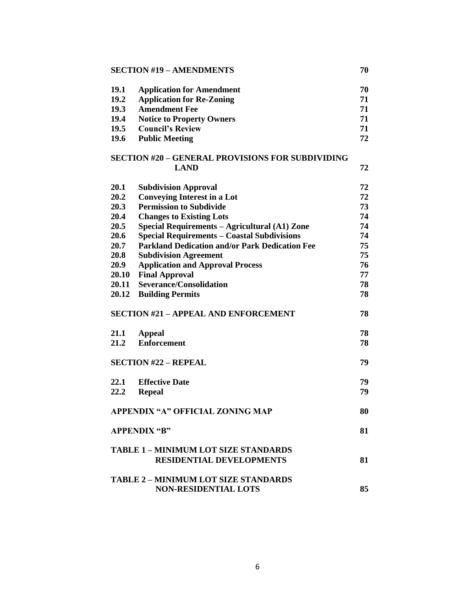## **SECTION #19 – AMENDMENTS 70**

| 19.1        | <b>Application for Amendment</b>                                             | 70 |
|-------------|------------------------------------------------------------------------------|----|
| 19.2        | <b>Application for Re-Zoning</b>                                             | 71 |
| <b>19.3</b> | <b>Amendment Fee</b>                                                         | 71 |
| 19.4        | <b>Notice to Property Owners</b>                                             | 71 |
| <b>19.5</b> | <b>Council's Review</b>                                                      | 71 |
| 19.6        | <b>Public Meeting</b>                                                        | 72 |
|             | <b>SECTION #20 - GENERAL PROVISIONS FOR SUBDIVIDING</b><br><b>LAND</b>       | 72 |
| <b>20.1</b> | <b>Subdivision Approval</b>                                                  | 72 |
| 20.2        | <b>Conveying Interest in a Lot</b>                                           | 72 |
| 20.3        | <b>Permission to Subdivide</b>                                               | 73 |
| 20.4        | <b>Changes to Existing Lots</b>                                              | 74 |
| 20.5        | Special Requirements - Agricultural (A1) Zone                                | 74 |
| 20.6        | <b>Special Requirements - Coastal Subdivisions</b>                           | 74 |
| 20.7        | <b>Parkland Dedication and/or Park Dedication Fee</b>                        | 75 |
| 20.8        | <b>Subdivision Agreement</b>                                                 | 75 |
| 20.9        | <b>Application and Approval Process</b>                                      | 76 |
| 20.10       | <b>Final Approval</b>                                                        | 77 |
| 20.11       | <b>Severance/Consolidation</b>                                               | 78 |
| 20.12       | <b>Building Permits</b>                                                      | 78 |
|             | <b>SECTION #21 - APPEAL AND ENFORCEMENT</b>                                  | 78 |
| 21.1        | <b>Appeal</b>                                                                | 78 |
| 21.2        | <b>Enforcement</b>                                                           | 78 |
|             | <b>SECTION #22 - REPEAL</b>                                                  | 79 |
| 22.1        | <b>Effective Date</b>                                                        | 79 |
| 22.2        | <b>Repeal</b>                                                                | 79 |
|             | <b>APPENDIX "A" OFFICIAL ZONING MAP</b>                                      | 80 |
|             | <b>APPENDIX "B"</b>                                                          | 81 |
|             | <b>TABLE 1-MINIMUM LOT SIZE STANDARDS</b><br><b>RESIDENTIAL DEVELOPMENTS</b> | 81 |
|             | <b>TABLE 2 - MINIMUM LOT SIZE STANDARDS</b><br><b>NON-RESIDENTIAL LOTS</b>   | 85 |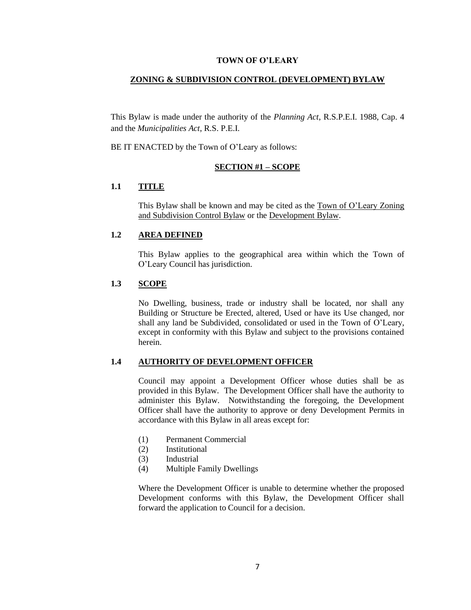#### **TOWN OF O'LEARY**

#### **ZONING & SUBDIVISION CONTROL (DEVELOPMENT) BYLAW**

This Bylaw is made under the authority of the *Planning Act*, R.S.P.E.I. 1988, Cap. 4 and the *Municipalities Act*, R.S. P.E.I.

BE IT ENACTED by the Town of O'Leary as follows:

#### **SECTION #1 – SCOPE**

## **1.1 TITLE**

This Bylaw shall be known and may be cited as the Town of O'Leary Zoning and Subdivision Control Bylaw or the Development Bylaw.

## **1.2 AREA DEFINED**

This Bylaw applies to the geographical area within which the Town of O'Leary Council has jurisdiction.

## **1.3 SCOPE**

No Dwelling, business, trade or industry shall be located, nor shall any Building or Structure be Erected, altered, Used or have its Use changed, nor shall any land be Subdivided, consolidated or used in the Town of O'Leary, except in conformity with this Bylaw and subject to the provisions contained herein.

#### **1.4 AUTHORITY OF DEVELOPMENT OFFICER**

Council may appoint a Development Officer whose duties shall be as provided in this Bylaw. The Development Officer shall have the authority to administer this Bylaw. Notwithstanding the foregoing, the Development Officer shall have the authority to approve or deny Development Permits in accordance with this Bylaw in all areas except for:

- (1) Permanent Commercial
- (2) Institutional
- (3) Industrial
- (4) Multiple Family Dwellings

Where the Development Officer is unable to determine whether the proposed Development conforms with this Bylaw, the Development Officer shall forward the application to Council for a decision.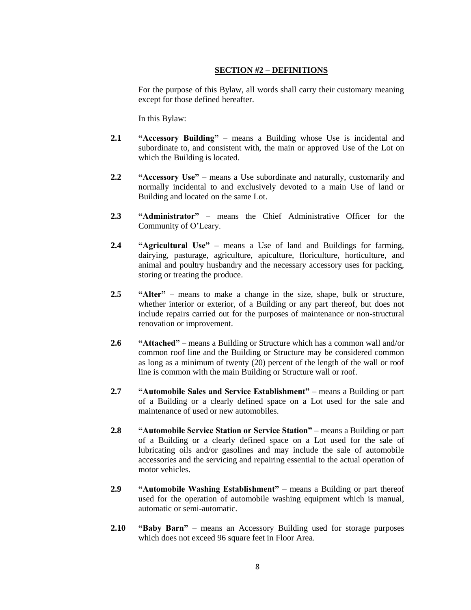## **SECTION #2 – DEFINITIONS**

For the purpose of this Bylaw, all words shall carry their customary meaning except for those defined hereafter.

In this Bylaw:

- **2.1 "Accessory Building"** means a Building whose Use is incidental and subordinate to, and consistent with, the main or approved Use of the Lot on which the Building is located.
- **2.2 "Accessory Use"** means a Use subordinate and naturally, customarily and normally incidental to and exclusively devoted to a main Use of land or Building and located on the same Lot.
- **2.3 "Administrator"**  means the Chief Administrative Officer for the Community of O'Leary.
- **2.4 "Agricultural Use"** means a Use of land and Buildings for farming, dairying, pasturage, agriculture, apiculture, floriculture, horticulture, and animal and poultry husbandry and the necessary accessory uses for packing, storing or treating the produce.
- **2.5 "Alter"** means to make a change in the size, shape, bulk or structure, whether interior or exterior, of a Building or any part thereof, but does not include repairs carried out for the purposes of maintenance or non-structural renovation or improvement.
- **2.6 "Attached"**  means a Building or Structure which has a common wall and/or common roof line and the Building or Structure may be considered common as long as a minimum of twenty (20) percent of the length of the wall or roof line is common with the main Building or Structure wall or roof.
- **2.7 "Automobile Sales and Service Establishment"** means a Building or part of a Building or a clearly defined space on a Lot used for the sale and maintenance of used or new automobiles.
- **2.8 "Automobile Service Station or Service Station"** means a Building or part of a Building or a clearly defined space on a Lot used for the sale of lubricating oils and/or gasolines and may include the sale of automobile accessories and the servicing and repairing essential to the actual operation of motor vehicles.
- **2.9 "Automobile Washing Establishment"** means a Building or part thereof used for the operation of automobile washing equipment which is manual, automatic or semi-automatic.
- **2.10 "Baby Barn"** means an Accessory Building used for storage purposes which does not exceed 96 square feet in Floor Area.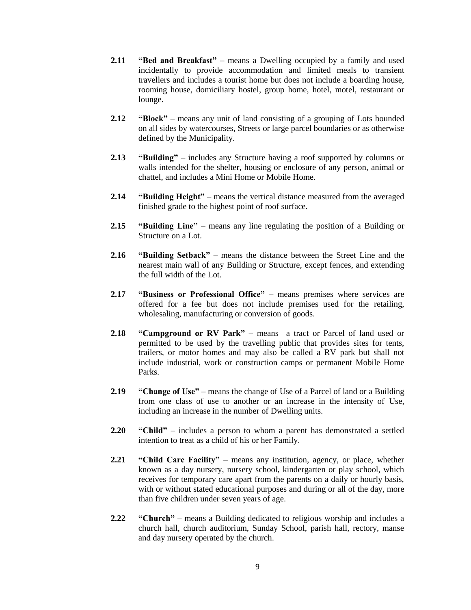- **2.11 "Bed and Breakfast"** means a Dwelling occupied by a family and used incidentally to provide accommodation and limited meals to transient travellers and includes a tourist home but does not include a boarding house, rooming house, domiciliary hostel, group home, hotel, motel, restaurant or lounge.
- **2.12 "Block"** means any unit of land consisting of a grouping of Lots bounded on all sides by watercourses, Streets or large parcel boundaries or as otherwise defined by the Municipality.
- **2.13 "Building"**  includes any Structure having a roof supported by columns or walls intended for the shelter, housing or enclosure of any person, animal or chattel, and includes a Mini Home or Mobile Home.
- **2.14 "Building Height"** means the vertical distance measured from the averaged finished grade to the highest point of roof surface.
- **2.15 "Building Line"** means any line regulating the position of a Building or Structure on a Lot.
- **2.16 "Building Setback"** means the distance between the Street Line and the nearest main wall of any Building or Structure, except fences, and extending the full width of the Lot.
- **2.17 "Business or Professional Office"** means premises where services are offered for a fee but does not include premises used for the retailing, wholesaling, manufacturing or conversion of goods.
- **2.18 "Campground or RV Park"** means a tract or Parcel of land used or permitted to be used by the travelling public that provides sites for tents, trailers, or motor homes and may also be called a RV park but shall not include industrial, work or construction camps or permanent Mobile Home Parks.
- **2.19 "Change of Use"**  means the change of Use of a Parcel of land or a Building from one class of use to another or an increase in the intensity of Use, including an increase in the number of Dwelling units.
- **2.20 "Child"**  includes a person to whom a parent has demonstrated a settled intention to treat as a child of his or her Family.
- **2.21 "Child Care Facility"** means any institution, agency, or place, whether known as a day nursery, nursery school, kindergarten or play school, which receives for temporary care apart from the parents on a daily or hourly basis, with or without stated educational purposes and during or all of the day, more than five children under seven years of age.
- **2.22 "Church"** means a Building dedicated to religious worship and includes a church hall, church auditorium, Sunday School, parish hall, rectory, manse and day nursery operated by the church.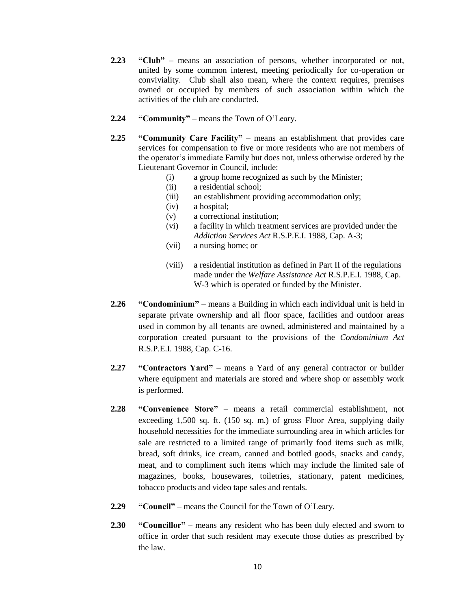- **2.23 "Club"** means an association of persons, whether incorporated or not, united by some common interest, meeting periodically for co-operation or conviviality. Club shall also mean, where the context requires, premises owned or occupied by members of such association within which the activities of the club are conducted.
- **2.24 "Community"** means the Town of O'Leary.
- **2.25 "Community Care Facility"** means an establishment that provides care services for compensation to five or more residents who are not members of the operator's immediate Family but does not, unless otherwise ordered by the Lieutenant Governor in Council, include:
	- (i) a group home recognized as such by the Minister;
	- (ii) a residential school;
	- (iii) an establishment providing accommodation only;
	- (iv) a hospital;
	- (v) a correctional institution;
	- (vi) a facility in which treatment services are provided under the *Addiction Services Act* R.S.P.E.I. 1988, Cap. A-3;
	- (vii) a nursing home; or
	- (viii) a residential institution as defined in Part II of the regulations made under the *Welfare Assistance Act* R.S.P.E.I. 1988, Cap. W-3 which is operated or funded by the Minister.
- **2.26 "Condominium"** means a Building in which each individual unit is held in separate private ownership and all floor space, facilities and outdoor areas used in common by all tenants are owned, administered and maintained by a corporation created pursuant to the provisions of the *Condominium Act* R.S.P.E.I. 1988, Cap. C-16.
- **2.27 "Contractors Yard"**  means a Yard of any general contractor or builder where equipment and materials are stored and where shop or assembly work is performed.
- **2.28 "Convenience Store"** means a retail commercial establishment, not exceeding 1,500 sq. ft. (150 sq. m.) of gross Floor Area, supplying daily household necessities for the immediate surrounding area in which articles for sale are restricted to a limited range of primarily food items such as milk, bread, soft drinks, ice cream, canned and bottled goods, snacks and candy, meat, and to compliment such items which may include the limited sale of magazines, books, housewares, toiletries, stationary, patent medicines, tobacco products and video tape sales and rentals.
- **2.29 "Council"** means the Council for the Town of O'Leary.
- **2.30 "Councillor"** means any resident who has been duly elected and sworn to office in order that such resident may execute those duties as prescribed by the law.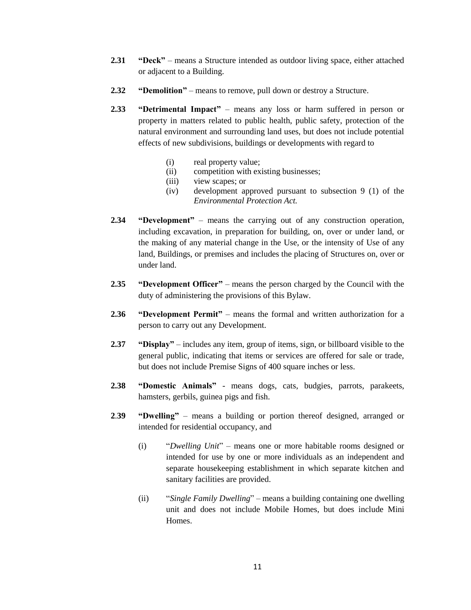- **2.31 "Deck"** means a Structure intended as outdoor living space, either attached or adjacent to a Building.
- **2.32 "Demolition"** means to remove, pull down or destroy a Structure.
- **2.33 "Detrimental Impact"** means any loss or harm suffered in person or property in matters related to public health, public safety, protection of the natural environment and surrounding land uses, but does not include potential effects of new subdivisions, buildings or developments with regard to
	- (i) real property value;
	- (ii) competition with existing businesses;
	- (iii) view scapes; or
	- (iv) development approved pursuant to subsection 9 (1) of the *Environmental Protection Act.*
- **2.34 "Development"** means the carrying out of any construction operation, including excavation, in preparation for building, on, over or under land, or the making of any material change in the Use, or the intensity of Use of any land, Buildings, or premises and includes the placing of Structures on, over or under land.
- **2.35 "Development Officer"** means the person charged by the Council with the duty of administering the provisions of this Bylaw.
- **2.36 "Development Permit"** means the formal and written authorization for a person to carry out any Development.
- **2.37 "Display"** includes any item, group of items, sign, or billboard visible to the general public, indicating that items or services are offered for sale or trade, but does not include Premise Signs of 400 square inches or less.
- **2.38 "Domestic Animals"** means dogs, cats, budgies, parrots, parakeets, hamsters, gerbils, guinea pigs and fish.
- **2**.**39 "Dwelling"** means a building or portion thereof designed, arranged or intended for residential occupancy, and
	- (i) "*Dwelling Unit*" means one or more habitable rooms designed or intended for use by one or more individuals as an independent and separate housekeeping establishment in which separate kitchen and sanitary facilities are provided.
	- (ii) "*Single Family Dwelling*" means a building containing one dwelling unit and does not include Mobile Homes, but does include Mini Homes.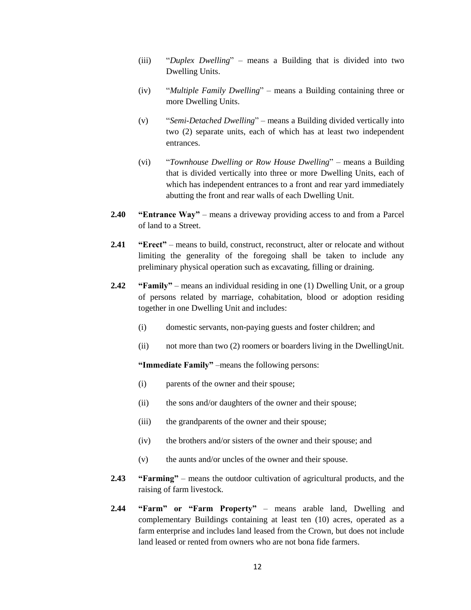- (iii) "*Duplex Dwelling*" means a Building that is divided into two Dwelling Units.
- (iv) "*Multiple Family Dwelling*" means a Building containing three or more Dwelling Units.
- (v) "*Semi-Detached Dwelling*" means a Building divided vertically into two (2) separate units, each of which has at least two independent entrances.
- (vi) "*Townhouse Dwelling or Row House Dwelling*" means a Building that is divided vertically into three or more Dwelling Units, each of which has independent entrances to a front and rear yard immediately abutting the front and rear walls of each Dwelling Unit.
- **2.40 "Entrance Way"** means a driveway providing access to and from a Parcel of land to a Street.
- **2.41 "Erect"** means to build, construct, reconstruct, alter or relocate and without limiting the generality of the foregoing shall be taken to include any preliminary physical operation such as excavating, filling or draining.
- **2.42 "Family"** means an individual residing in one (1) Dwelling Unit, or a group of persons related by marriage, cohabitation, blood or adoption residing together in one Dwelling Unit and includes:
	- (i) domestic servants, non-paying guests and foster children; and
	- (ii) not more than two (2) roomers or boarders living in the DwellingUnit.

**"Immediate Family"** –means the following persons:

- (i) parents of the owner and their spouse;
- (ii) the sons and/or daughters of the owner and their spouse;
- (iii) the grandparents of the owner and their spouse;
- (iv) the brothers and/or sisters of the owner and their spouse; and
- (v) the aunts and/or uncles of the owner and their spouse.
- **2.43 "Farming"** means the outdoor cultivation of agricultural products, and the raising of farm livestock.
- **2.44 "Farm" or "Farm Property"** means arable land, Dwelling and complementary Buildings containing at least ten (10) acres, operated as a farm enterprise and includes land leased from the Crown, but does not include land leased or rented from owners who are not bona fide farmers.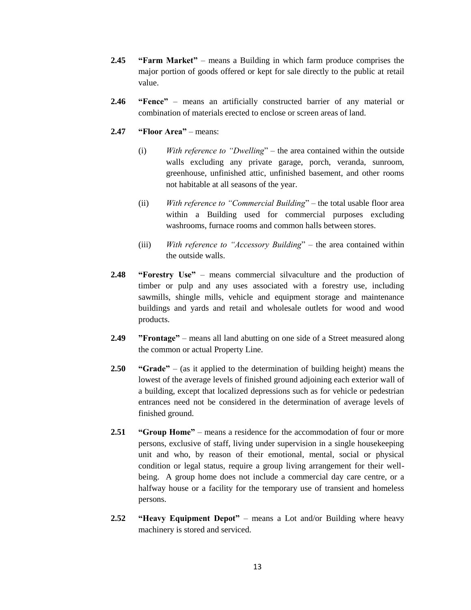- **2.45 "Farm Market"** means a Building in which farm produce comprises the major portion of goods offered or kept for sale directly to the public at retail value.
- **2.46 "Fence"**  means an artificially constructed barrier of any material or combination of materials erected to enclose or screen areas of land.
- **2.47 "Floor Area"** means:
	- (i) *With reference to "Dwelling*" the area contained within the outside walls excluding any private garage, porch, veranda, sunroom, greenhouse, unfinished attic, unfinished basement, and other rooms not habitable at all seasons of the year.
	- (ii) *With reference to "Commercial Building*" the total usable floor area within a Building used for commercial purposes excluding washrooms, furnace rooms and common halls between stores.
	- (iii) *With reference to "Accessory Building*" the area contained within the outside walls.
- **2.48 "Forestry Use"** means commercial silvaculture and the production of timber or pulp and any uses associated with a forestry use, including sawmills, shingle mills, vehicle and equipment storage and maintenance buildings and yards and retail and wholesale outlets for wood and wood products.
- **2.49 "Frontage"** means all land abutting on one side of a Street measured along the common or actual Property Line.
- **2.50 "Grade"** (as it applied to the determination of building height) means the lowest of the average levels of finished ground adjoining each exterior wall of a building, except that localized depressions such as for vehicle or pedestrian entrances need not be considered in the determination of average levels of finished ground.
- **2.51 "Group Home"** means a residence for the accommodation of four or more persons, exclusive of staff, living under supervision in a single housekeeping unit and who, by reason of their emotional, mental, social or physical condition or legal status, require a group living arrangement for their wellbeing. A group home does not include a commercial day care centre, or a halfway house or a facility for the temporary use of transient and homeless persons.
- **2.52 "Heavy Equipment Depot"** means a Lot and/or Building where heavy machinery is stored and serviced.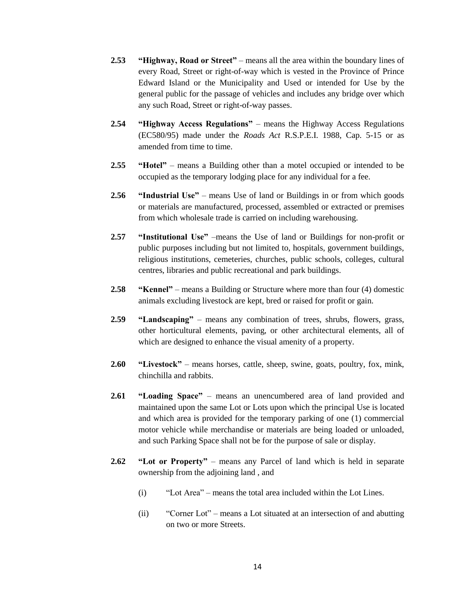- **2.53 "Highway, Road or Street"** means all the area within the boundary lines of every Road, Street or right-of-way which is vested in the Province of Prince Edward Island or the Municipality and Used or intended for Use by the general public for the passage of vehicles and includes any bridge over which any such Road, Street or right-of-way passes.
- **2.54 "Highway Access Regulations"** means the Highway Access Regulations (EC580/95) made under the *Roads Act* R.S.P.E.I. 1988, Cap. 5-15 or as amended from time to time.
- **2.55 "Hotel"** means a Building other than a motel occupied or intended to be occupied as the temporary lodging place for any individual for a fee.
- **2.56 "Industrial Use"** means Use of land or Buildings in or from which goods or materials are manufactured, processed, assembled or extracted or premises from which wholesale trade is carried on including warehousing.
- **2.57 "Institutional Use"** –means the Use of land or Buildings for non-profit or public purposes including but not limited to, hospitals, government buildings, religious institutions, cemeteries, churches, public schools, colleges, cultural centres, libraries and public recreational and park buildings.
- **2.58 "Kennel"** means a Building or Structure where more than four (4) domestic animals excluding livestock are kept, bred or raised for profit or gain.
- **2.59 "Landscaping"** means any combination of trees, shrubs, flowers, grass, other horticultural elements, paving, or other architectural elements, all of which are designed to enhance the visual amenity of a property.
- **2.60 "Livestock"** means horses, cattle, sheep, swine, goats, poultry, fox, mink, chinchilla and rabbits.
- **2.61 "Loading Space"** means an unencumbered area of land provided and maintained upon the same Lot or Lots upon which the principal Use is located and which area is provided for the temporary parking of one (1) commercial motor vehicle while merchandise or materials are being loaded or unloaded, and such Parking Space shall not be for the purpose of sale or display.
- **2.62 "Lot or Property"** means any Parcel of land which is held in separate ownership from the adjoining land , and
	- (i) "Lot Area" means the total area included within the Lot Lines.
	- (ii) "Corner Lot" means a Lot situated at an intersection of and abutting on two or more Streets.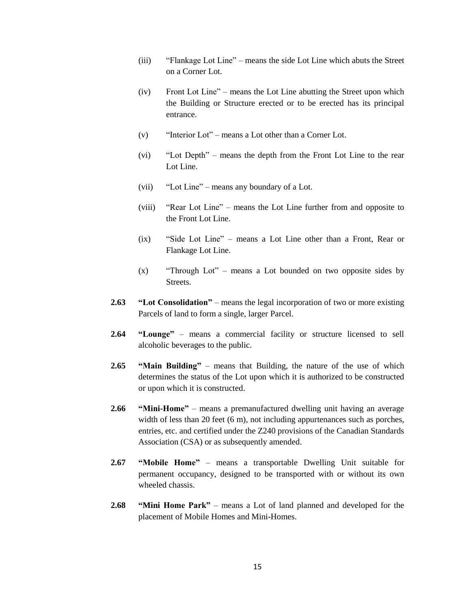- (iii) "Flankage Lot Line" means the side Lot Line which abuts the Street on a Corner Lot.
- (iv) Front Lot Line" means the Lot Line abutting the Street upon which the Building or Structure erected or to be erected has its principal entrance.
- (v) "Interior Lot" means a Lot other than a Corner Lot.
- (vi) "Lot Depth" means the depth from the Front Lot Line to the rear Lot Line.
- (vii) "Lot Line" means any boundary of a Lot.
- (viii) "Rear Lot Line" means the Lot Line further from and opposite to the Front Lot Line.
- (ix) "Side Lot Line" means a Lot Line other than a Front, Rear or Flankage Lot Line.
- (x) "Through Lot" means a Lot bounded on two opposite sides by Streets.
- **2.63 "Lot Consolidation"** means the legal incorporation of two or more existing Parcels of land to form a single, larger Parcel.
- **2.64 "Lounge"** means a commercial facility or structure licensed to sell alcoholic beverages to the public.
- **2.65 "Main Building"** means that Building, the nature of the use of which determines the status of the Lot upon which it is authorized to be constructed or upon which it is constructed.
- **2.66 "Mini-Home"** means a premanufactured dwelling unit having an average width of less than 20 feet (6 m), not including appurtenances such as porches, entries, etc. and certified under the Z240 provisions of the Canadian Standards Association (CSA) or as subsequently amended.
- **2.67 "Mobile Home"**  means a transportable Dwelling Unit suitable for permanent occupancy, designed to be transported with or without its own wheeled chassis.
- **2.68 "Mini Home Park"** means a Lot of land planned and developed for the placement of Mobile Homes and Mini-Homes.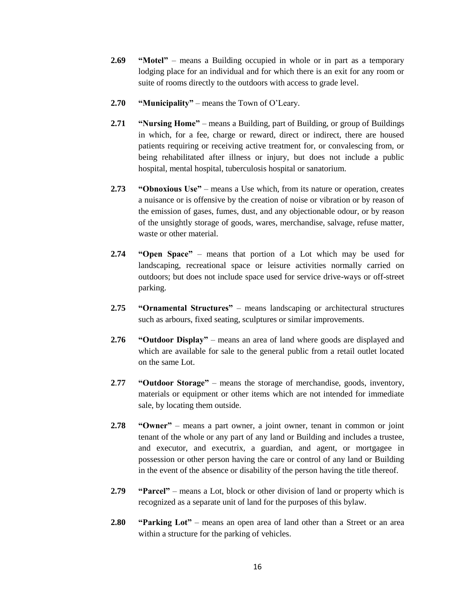- **2.69 "Motel"** means a Building occupied in whole or in part as a temporary lodging place for an individual and for which there is an exit for any room or suite of rooms directly to the outdoors with access to grade level.
- **2.70 "Municipality"** means the Town of O'Leary.
- **2.71 "Nursing Home"** means a Building, part of Building, or group of Buildings in which, for a fee, charge or reward, direct or indirect, there are housed patients requiring or receiving active treatment for, or convalescing from, or being rehabilitated after illness or injury, but does not include a public hospital, mental hospital, tuberculosis hospital or sanatorium.
- **2.73 "Obnoxious Use"** means a Use which, from its nature or operation, creates a nuisance or is offensive by the creation of noise or vibration or by reason of the emission of gases, fumes, dust, and any objectionable odour, or by reason of the unsightly storage of goods, wares, merchandise, salvage, refuse matter, waste or other material.
- **2.74 "Open Space"** means that portion of a Lot which may be used for landscaping, recreational space or leisure activities normally carried on outdoors; but does not include space used for service drive-ways or off-street parking.
- **2.75 "Ornamental Structures"**  means landscaping or architectural structures such as arbours, fixed seating, sculptures or similar improvements.
- **2.76 "Outdoor Display"**  means an area of land where goods are displayed and which are available for sale to the general public from a retail outlet located on the same Lot.
- **2**.**77 "Outdoor Storage"** means the storage of merchandise, goods, inventory, materials or equipment or other items which are not intended for immediate sale, by locating them outside.
- **2.78 "Owner"** means a part owner, a joint owner, tenant in common or joint tenant of the whole or any part of any land or Building and includes a trustee, and executor, and executrix, a guardian, and agent, or mortgagee in possession or other person having the care or control of any land or Building in the event of the absence or disability of the person having the title thereof.
- **2.79 "Parcel"** means a Lot, block or other division of land or property which is recognized as a separate unit of land for the purposes of this bylaw.
- **2.80 "Parking Lot"** means an open area of land other than a Street or an area within a structure for the parking of vehicles.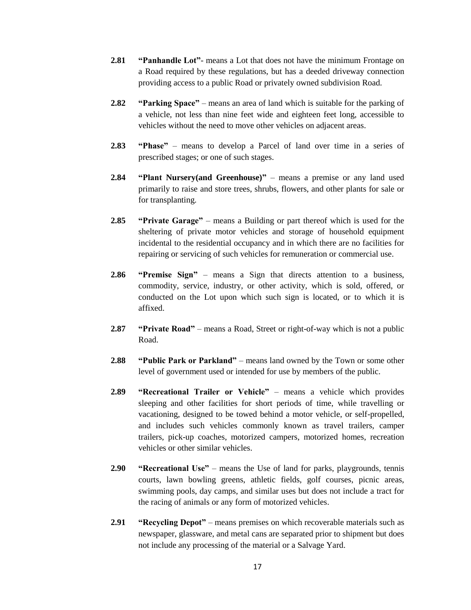- **2.81 "Panhandle Lot"** means a Lot that does not have the minimum Frontage on a Road required by these regulations, but has a deeded driveway connection providing access to a public Road or privately owned subdivision Road.
- **2.82 "Parking Space"** means an area of land which is suitable for the parking of a vehicle, not less than nine feet wide and eighteen feet long, accessible to vehicles without the need to move other vehicles on adjacent areas.
- **2.83 "Phase"** means to develop a Parcel of land over time in a series of prescribed stages; or one of such stages.
- **2.84 "Plant Nursery(and Greenhouse)"** means a premise or any land used primarily to raise and store trees, shrubs, flowers, and other plants for sale or for transplanting.
- **2.85 "Private Garage"** means a Building or part thereof which is used for the sheltering of private motor vehicles and storage of household equipment incidental to the residential occupancy and in which there are no facilities for repairing or servicing of such vehicles for remuneration or commercial use.
- **2.86 "Premise Sign"** means a Sign that directs attention to a business, commodity, service, industry, or other activity, which is sold, offered, or conducted on the Lot upon which such sign is located, or to which it is affixed.
- **2.87 "Private Road"** means a Road, Street or right-of-way which is not a public Road.
- **2.88 "Public Park or Parkland"** means land owned by the Town or some other level of government used or intended for use by members of the public.
- **2.89 "Recreational Trailer or Vehicle"** means a vehicle which provides sleeping and other facilities for short periods of time, while travelling or vacationing, designed to be towed behind a motor vehicle, or self-propelled, and includes such vehicles commonly known as travel trailers, camper trailers, pick-up coaches, motorized campers, motorized homes, recreation vehicles or other similar vehicles.
- **2.90 "Recreational Use"**  means the Use of land for parks, playgrounds, tennis courts, lawn bowling greens, athletic fields, golf courses, picnic areas, swimming pools, day camps, and similar uses but does not include a tract for the racing of animals or any form of motorized vehicles.
- **2.91 "Recycling Depot"** means premises on which recoverable materials such as newspaper, glassware, and metal cans are separated prior to shipment but does not include any processing of the material or a Salvage Yard.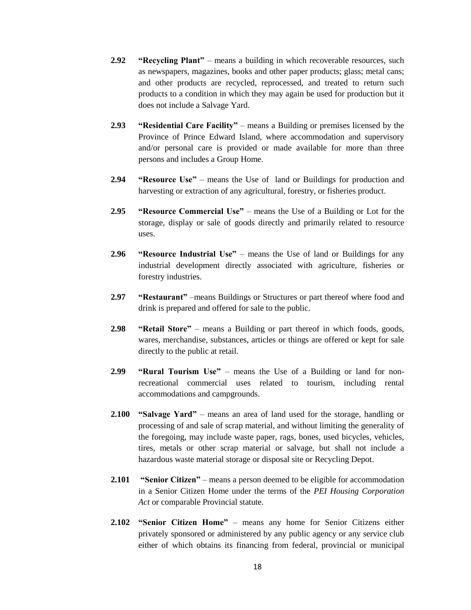- **2.92 "Recycling Plant"** means a building in which recoverable resources, such as newspapers, magazines, books and other paper products; glass; metal cans; and other products are recycled, reprocessed, and treated to return such products to a condition in which they may again be used for production but it does not include a Salvage Yard.
- **2.93 "Residential Care Facility"**  means a Building or premises licensed by the Province of Prince Edward Island, where accommodation and supervisory and/or personal care is provided or made available for more than three persons and includes a Group Home.
- **2.94 "Resource Use"** means the Use of land or Buildings for production and harvesting or extraction of any agricultural, forestry, or fisheries product.
- **2.95 "Resource Commercial Use"**  means the Use of a Building or Lot for the storage, display or sale of goods directly and primarily related to resource uses.
- **2.96 "Resource Industrial Use"** means the Use of land or Buildings for any industrial development directly associated with agriculture, fisheries or forestry industries.
- **2.97 "Restaurant"** –means Buildings or Structures or part thereof where food and drink is prepared and offered for sale to the public.
- **2.98 "Retail Store"**  means a Building or part thereof in which foods, goods, wares, merchandise, substances, articles or things are offered or kept for sale directly to the public at retail.
- **2.99 "Rural Tourism Use"** means the Use of a Building or land for nonrecreational commercial uses related to tourism, including rental accommodations and campgrounds.
- **2.100 "Salvage Yard"** means an area of land used for the storage, handling or processing of and sale of scrap material, and without limiting the generality of the foregoing, may include waste paper, rags, bones, used bicycles, vehicles, tires, metals or other scrap material or salvage, but shall not include a hazardous waste material storage or disposal site or Recycling Depot.
- **2.101 "Senior Citizen"** means a person deemed to be eligible for accommodation in a Senior Citizen Home under the terms of the *PEI Housing Corporation Act* or comparable Provincial statute.
- **2.102 "Senior Citizen Home"** means any home for Senior Citizens either privately sponsored or administered by any public agency or any service club either of which obtains its financing from federal, provincial or municipal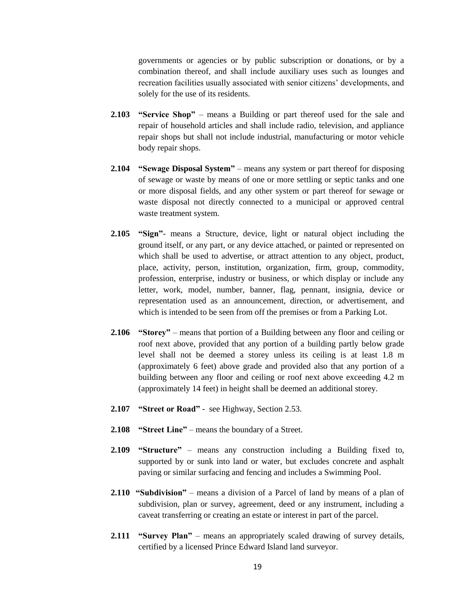governments or agencies or by public subscription or donations, or by a combination thereof, and shall include auxiliary uses such as lounges and recreation facilities usually associated with senior citizens' developments, and solely for the use of its residents.

- **2.103 "Service Shop"** means a Building or part thereof used for the sale and repair of household articles and shall include radio, television, and appliance repair shops but shall not include industrial, manufacturing or motor vehicle body repair shops.
- **2.104 "Sewage Disposal System"** means any system or part thereof for disposing of sewage or waste by means of one or more settling or septic tanks and one or more disposal fields, and any other system or part thereof for sewage or waste disposal not directly connected to a municipal or approved central waste treatment system.
- **2.105 "Sign"** means a Structure, device, light or natural object including the ground itself, or any part, or any device attached, or painted or represented on which shall be used to advertise, or attract attention to any object, product, place, activity, person, institution, organization, firm, group, commodity, profession, enterprise, industry or business, or which display or include any letter, work, model, number, banner, flag, pennant, insignia, device or representation used as an announcement, direction, or advertisement, and which is intended to be seen from off the premises or from a Parking Lot.
- **2.106 "Storey"** means that portion of a Building between any floor and ceiling or roof next above, provided that any portion of a building partly below grade level shall not be deemed a storey unless its ceiling is at least 1.8 m (approximately 6 feet) above grade and provided also that any portion of a building between any floor and ceiling or roof next above exceeding 4.2 m (approximately 14 feet) in height shall be deemed an additional storey.
- **2.107 "Street or Road"** see Highway, Section 2.53.
- **2.108 "Street Line"**  means the boundary of a Street.
- **2.109 "Structure"** means any construction including a Building fixed to, supported by or sunk into land or water, but excludes concrete and asphalt paving or similar surfacing and fencing and includes a Swimming Pool.
- **2.110 "Subdivision"** means a division of a Parcel of land by means of a plan of subdivision, plan or survey, agreement, deed or any instrument, including a caveat transferring or creating an estate or interest in part of the parcel.
- **2.111 "Survey Plan"**  means an appropriately scaled drawing of survey details, certified by a licensed Prince Edward Island land surveyor.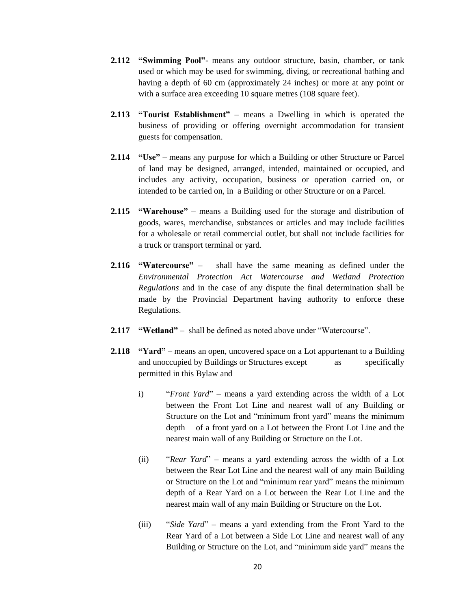- **2.112 "Swimming Pool"** means any outdoor structure, basin, chamber, or tank used or which may be used for swimming, diving, or recreational bathing and having a depth of 60 cm (approximately 24 inches) or more at any point or with a surface area exceeding 10 square metres (108 square feet).
- **2.113 "Tourist Establishment"** means a Dwelling in which is operated the business of providing or offering overnight accommodation for transient guests for compensation.
- **2.114 "Use"** means any purpose for which a Building or other Structure or Parcel of land may be designed, arranged, intended, maintained or occupied, and includes any activity, occupation, business or operation carried on, or intended to be carried on, in a Building or other Structure or on a Parcel.
- **2.115 "Warehouse"** means a Building used for the storage and distribution of goods, wares, merchandise, substances or articles and may include facilities for a wholesale or retail commercial outlet, but shall not include facilities for a truck or transport terminal or yard.
- **2.116 "Watercourse"** shall have the same meaning as defined under the *Environmental Protection Act Watercourse and Wetland Protection Regulations* and in the case of any dispute the final determination shall be made by the Provincial Department having authority to enforce these Regulations.
- **2.117 "Wetland"** shall be defined as noted above under "Watercourse".
- **2.118 "Yard"** means an open, uncovered space on a Lot appurtenant to a Building and unoccupied by Buildings or Structures except as specifically permitted in this Bylaw and
	- i) "*Front Yard*" means a yard extending across the width of a Lot between the Front Lot Line and nearest wall of any Building or Structure on the Lot and "minimum front yard" means the minimum depth of a front yard on a Lot between the Front Lot Line and the nearest main wall of any Building or Structure on the Lot.
	- (ii) "*Rear Yard*" means a yard extending across the width of a Lot between the Rear Lot Line and the nearest wall of any main Building or Structure on the Lot and "minimum rear yard" means the minimum depth of a Rear Yard on a Lot between the Rear Lot Line and the nearest main wall of any main Building or Structure on the Lot.
	- (iii) "*Side Yard*" means a yard extending from the Front Yard to the Rear Yard of a Lot between a Side Lot Line and nearest wall of any Building or Structure on the Lot, and "minimum side yard" means the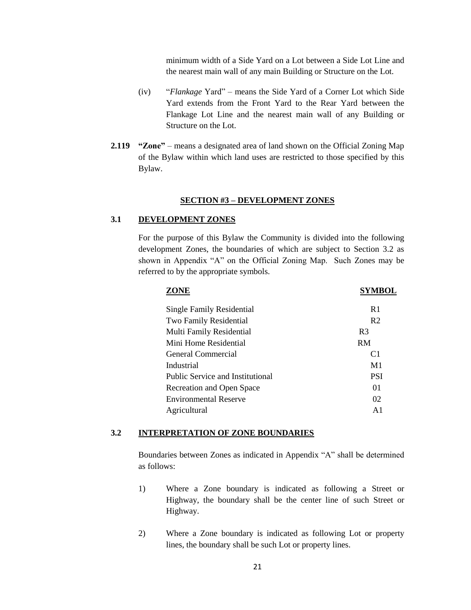minimum width of a Side Yard on a Lot between a Side Lot Line and the nearest main wall of any main Building or Structure on the Lot.

- (iv) "*Flankage* Yard" means the Side Yard of a Corner Lot which Side Yard extends from the Front Yard to the Rear Yard between the Flankage Lot Line and the nearest main wall of any Building or Structure on the Lot.
- **2.119 "Zone"** means a designated area of land shown on the Official Zoning Map of the Bylaw within which land uses are restricted to those specified by this Bylaw.

#### **SECTION #3 – DEVELOPMENT ZONES**

## **3.1 DEVELOPMENT ZONES**

For the purpose of this Bylaw the Community is divided into the following development Zones, the boundaries of which are subject to Section 3.2 as shown in Appendix "A" on the Official Zoning Map. Such Zones may be referred to by the appropriate symbols.

| SYMBOL         |
|----------------|
| R <sub>1</sub> |
| R <sub>2</sub> |
| R <sub>3</sub> |
| <b>RM</b>      |
| C <sub>1</sub> |
| M <sub>1</sub> |
| <b>PSI</b>     |
| 0 <sub>1</sub> |
| 02             |
| $\mathsf{A}1$  |
|                |

#### **3.2 INTERPRETATION OF ZONE BOUNDARIES**

Boundaries between Zones as indicated in Appendix "A" shall be determined as follows:

- 1) Where a Zone boundary is indicated as following a Street or Highway, the boundary shall be the center line of such Street or Highway.
- 2) Where a Zone boundary is indicated as following Lot or property lines, the boundary shall be such Lot or property lines.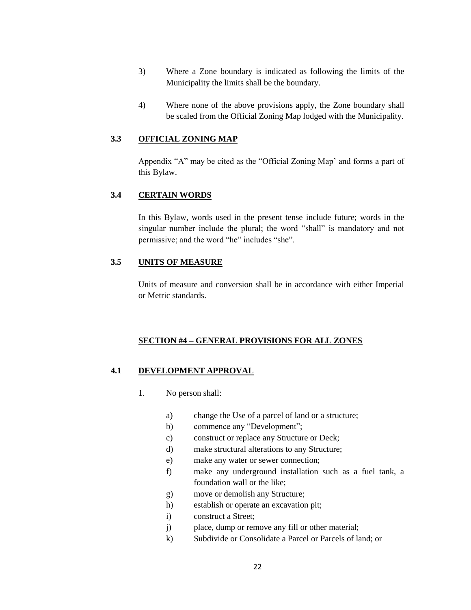- 3) Where a Zone boundary is indicated as following the limits of the Municipality the limits shall be the boundary.
- 4) Where none of the above provisions apply, the Zone boundary shall be scaled from the Official Zoning Map lodged with the Municipality.

## **3.3 OFFICIAL ZONING MAP**

Appendix "A" may be cited as the "Official Zoning Map' and forms a part of this Bylaw.

## **3.4 CERTAIN WORDS**

In this Bylaw, words used in the present tense include future; words in the singular number include the plural; the word "shall" is mandatory and not permissive; and the word "he" includes "she".

## **3.5 UNITS OF MEASURE**

Units of measure and conversion shall be in accordance with either Imperial or Metric standards.

## **SECTION #4 – GENERAL PROVISIONS FOR ALL ZONES**

## **4.1 DEVELOPMENT APPROVAL**

- 1. No person shall:
	- a) change the Use of a parcel of land or a structure;
	- b) commence any "Development";
	- c) construct or replace any Structure or Deck;
	- d) make structural alterations to any Structure;
	- e) make any water or sewer connection;
	- f) make any underground installation such as a fuel tank, a foundation wall or the like;
	- g) move or demolish any Structure;
	- h) establish or operate an excavation pit;
	- i) construct a Street;
	- j) place, dump or remove any fill or other material;
	- k) Subdivide or Consolidate a Parcel or Parcels of land; or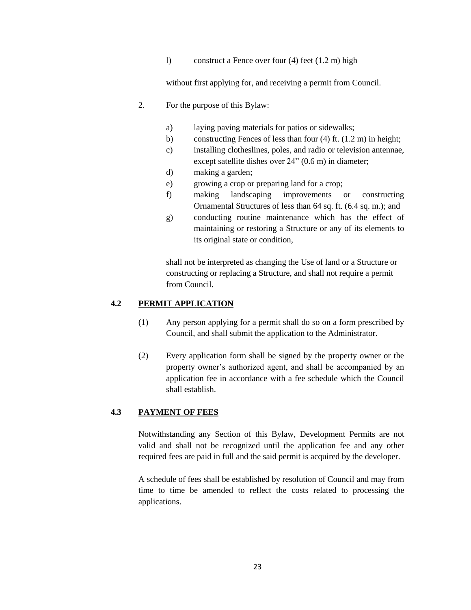l) construct a Fence over four (4) feet (1.2 m) high

without first applying for, and receiving a permit from Council.

- 2. For the purpose of this Bylaw:
	- a) laying paving materials for patios or sidewalks;
	- b) constructing Fences of less than four (4) ft. (1.2 m) in height;
	- c) installing clotheslines, poles, and radio or television antennae, except satellite dishes over 24" (0.6 m) in diameter;
	- d) making a garden;
	- e) growing a crop or preparing land for a crop;
	- f) making landscaping improvements or constructing Ornamental Structures of less than 64 sq. ft. (6.4 sq. m.); and
	- g) conducting routine maintenance which has the effect of maintaining or restoring a Structure or any of its elements to its original state or condition,

shall not be interpreted as changing the Use of land or a Structure or constructing or replacing a Structure, and shall not require a permit from Council.

#### **4.2 PERMIT APPLICATION**

- (1) Any person applying for a permit shall do so on a form prescribed by Council, and shall submit the application to the Administrator.
- (2) Every application form shall be signed by the property owner or the property owner's authorized agent, and shall be accompanied by an application fee in accordance with a fee schedule which the Council shall establish.

## **4.3 PAYMENT OF FEES**

Notwithstanding any Section of this Bylaw, Development Permits are not valid and shall not be recognized until the application fee and any other required fees are paid in full and the said permit is acquired by the developer.

A schedule of fees shall be established by resolution of Council and may from time to time be amended to reflect the costs related to processing the applications.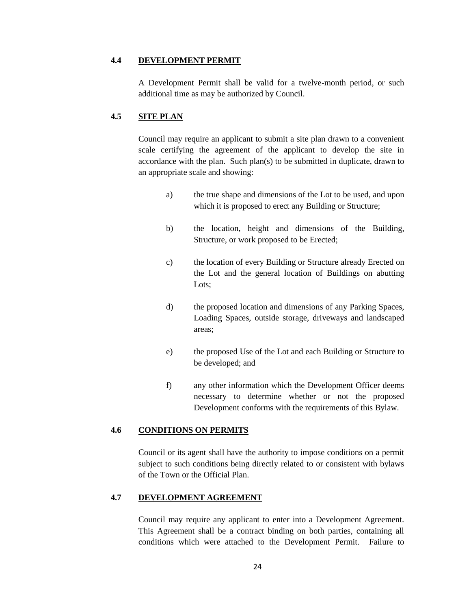## **4.4 DEVELOPMENT PERMIT**

A Development Permit shall be valid for a twelve-month period, or such additional time as may be authorized by Council.

## **4.5 SITE PLAN**

Council may require an applicant to submit a site plan drawn to a convenient scale certifying the agreement of the applicant to develop the site in accordance with the plan. Such plan(s) to be submitted in duplicate, drawn to an appropriate scale and showing:

- a) the true shape and dimensions of the Lot to be used, and upon which it is proposed to erect any Building or Structure;
- b) the location, height and dimensions of the Building, Structure, or work proposed to be Erected;
- c) the location of every Building or Structure already Erected on the Lot and the general location of Buildings on abutting Lots;
- d) the proposed location and dimensions of any Parking Spaces, Loading Spaces, outside storage, driveways and landscaped areas;
- e) the proposed Use of the Lot and each Building or Structure to be developed; and
- f) any other information which the Development Officer deems necessary to determine whether or not the proposed Development conforms with the requirements of this Bylaw.

## **4.6 CONDITIONS ON PERMITS**

Council or its agent shall have the authority to impose conditions on a permit subject to such conditions being directly related to or consistent with bylaws of the Town or the Official Plan.

## **4.7 DEVELOPMENT AGREEMENT**

Council may require any applicant to enter into a Development Agreement. This Agreement shall be a contract binding on both parties, containing all conditions which were attached to the Development Permit. Failure to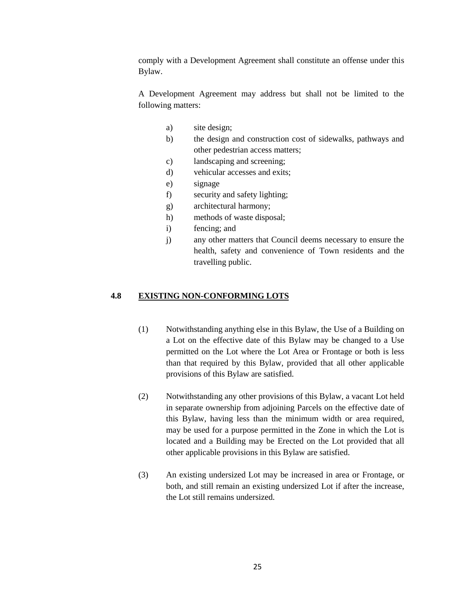comply with a Development Agreement shall constitute an offense under this Bylaw.

A Development Agreement may address but shall not be limited to the following matters:

- a) site design;
- b) the design and construction cost of sidewalks, pathways and other pedestrian access matters;
- c) landscaping and screening;
- d) vehicular accesses and exits;
- e) signage
- f) security and safety lighting;
- g) architectural harmony;
- h) methods of waste disposal;
- i) fencing; and
- j) any other matters that Council deems necessary to ensure the health, safety and convenience of Town residents and the travelling public.

#### **4.8 EXISTING NON-CONFORMING LOTS**

- (1) Notwithstanding anything else in this Bylaw, the Use of a Building on a Lot on the effective date of this Bylaw may be changed to a Use permitted on the Lot where the Lot Area or Frontage or both is less than that required by this Bylaw, provided that all other applicable provisions of this Bylaw are satisfied.
- (2) Notwithstanding any other provisions of this Bylaw, a vacant Lot held in separate ownership from adjoining Parcels on the effective date of this Bylaw, having less than the minimum width or area required, may be used for a purpose permitted in the Zone in which the Lot is located and a Building may be Erected on the Lot provided that all other applicable provisions in this Bylaw are satisfied.
- (3) An existing undersized Lot may be increased in area or Frontage, or both, and still remain an existing undersized Lot if after the increase, the Lot still remains undersized.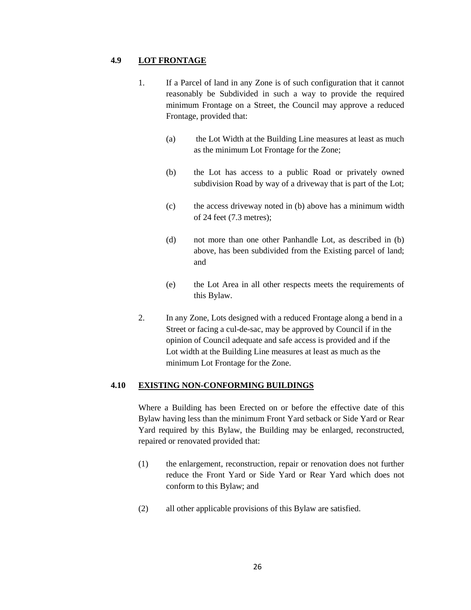#### **4.9 LOT FRONTAGE**

- 1. If a Parcel of land in any Zone is of such configuration that it cannot reasonably be Subdivided in such a way to provide the required minimum Frontage on a Street, the Council may approve a reduced Frontage, provided that:
	- (a) the Lot Width at the Building Line measures at least as much as the minimum Lot Frontage for the Zone;
	- (b) the Lot has access to a public Road or privately owned subdivision Road by way of a driveway that is part of the Lot;
	- (c) the access driveway noted in (b) above has a minimum width of 24 feet (7.3 metres);
	- (d) not more than one other Panhandle Lot, as described in (b) above, has been subdivided from the Existing parcel of land; and
	- (e) the Lot Area in all other respects meets the requirements of this Bylaw.
- 2. In any Zone, Lots designed with a reduced Frontage along a bend in a Street or facing a cul-de-sac, may be approved by Council if in the opinion of Council adequate and safe access is provided and if the Lot width at the Building Line measures at least as much as the minimum Lot Frontage for the Zone.

## **4.10 EXISTING NON-CONFORMING BUILDINGS**

Where a Building has been Erected on or before the effective date of this Bylaw having less than the minimum Front Yard setback or Side Yard or Rear Yard required by this Bylaw, the Building may be enlarged, reconstructed, repaired or renovated provided that:

- (1) the enlargement, reconstruction, repair or renovation does not further reduce the Front Yard or Side Yard or Rear Yard which does not conform to this Bylaw; and
- (2) all other applicable provisions of this Bylaw are satisfied.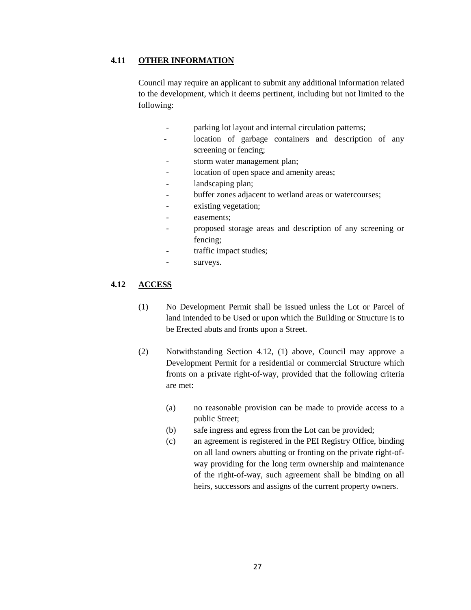## **4.11 OTHER INFORMATION**

Council may require an applicant to submit any additional information related to the development, which it deems pertinent, including but not limited to the following:

- parking lot layout and internal circulation patterns;
- location of garbage containers and description of any screening or fencing;
- storm water management plan;
- location of open space and amenity areas;
- landscaping plan;
- buffer zones adjacent to wetland areas or watercourses;
- existing vegetation;
- easements:
- proposed storage areas and description of any screening or fencing;
- traffic impact studies;
- surveys.

#### **4.12 ACCESS**

- (1) No Development Permit shall be issued unless the Lot or Parcel of land intended to be Used or upon which the Building or Structure is to be Erected abuts and fronts upon a Street.
- (2) Notwithstanding Section 4.12, (1) above, Council may approve a Development Permit for a residential or commercial Structure which fronts on a private right-of-way, provided that the following criteria are met:
	- (a) no reasonable provision can be made to provide access to a public Street;
	- (b) safe ingress and egress from the Lot can be provided;
	- (c) an agreement is registered in the PEI Registry Office, binding on all land owners abutting or fronting on the private right-ofway providing for the long term ownership and maintenance of the right-of-way, such agreement shall be binding on all heirs, successors and assigns of the current property owners.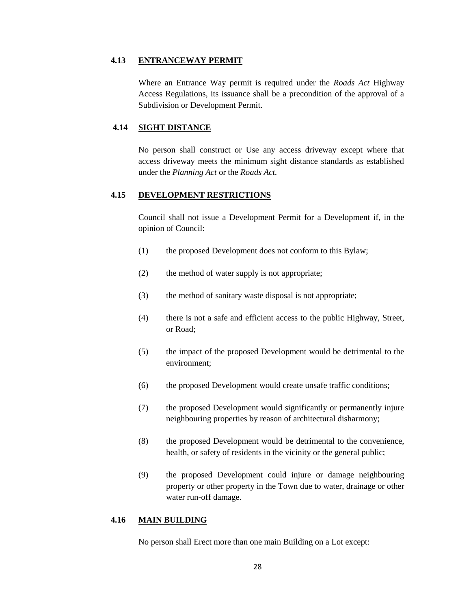#### **4.13 ENTRANCEWAY PERMIT**

Where an Entrance Way permit is required under the *Roads Act* Highway Access Regulations, its issuance shall be a precondition of the approval of a Subdivision or Development Permit.

## **4.14 SIGHT DISTANCE**

No person shall construct or Use any access driveway except where that access driveway meets the minimum sight distance standards as established under the *Planning Act* or the *Roads Act.*

## **4.15 DEVELOPMENT RESTRICTIONS**

Council shall not issue a Development Permit for a Development if, in the opinion of Council:

- (1) the proposed Development does not conform to this Bylaw;
- (2) the method of water supply is not appropriate;
- (3) the method of sanitary waste disposal is not appropriate;
- (4) there is not a safe and efficient access to the public Highway, Street, or Road;
- (5) the impact of the proposed Development would be detrimental to the environment;
- (6) the proposed Development would create unsafe traffic conditions;
- (7) the proposed Development would significantly or permanently injure neighbouring properties by reason of architectural disharmony;
- (8) the proposed Development would be detrimental to the convenience, health, or safety of residents in the vicinity or the general public;
- (9) the proposed Development could injure or damage neighbouring property or other property in the Town due to water, drainage or other water run-off damage.

#### **4.16 MAIN BUILDING**

No person shall Erect more than one main Building on a Lot except: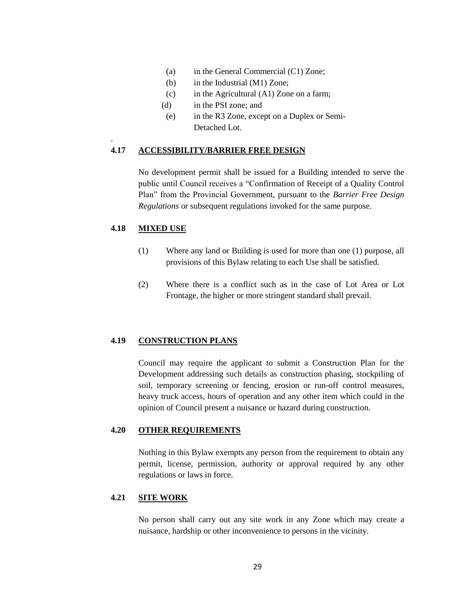- (a) in the General Commercial (C1) Zone;
- (b) in the Industrial (M1) Zone;
- (c) in the Agricultural (A1) Zone on a farm;
- (d) in the PSI zone; and
- (e) in the R3 Zone, except on a Duplex or Semi-Detached Lot.

#### **4.17 ACCESSIBILITY/BARRIER FREE DESIGN**

No development permit shall be issued for a Building intended to serve the public until Council receives a "Confirmation of Receipt of a Quality Control Plan" from the Provincial Government, pursuant to the *Barrier Free Design Regulations* or subsequent regulations invoked for the same purpose.

#### **4.18 MIXED USE**

.

- (1) Where any land or Building is used for more than one (1) purpose, all provisions of this Bylaw relating to each Use shall be satisfied.
- (2) Where there is a conflict such as in the case of Lot Area or Lot Frontage, the higher or more stringent standard shall prevail.

#### **4.19 CONSTRUCTION PLANS**

Council may require the applicant to submit a Construction Plan for the Development addressing such details as construction phasing, stockpiling of soil, temporary screening or fencing, erosion or run-off control measures, heavy truck access, hours of operation and any other item which could in the opinion of Council present a nuisance or hazard during construction.

### **4.20 OTHER REQUIREMENTS**

Nothing in this Bylaw exempts any person from the requirement to obtain any permit, license, permission, authority or approval required by any other regulations or laws in force.

## **4.21 SITE WORK**

No person shall carry out any site work in any Zone which may create a nuisance, hardship or other inconvenience to persons in the vicinity.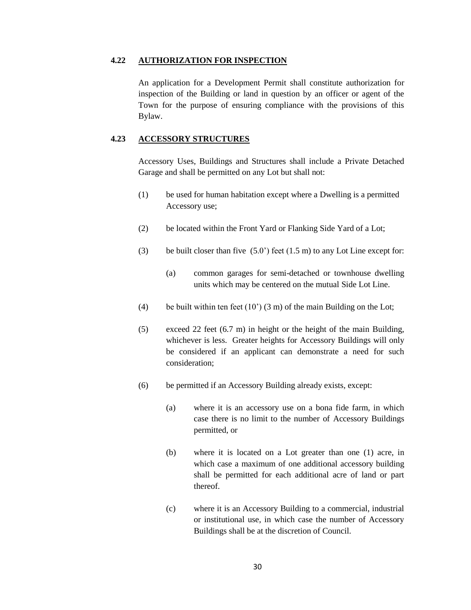#### **4.22 AUTHORIZATION FOR INSPECTION**

An application for a Development Permit shall constitute authorization for inspection of the Building or land in question by an officer or agent of the Town for the purpose of ensuring compliance with the provisions of this Bylaw.

#### **4.23 ACCESSORY STRUCTURES**

Accessory Uses, Buildings and Structures shall include a Private Detached Garage and shall be permitted on any Lot but shall not:

- (1) be used for human habitation except where a Dwelling is a permitted Accessory use;
- (2) be located within the Front Yard or Flanking Side Yard of a Lot;
- (3) be built closer than five  $(5.0^{\circ})$  feet  $(1.5 \text{ m})$  to any Lot Line except for:
	- (a) common garages for semi-detached or townhouse dwelling units which may be centered on the mutual Side Lot Line.
- (4) be built within ten feet  $(10')$  (3 m) of the main Building on the Lot;
- (5) exceed 22 feet (6.7 m) in height or the height of the main Building, whichever is less. Greater heights for Accessory Buildings will only be considered if an applicant can demonstrate a need for such consideration;
- (6) be permitted if an Accessory Building already exists, except:
	- (a) where it is an accessory use on a bona fide farm, in which case there is no limit to the number of Accessory Buildings permitted, or
	- (b) where it is located on a Lot greater than one (1) acre, in which case a maximum of one additional accessory building shall be permitted for each additional acre of land or part thereof.
	- (c) where it is an Accessory Building to a commercial, industrial or institutional use, in which case the number of Accessory Buildings shall be at the discretion of Council.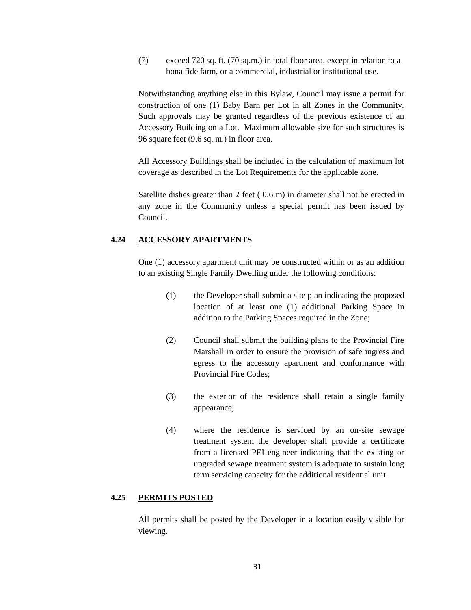(7) exceed 720 sq. ft. (70 sq.m.) in total floor area, except in relation to a bona fide farm, or a commercial, industrial or institutional use.

Notwithstanding anything else in this Bylaw, Council may issue a permit for construction of one (1) Baby Barn per Lot in all Zones in the Community. Such approvals may be granted regardless of the previous existence of an Accessory Building on a Lot. Maximum allowable size for such structures is 96 square feet (9.6 sq. m.) in floor area.

All Accessory Buildings shall be included in the calculation of maximum lot coverage as described in the Lot Requirements for the applicable zone.

Satellite dishes greater than 2 feet ( 0.6 m) in diameter shall not be erected in any zone in the Community unless a special permit has been issued by Council.

## **4.24 ACCESSORY APARTMENTS**

One (1) accessory apartment unit may be constructed within or as an addition to an existing Single Family Dwelling under the following conditions:

- (1) the Developer shall submit a site plan indicating the proposed location of at least one (1) additional Parking Space in addition to the Parking Spaces required in the Zone;
- (2) Council shall submit the building plans to the Provincial Fire Marshall in order to ensure the provision of safe ingress and egress to the accessory apartment and conformance with Provincial Fire Codes;
- (3) the exterior of the residence shall retain a single family appearance;
- (4) where the residence is serviced by an on-site sewage treatment system the developer shall provide a certificate from a licensed PEI engineer indicating that the existing or upgraded sewage treatment system is adequate to sustain long term servicing capacity for the additional residential unit.

#### **4.25 PERMITS POSTED**

All permits shall be posted by the Developer in a location easily visible for viewing.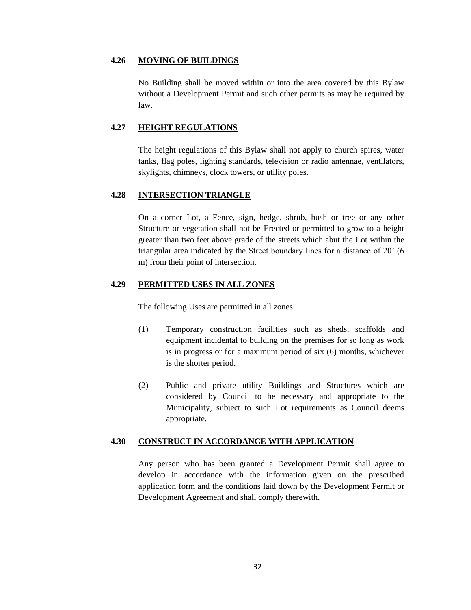#### **4.26 MOVING OF BUILDINGS**

No Building shall be moved within or into the area covered by this Bylaw without a Development Permit and such other permits as may be required by law.

## **4.27 HEIGHT REGULATIONS**

The height regulations of this Bylaw shall not apply to church spires, water tanks, flag poles, lighting standards, television or radio antennae, ventilators, skylights, chimneys, clock towers, or utility poles.

## **4.28 INTERSECTION TRIANGLE**

On a corner Lot, a Fence, sign, hedge, shrub, bush or tree or any other Structure or vegetation shall not be Erected or permitted to grow to a height greater than two feet above grade of the streets which abut the Lot within the triangular area indicated by the Street boundary lines for a distance of 20' (6 m) from their point of intersection.

#### **4.29 PERMITTED USES IN ALL ZONES**

The following Uses are permitted in all zones:

- (1) Temporary construction facilities such as sheds, scaffolds and equipment incidental to building on the premises for so long as work is in progress or for a maximum period of six (6) months, whichever is the shorter period.
- (2) Public and private utility Buildings and Structures which are considered by Council to be necessary and appropriate to the Municipality, subject to such Lot requirements as Council deems appropriate.

#### **4.30 CONSTRUCT IN ACCORDANCE WITH APPLICATION**

Any person who has been granted a Development Permit shall agree to develop in accordance with the information given on the prescribed application form and the conditions laid down by the Development Permit or Development Agreement and shall comply therewith.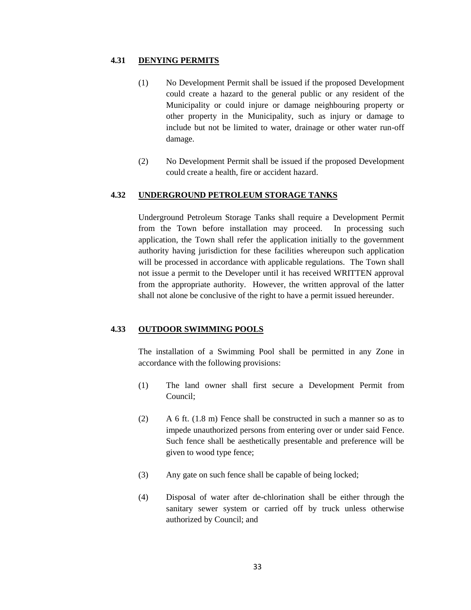#### **4.31 DENYING PERMITS**

- (1) No Development Permit shall be issued if the proposed Development could create a hazard to the general public or any resident of the Municipality or could injure or damage neighbouring property or other property in the Municipality, such as injury or damage to include but not be limited to water, drainage or other water run-off damage.
- (2) No Development Permit shall be issued if the proposed Development could create a health, fire or accident hazard.

## **4.32 UNDERGROUND PETROLEUM STORAGE TANKS**

Underground Petroleum Storage Tanks shall require a Development Permit from the Town before installation may proceed. In processing such application, the Town shall refer the application initially to the government authority having jurisdiction for these facilities whereupon such application will be processed in accordance with applicable regulations. The Town shall not issue a permit to the Developer until it has received WRITTEN approval from the appropriate authority. However, the written approval of the latter shall not alone be conclusive of the right to have a permit issued hereunder.

#### **4.33 OUTDOOR SWIMMING POOLS**

The installation of a Swimming Pool shall be permitted in any Zone in accordance with the following provisions:

- (1) The land owner shall first secure a Development Permit from Council;
- (2) A 6 ft. (1.8 m) Fence shall be constructed in such a manner so as to impede unauthorized persons from entering over or under said Fence. Such fence shall be aesthetically presentable and preference will be given to wood type fence;
- (3) Any gate on such fence shall be capable of being locked;
- (4) Disposal of water after de-chlorination shall be either through the sanitary sewer system or carried off by truck unless otherwise authorized by Council; and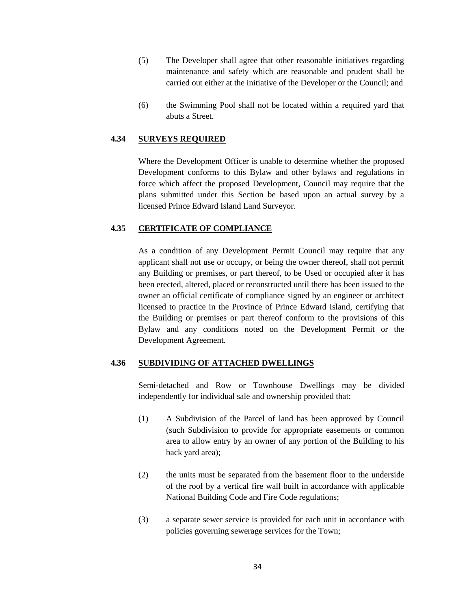- (5) The Developer shall agree that other reasonable initiatives regarding maintenance and safety which are reasonable and prudent shall be carried out either at the initiative of the Developer or the Council; and
- (6) the Swimming Pool shall not be located within a required yard that abuts a Street.

#### **4.34 SURVEYS REQUIRED**

Where the Development Officer is unable to determine whether the proposed Development conforms to this Bylaw and other bylaws and regulations in force which affect the proposed Development, Council may require that the plans submitted under this Section be based upon an actual survey by a licensed Prince Edward Island Land Surveyor.

## **4.35 CERTIFICATE OF COMPLIANCE**

As a condition of any Development Permit Council may require that any applicant shall not use or occupy, or being the owner thereof, shall not permit any Building or premises, or part thereof, to be Used or occupied after it has been erected, altered, placed or reconstructed until there has been issued to the owner an official certificate of compliance signed by an engineer or architect licensed to practice in the Province of Prince Edward Island, certifying that the Building or premises or part thereof conform to the provisions of this Bylaw and any conditions noted on the Development Permit or the Development Agreement.

#### **4.36 SUBDIVIDING OF ATTACHED DWELLINGS**

Semi-detached and Row or Townhouse Dwellings may be divided independently for individual sale and ownership provided that:

- (1) A Subdivision of the Parcel of land has been approved by Council (such Subdivision to provide for appropriate easements or common area to allow entry by an owner of any portion of the Building to his back yard area);
- (2) the units must be separated from the basement floor to the underside of the roof by a vertical fire wall built in accordance with applicable National Building Code and Fire Code regulations;
- (3) a separate sewer service is provided for each unit in accordance with policies governing sewerage services for the Town;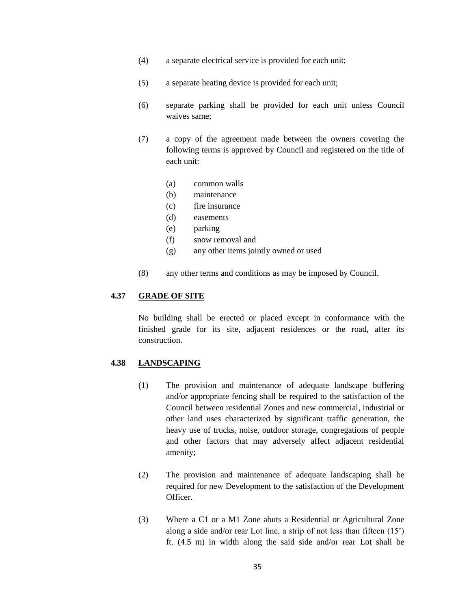- (4) a separate electrical service is provided for each unit;
- (5) a separate heating device is provided for each unit;
- (6) separate parking shall be provided for each unit unless Council waives same;
- (7) a copy of the agreement made between the owners covering the following terms is approved by Council and registered on the title of each unit:
	- (a) common walls
	- (b) maintenance
	- (c) fire insurance
	- (d) easements
	- (e) parking
	- (f) snow removal and
	- (g) any other items jointly owned or used
- (8) any other terms and conditions as may be imposed by Council.

#### **4.37 GRADE OF SITE**

No building shall be erected or placed except in conformance with the finished grade for its site, adjacent residences or the road, after its construction.

#### **4.38 LANDSCAPING**

- (1) The provision and maintenance of adequate landscape buffering and/or appropriate fencing shall be required to the satisfaction of the Council between residential Zones and new commercial, industrial or other land uses characterized by significant traffic generation, the heavy use of trucks, noise, outdoor storage, congregations of people and other factors that may adversely affect adjacent residential amenity;
- (2) The provision and maintenance of adequate landscaping shall be required for new Development to the satisfaction of the Development Officer.
- (3) Where a C1 or a M1 Zone abuts a Residential or Agricultural Zone along a side and/or rear Lot line, a strip of not less than fifteen (15') ft. (4.5 m) in width along the said side and/or rear Lot shall be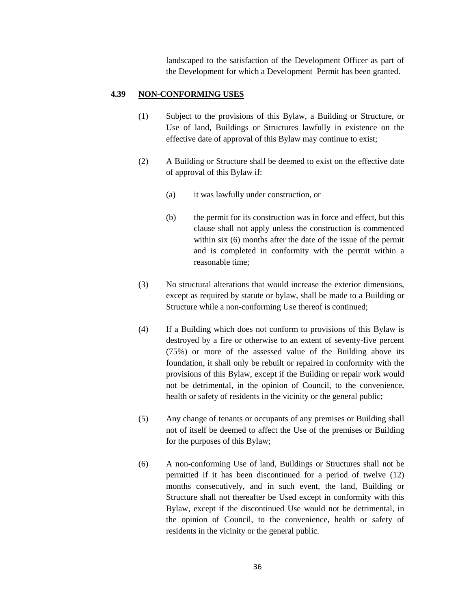landscaped to the satisfaction of the Development Officer as part of the Development for which a Development Permit has been granted.

#### **4.39 NON-CONFORMING USES**

- (1) Subject to the provisions of this Bylaw, a Building or Structure, or Use of land, Buildings or Structures lawfully in existence on the effective date of approval of this Bylaw may continue to exist;
- (2) A Building or Structure shall be deemed to exist on the effective date of approval of this Bylaw if:
	- (a) it was lawfully under construction, or
	- (b) the permit for its construction was in force and effect, but this clause shall not apply unless the construction is commenced within six (6) months after the date of the issue of the permit and is completed in conformity with the permit within a reasonable time;
- (3) No structural alterations that would increase the exterior dimensions, except as required by statute or bylaw, shall be made to a Building or Structure while a non-conforming Use thereof is continued;
- (4) If a Building which does not conform to provisions of this Bylaw is destroyed by a fire or otherwise to an extent of seventy-five percent (75%) or more of the assessed value of the Building above its foundation, it shall only be rebuilt or repaired in conformity with the provisions of this Bylaw, except if the Building or repair work would not be detrimental, in the opinion of Council, to the convenience, health or safety of residents in the vicinity or the general public;
- (5) Any change of tenants or occupants of any premises or Building shall not of itself be deemed to affect the Use of the premises or Building for the purposes of this Bylaw;
- (6) A non-conforming Use of land, Buildings or Structures shall not be permitted if it has been discontinued for a period of twelve (12) months consecutively, and in such event, the land, Building or Structure shall not thereafter be Used except in conformity with this Bylaw, except if the discontinued Use would not be detrimental, in the opinion of Council, to the convenience, health or safety of residents in the vicinity or the general public.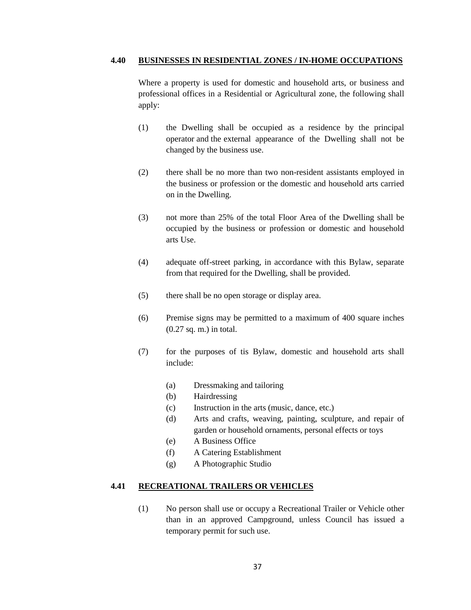#### **4.40 BUSINESSES IN RESIDENTIAL ZONES / IN-HOME OCCUPATIONS**

Where a property is used for domestic and household arts, or business and professional offices in a Residential or Agricultural zone, the following shall apply:

- (1) the Dwelling shall be occupied as a residence by the principal operator and the external appearance of the Dwelling shall not be changed by the business use.
- (2) there shall be no more than two non-resident assistants employed in the business or profession or the domestic and household arts carried on in the Dwelling.
- (3) not more than 25% of the total Floor Area of the Dwelling shall be occupied by the business or profession or domestic and household arts Use.
- (4) adequate off-street parking, in accordance with this Bylaw, separate from that required for the Dwelling, shall be provided.
- (5) there shall be no open storage or display area.
- (6) Premise signs may be permitted to a maximum of 400 square inches (0.27 sq. m.) in total.
- (7) for the purposes of tis Bylaw, domestic and household arts shall include:
	- (a) Dressmaking and tailoring
	- (b) Hairdressing
	- (c) Instruction in the arts (music, dance, etc.)
	- (d) Arts and crafts, weaving, painting, sculpture, and repair of garden or household ornaments, personal effects or toys
	- (e) A Business Office
	- (f) A Catering Establishment
	- (g) A Photographic Studio

## **4.41 RECREATIONAL TRAILERS OR VEHICLES**

(1) No person shall use or occupy a Recreational Trailer or Vehicle other than in an approved Campground, unless Council has issued a temporary permit for such use.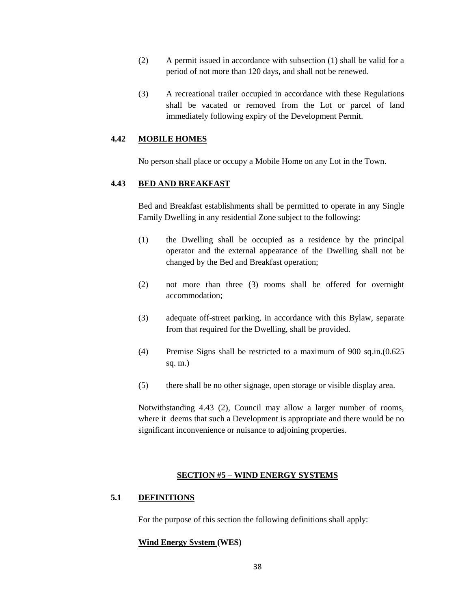- (2) A permit issued in accordance with subsection (1) shall be valid for a period of not more than 120 days, and shall not be renewed.
- (3) A recreational trailer occupied in accordance with these Regulations shall be vacated or removed from the Lot or parcel of land immediately following expiry of the Development Permit.

#### **4.42 MOBILE HOMES**

No person shall place or occupy a Mobile Home on any Lot in the Town.

## **4.43 BED AND BREAKFAST**

Bed and Breakfast establishments shall be permitted to operate in any Single Family Dwelling in any residential Zone subject to the following:

- (1) the Dwelling shall be occupied as a residence by the principal operator and the external appearance of the Dwelling shall not be changed by the Bed and Breakfast operation;
- (2) not more than three (3) rooms shall be offered for overnight accommodation;
- (3) adequate off-street parking, in accordance with this Bylaw, separate from that required for the Dwelling, shall be provided.
- (4) Premise Signs shall be restricted to a maximum of 900 sq.in.(0.625 sq. m.)
- (5) there shall be no other signage, open storage or visible display area.

Notwithstanding 4.43 (2), Council may allow a larger number of rooms, where it deems that such a Development is appropriate and there would be no significant inconvenience or nuisance to adjoining properties.

#### **SECTION #5 – WIND ENERGY SYSTEMS**

## **5.1 DEFINITIONS**

For the purpose of this section the following definitions shall apply:

## **Wind Energy System (WES)**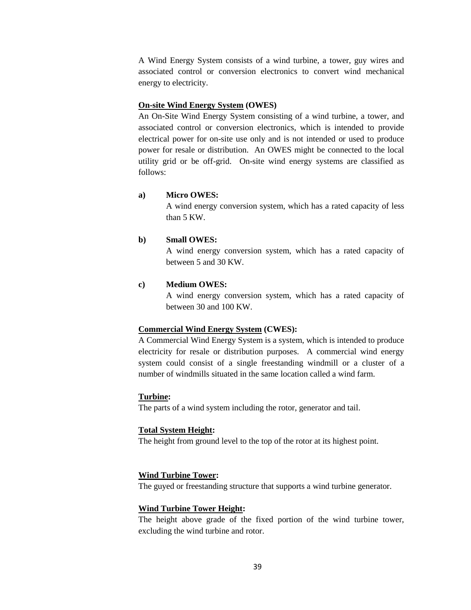A Wind Energy System consists of a wind turbine, a tower, guy wires and associated control or conversion electronics to convert wind mechanical energy to electricity.

### **On-site Wind Energy System (OWES)**

An On-Site Wind Energy System consisting of a wind turbine, a tower, and associated control or conversion electronics, which is intended to provide electrical power for on-site use only and is not intended or used to produce power for resale or distribution. An OWES might be connected to the local utility grid or be off-grid. On-site wind energy systems are classified as follows:

### **a) Micro OWES:**

A wind energy conversion system, which has a rated capacity of less than 5 KW.

### **b) Small OWES:**

A wind energy conversion system, which has a rated capacity of between 5 and 30 KW.

### **c) Medium OWES:**

A wind energy conversion system, which has a rated capacity of between 30 and 100 KW.

#### **Commercial Wind Energy System (CWES):**

A Commercial Wind Energy System is a system, which is intended to produce electricity for resale or distribution purposes. A commercial wind energy system could consist of a single freestanding windmill or a cluster of a number of windmills situated in the same location called a wind farm.

#### **Turbine:**

The parts of a wind system including the rotor, generator and tail.

#### **Total System Height:**

The height from ground level to the top of the rotor at its highest point.

### **Wind Turbine Tower:**

The guyed or freestanding structure that supports a wind turbine generator.

#### **Wind Turbine Tower Height:**

The height above grade of the fixed portion of the wind turbine tower, excluding the wind turbine and rotor.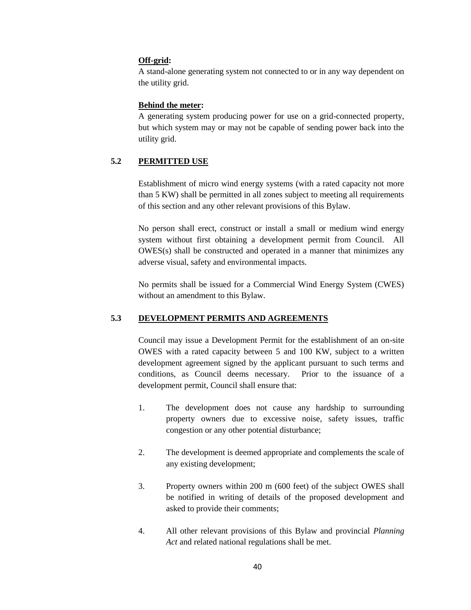## **Off-grid:**

A stand-alone generating system not connected to or in any way dependent on the utility grid.

#### **Behind the meter:**

A generating system producing power for use on a grid-connected property, but which system may or may not be capable of sending power back into the utility grid.

## **5.2 PERMITTED USE**

Establishment of micro wind energy systems (with a rated capacity not more than 5 KW) shall be permitted in all zones subject to meeting all requirements of this section and any other relevant provisions of this Bylaw.

No person shall erect, construct or install a small or medium wind energy system without first obtaining a development permit from Council. All OWES(s) shall be constructed and operated in a manner that minimizes any adverse visual, safety and environmental impacts.

No permits shall be issued for a Commercial Wind Energy System (CWES) without an amendment to this Bylaw.

## **5.3 DEVELOPMENT PERMITS AND AGREEMENTS**

Council may issue a Development Permit for the establishment of an on-site OWES with a rated capacity between 5 and 100 KW, subject to a written development agreement signed by the applicant pursuant to such terms and conditions, as Council deems necessary. Prior to the issuance of a development permit, Council shall ensure that:

- 1. The development does not cause any hardship to surrounding property owners due to excessive noise, safety issues, traffic congestion or any other potential disturbance;
- 2. The development is deemed appropriate and complements the scale of any existing development;
- 3. Property owners within 200 m (600 feet) of the subject OWES shall be notified in writing of details of the proposed development and asked to provide their comments;
- 4. All other relevant provisions of this Bylaw and provincial *Planning Act* and related national regulations shall be met.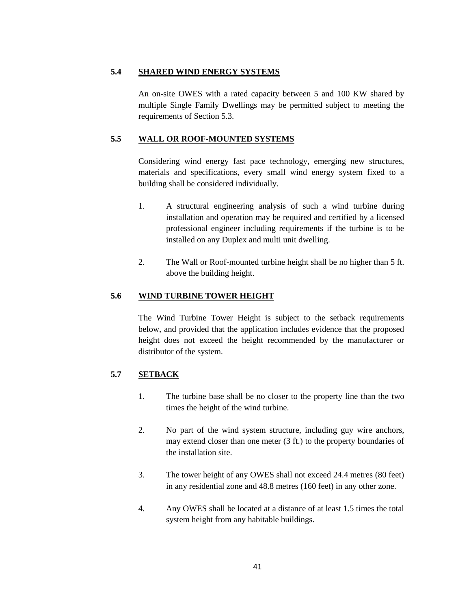## **5.4 SHARED WIND ENERGY SYSTEMS**

An on-site OWES with a rated capacity between 5 and 100 KW shared by multiple Single Family Dwellings may be permitted subject to meeting the requirements of Section 5.3.

## **5.5 WALL OR ROOF-MOUNTED SYSTEMS**

Considering wind energy fast pace technology, emerging new structures, materials and specifications, every small wind energy system fixed to a building shall be considered individually.

- 1. A structural engineering analysis of such a wind turbine during installation and operation may be required and certified by a licensed professional engineer including requirements if the turbine is to be installed on any Duplex and multi unit dwelling.
- 2. The Wall or Roof-mounted turbine height shall be no higher than 5 ft. above the building height.

# **5.6 WIND TURBINE TOWER HEIGHT**

The Wind Turbine Tower Height is subject to the setback requirements below, and provided that the application includes evidence that the proposed height does not exceed the height recommended by the manufacturer or distributor of the system.

# **5.7 SETBACK**

- 1. The turbine base shall be no closer to the property line than the two times the height of the wind turbine.
- 2. No part of the wind system structure, including guy wire anchors, may extend closer than one meter (3 ft.) to the property boundaries of the installation site.
- 3. The tower height of any OWES shall not exceed 24.4 metres (80 feet) in any residential zone and 48.8 metres (160 feet) in any other zone.
- 4. Any OWES shall be located at a distance of at least 1.5 times the total system height from any habitable buildings.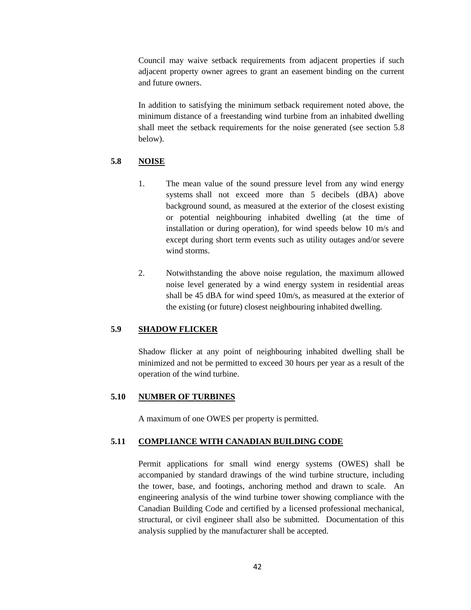Council may waive setback requirements from adjacent properties if such adjacent property owner agrees to grant an easement binding on the current and future owners.

In addition to satisfying the minimum setback requirement noted above, the minimum distance of a freestanding wind turbine from an inhabited dwelling shall meet the setback requirements for the noise generated (see section 5.8 below).

## **5.8 NOISE**

- 1. The mean value of the sound pressure level from any wind energy systems shall not exceed more than 5 decibels (dBA) above background sound, as measured at the exterior of the closest existing or potential neighbouring inhabited dwelling (at the time of installation or during operation), for wind speeds below 10 m/s and except during short term events such as utility outages and/or severe wind storms.
- 2. Notwithstanding the above noise regulation, the maximum allowed noise level generated by a wind energy system in residential areas shall be 45 dBA for wind speed 10m/s, as measured at the exterior of the existing (or future) closest neighbouring inhabited dwelling.

## **5.9 SHADOW FLICKER**

Shadow flicker at any point of neighbouring inhabited dwelling shall be minimized and not be permitted to exceed 30 hours per year as a result of the operation of the wind turbine.

## **5.10 NUMBER OF TURBINES**

A maximum of one OWES per property is permitted.

## **5.11 COMPLIANCE WITH CANADIAN BUILDING CODE**

Permit applications for small wind energy systems (OWES) shall be accompanied by standard drawings of the wind turbine structure, including the tower, base, and footings, anchoring method and drawn to scale. An engineering analysis of the wind turbine tower showing compliance with the Canadian Building Code and certified by a licensed professional mechanical, structural, or civil engineer shall also be submitted. Documentation of this analysis supplied by the manufacturer shall be accepted.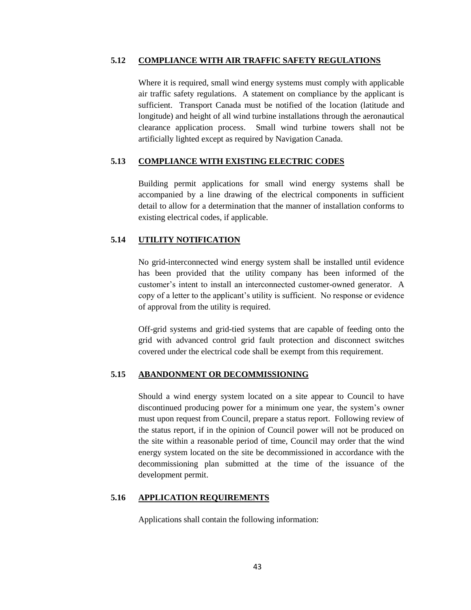### **5.12 COMPLIANCE WITH AIR TRAFFIC SAFETY REGULATIONS**

Where it is required, small wind energy systems must comply with applicable air traffic safety regulations. A statement on compliance by the applicant is sufficient. Transport Canada must be notified of the location (latitude and longitude) and height of all wind turbine installations through the aeronautical clearance application process. Small wind turbine towers shall not be artificially lighted except as required by Navigation Canada.

## **5.13 COMPLIANCE WITH EXISTING ELECTRIC CODES**

Building permit applications for small wind energy systems shall be accompanied by a line drawing of the electrical components in sufficient detail to allow for a determination that the manner of installation conforms to existing electrical codes, if applicable.

## **5.14 UTILITY NOTIFICATION**

No grid-interconnected wind energy system shall be installed until evidence has been provided that the utility company has been informed of the customer's intent to install an interconnected customer-owned generator. A copy of a letter to the applicant's utility is sufficient. No response or evidence of approval from the utility is required.

Off-grid systems and grid-tied systems that are capable of feeding onto the grid with advanced control grid fault protection and disconnect switches covered under the electrical code shall be exempt from this requirement.

## **5.15 ABANDONMENT OR DECOMMISSIONING**

Should a wind energy system located on a site appear to Council to have discontinued producing power for a minimum one year, the system's owner must upon request from Council, prepare a status report. Following review of the status report, if in the opinion of Council power will not be produced on the site within a reasonable period of time, Council may order that the wind energy system located on the site be decommissioned in accordance with the decommissioning plan submitted at the time of the issuance of the development permit.

# **5.16 APPLICATION REQUIREMENTS**

Applications shall contain the following information: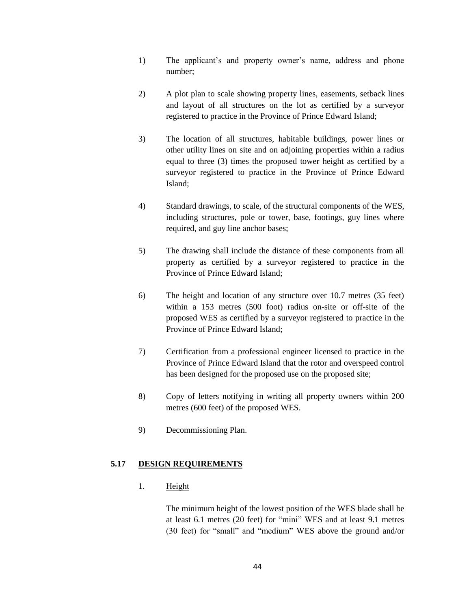- 1) The applicant's and property owner's name, address and phone number;
- 2) A plot plan to scale showing property lines, easements, setback lines and layout of all structures on the lot as certified by a surveyor registered to practice in the Province of Prince Edward Island;
- 3) The location of all structures, habitable buildings, power lines or other utility lines on site and on adjoining properties within a radius equal to three (3) times the proposed tower height as certified by a surveyor registered to practice in the Province of Prince Edward Island;
- 4) Standard drawings, to scale, of the structural components of the WES, including structures, pole or tower, base, footings, guy lines where required, and guy line anchor bases;
- 5) The drawing shall include the distance of these components from all property as certified by a surveyor registered to practice in the Province of Prince Edward Island;
- 6) The height and location of any structure over 10.7 metres (35 feet) within a 153 metres (500 foot) radius on-site or off-site of the proposed WES as certified by a surveyor registered to practice in the Province of Prince Edward Island;
- 7) Certification from a professional engineer licensed to practice in the Province of Prince Edward Island that the rotor and overspeed control has been designed for the proposed use on the proposed site;
- 8) Copy of letters notifying in writing all property owners within 200 metres (600 feet) of the proposed WES.
- 9) Decommissioning Plan.

# **5.17 DESIGN REQUIREMENTS**

1. Height

The minimum height of the lowest position of the WES blade shall be at least 6.1 metres (20 feet) for "mini" WES and at least 9.1 metres (30 feet) for "small" and "medium" WES above the ground and/or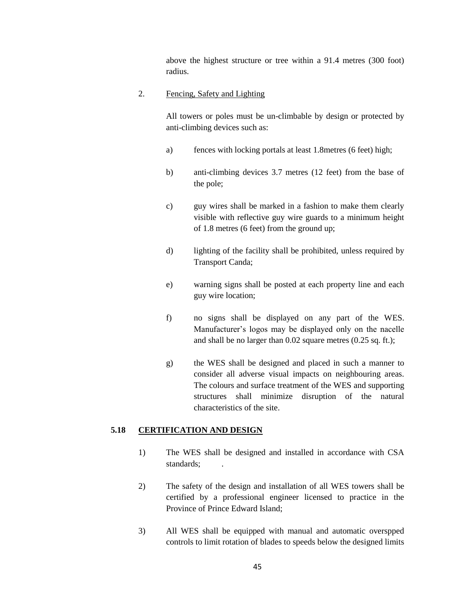above the highest structure or tree within a 91.4 metres (300 foot) radius.

## 2. Fencing, Safety and Lighting

All towers or poles must be un-climbable by design or protected by anti-climbing devices such as:

- a) fences with locking portals at least 1.8metres (6 feet) high;
- b) anti-climbing devices 3.7 metres (12 feet) from the base of the pole;
- c) guy wires shall be marked in a fashion to make them clearly visible with reflective guy wire guards to a minimum height of 1.8 metres (6 feet) from the ground up;
- d) lighting of the facility shall be prohibited, unless required by Transport Canda;
- e) warning signs shall be posted at each property line and each guy wire location;
- f) no signs shall be displayed on any part of the WES. Manufacturer's logos may be displayed only on the nacelle and shall be no larger than 0.02 square metres (0.25 sq. ft.);
- g) the WES shall be designed and placed in such a manner to consider all adverse visual impacts on neighbouring areas. The colours and surface treatment of the WES and supporting structures shall minimize disruption of the natural characteristics of the site.

# **5.18 CERTIFICATION AND DESIGN**

- 1) The WES shall be designed and installed in accordance with CSA standards;
- 2) The safety of the design and installation of all WES towers shall be certified by a professional engineer licensed to practice in the Province of Prince Edward Island;
- 3) All WES shall be equipped with manual and automatic overspped controls to limit rotation of blades to speeds below the designed limits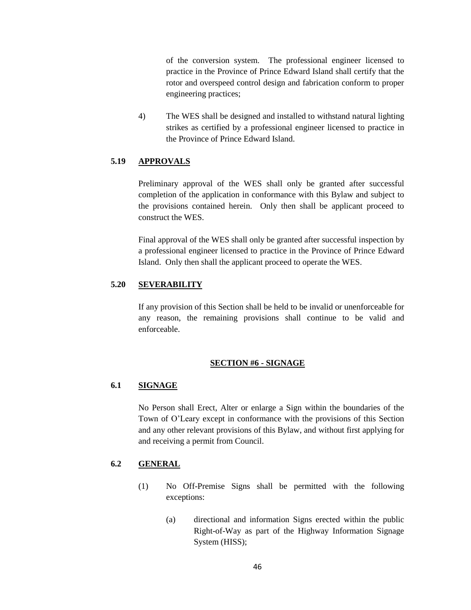of the conversion system. The professional engineer licensed to practice in the Province of Prince Edward Island shall certify that the rotor and overspeed control design and fabrication conform to proper engineering practices;

4) The WES shall be designed and installed to withstand natural lighting strikes as certified by a professional engineer licensed to practice in the Province of Prince Edward Island.

# **5.19 APPROVALS**

Preliminary approval of the WES shall only be granted after successful completion of the application in conformance with this Bylaw and subject to the provisions contained herein. Only then shall be applicant proceed to construct the WES.

Final approval of the WES shall only be granted after successful inspection by a professional engineer licensed to practice in the Province of Prince Edward Island. Only then shall the applicant proceed to operate the WES.

## **5.20 SEVERABILITY**

If any provision of this Section shall be held to be invalid or unenforceable for any reason, the remaining provisions shall continue to be valid and enforceable.

#### **SECTION #6 - SIGNAGE**

## **6.1 SIGNAGE**

No Person shall Erect, Alter or enlarge a Sign within the boundaries of the Town of O'Leary except in conformance with the provisions of this Section and any other relevant provisions of this Bylaw, and without first applying for and receiving a permit from Council.

# **6.2 GENERAL**

- (1) No Off-Premise Signs shall be permitted with the following exceptions:
	- (a) directional and information Signs erected within the public Right-of-Way as part of the Highway Information Signage System (HISS);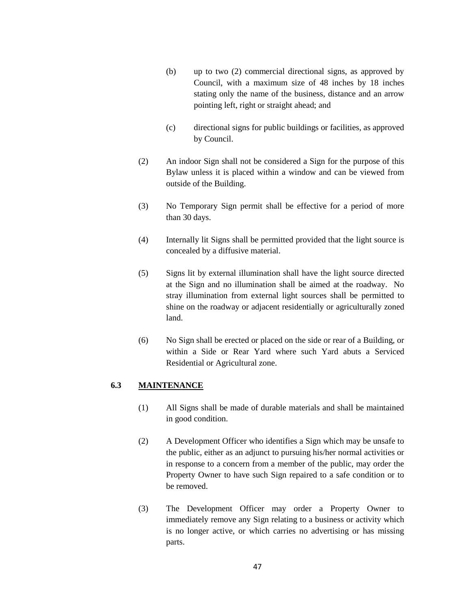- (b) up to two (2) commercial directional signs, as approved by Council, with a maximum size of 48 inches by 18 inches stating only the name of the business, distance and an arrow pointing left, right or straight ahead; and
- (c) directional signs for public buildings or facilities, as approved by Council.
- (2) An indoor Sign shall not be considered a Sign for the purpose of this Bylaw unless it is placed within a window and can be viewed from outside of the Building.
- (3) No Temporary Sign permit shall be effective for a period of more than 30 days.
- (4) Internally lit Signs shall be permitted provided that the light source is concealed by a diffusive material.
- (5) Signs lit by external illumination shall have the light source directed at the Sign and no illumination shall be aimed at the roadway. No stray illumination from external light sources shall be permitted to shine on the roadway or adjacent residentially or agriculturally zoned land.
- (6) No Sign shall be erected or placed on the side or rear of a Building, or within a Side or Rear Yard where such Yard abuts a Serviced Residential or Agricultural zone.

## **6.3 MAINTENANCE**

- (1) All Signs shall be made of durable materials and shall be maintained in good condition.
- (2) A Development Officer who identifies a Sign which may be unsafe to the public, either as an adjunct to pursuing his/her normal activities or in response to a concern from a member of the public, may order the Property Owner to have such Sign repaired to a safe condition or to be removed.
- (3) The Development Officer may order a Property Owner to immediately remove any Sign relating to a business or activity which is no longer active, or which carries no advertising or has missing parts.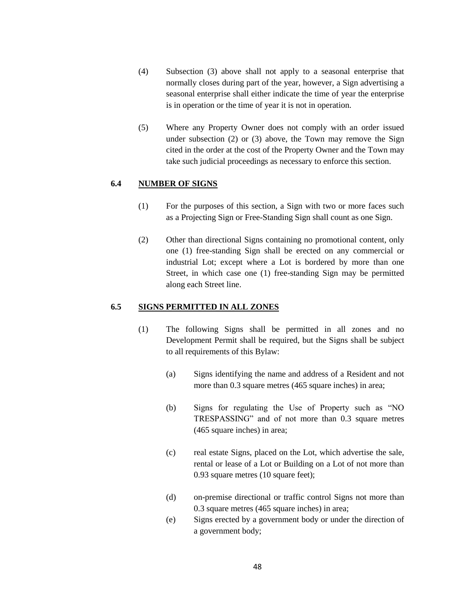- (4) Subsection (3) above shall not apply to a seasonal enterprise that normally closes during part of the year, however, a Sign advertising a seasonal enterprise shall either indicate the time of year the enterprise is in operation or the time of year it is not in operation.
- (5) Where any Property Owner does not comply with an order issued under subsection (2) or (3) above, the Town may remove the Sign cited in the order at the cost of the Property Owner and the Town may take such judicial proceedings as necessary to enforce this section.

## **6.4 NUMBER OF SIGNS**

- (1) For the purposes of this section, a Sign with two or more faces such as a Projecting Sign or Free-Standing Sign shall count as one Sign.
- (2) Other than directional Signs containing no promotional content, only one (1) free-standing Sign shall be erected on any commercial or industrial Lot; except where a Lot is bordered by more than one Street, in which case one (1) free-standing Sign may be permitted along each Street line.

## **6.5 SIGNS PERMITTED IN ALL ZONES**

- (1) The following Signs shall be permitted in all zones and no Development Permit shall be required, but the Signs shall be subject to all requirements of this Bylaw:
	- (a) Signs identifying the name and address of a Resident and not more than 0.3 square metres (465 square inches) in area;
	- (b) Signs for regulating the Use of Property such as "NO TRESPASSING" and of not more than 0.3 square metres (465 square inches) in area;
	- (c) real estate Signs, placed on the Lot, which advertise the sale, rental or lease of a Lot or Building on a Lot of not more than 0.93 square metres (10 square feet);
	- (d) on-premise directional or traffic control Signs not more than 0.3 square metres (465 square inches) in area;
	- (e) Signs erected by a government body or under the direction of a government body;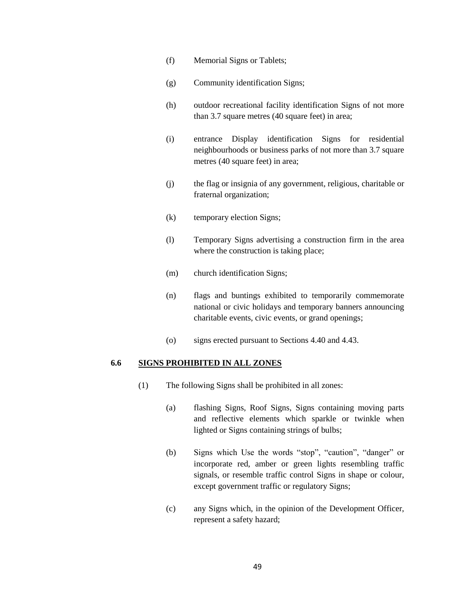- (f) Memorial Signs or Tablets;
- (g) Community identification Signs;
- (h) outdoor recreational facility identification Signs of not more than 3.7 square metres (40 square feet) in area;
- (i) entrance Display identification Signs for residential neighbourhoods or business parks of not more than 3.7 square metres (40 square feet) in area;
- (j) the flag or insignia of any government, religious, charitable or fraternal organization;
- (k) temporary election Signs;
- (l) Temporary Signs advertising a construction firm in the area where the construction is taking place;
- (m) church identification Signs;
- (n) flags and buntings exhibited to temporarily commemorate national or civic holidays and temporary banners announcing charitable events, civic events, or grand openings;
- (o) signs erected pursuant to Sections 4.40 and 4.43.

#### **6.6 SIGNS PROHIBITED IN ALL ZONES**

- (1) The following Signs shall be prohibited in all zones:
	- (a) flashing Signs, Roof Signs, Signs containing moving parts and reflective elements which sparkle or twinkle when lighted or Signs containing strings of bulbs;
	- (b) Signs which Use the words "stop", "caution", "danger" or incorporate red, amber or green lights resembling traffic signals, or resemble traffic control Signs in shape or colour, except government traffic or regulatory Signs;
	- (c) any Signs which, in the opinion of the Development Officer, represent a safety hazard;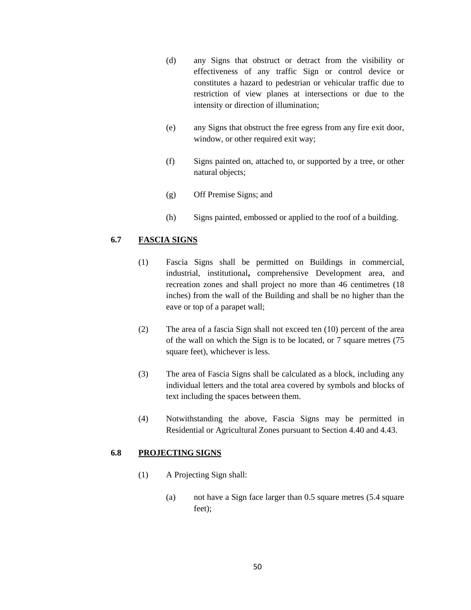- (d) any Signs that obstruct or detract from the visibility or effectiveness of any traffic Sign or control device or constitutes a hazard to pedestrian or vehicular traffic due to restriction of view planes at intersections or due to the intensity or direction of illumination;
- (e) any Signs that obstruct the free egress from any fire exit door, window, or other required exit way;
- (f) Signs painted on, attached to, or supported by a tree, or other natural objects;
- (g) Off Premise Signs; and
- (h) Signs painted, embossed or applied to the roof of a building.

## **6.7 FASCIA SIGNS**

- (1) Fascia Signs shall be permitted on Buildings in commercial, industrial, institutional**,** comprehensive Development area, and recreation zones and shall project no more than 46 centimetres (18 inches) from the wall of the Building and shall be no higher than the eave or top of a parapet wall;
- (2) The area of a fascia Sign shall not exceed ten (10) percent of the area of the wall on which the Sign is to be located, or 7 square metres (75 square feet), whichever is less.
- (3) The area of Fascia Signs shall be calculated as a block, including any individual letters and the total area covered by symbols and blocks of text including the spaces between them.
- (4) Notwithstanding the above, Fascia Signs may be permitted in Residential or Agricultural Zones pursuant to Section 4.40 and 4.43.

## **6.8 PROJECTING SIGNS**

- (1) A Projecting Sign shall:
	- (a) not have a Sign face larger than 0.5 square metres (5.4 square feet);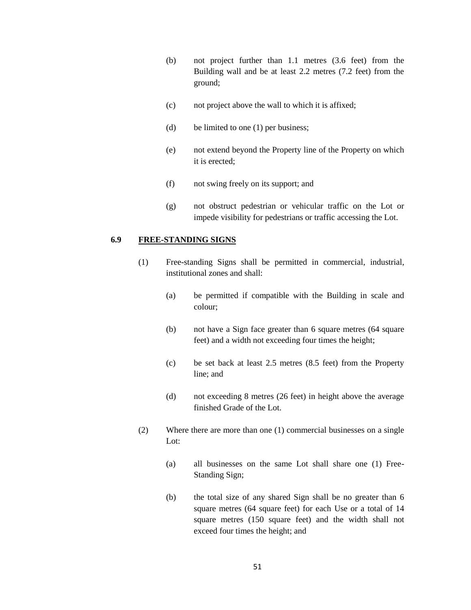- (b) not project further than 1.1 metres (3.6 feet) from the Building wall and be at least 2.2 metres (7.2 feet) from the ground;
- (c) not project above the wall to which it is affixed;
- (d) be limited to one (1) per business;
- (e) not extend beyond the Property line of the Property on which it is erected;
- (f) not swing freely on its support; and
- (g) not obstruct pedestrian or vehicular traffic on the Lot or impede visibility for pedestrians or traffic accessing the Lot.

#### **6.9 FREE-STANDING SIGNS**

- (1) Free-standing Signs shall be permitted in commercial, industrial, institutional zones and shall:
	- (a) be permitted if compatible with the Building in scale and colour;
	- (b) not have a Sign face greater than 6 square metres (64 square feet) and a width not exceeding four times the height;
	- (c) be set back at least 2.5 metres (8.5 feet) from the Property line; and
	- (d) not exceeding 8 metres (26 feet) in height above the average finished Grade of the Lot.
- (2) Where there are more than one (1) commercial businesses on a single Lot:
	- (a) all businesses on the same Lot shall share one (1) Free-Standing Sign;
	- (b) the total size of any shared Sign shall be no greater than 6 square metres (64 square feet) for each Use or a total of 14 square metres (150 square feet) and the width shall not exceed four times the height; and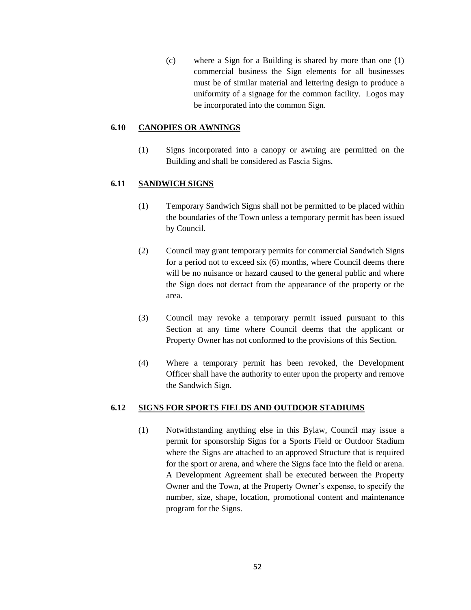(c) where a Sign for a Building is shared by more than one (1) commercial business the Sign elements for all businesses must be of similar material and lettering design to produce a uniformity of a signage for the common facility. Logos may be incorporated into the common Sign.

## **6.10 CANOPIES OR AWNINGS**

(1) Signs incorporated into a canopy or awning are permitted on the Building and shall be considered as Fascia Signs.

## **6.11 SANDWICH SIGNS**

- (1) Temporary Sandwich Signs shall not be permitted to be placed within the boundaries of the Town unless a temporary permit has been issued by Council.
- (2) Council may grant temporary permits for commercial Sandwich Signs for a period not to exceed six (6) months, where Council deems there will be no nuisance or hazard caused to the general public and where the Sign does not detract from the appearance of the property or the area.
- (3) Council may revoke a temporary permit issued pursuant to this Section at any time where Council deems that the applicant or Property Owner has not conformed to the provisions of this Section.
- (4) Where a temporary permit has been revoked, the Development Officer shall have the authority to enter upon the property and remove the Sandwich Sign.

## **6.12 SIGNS FOR SPORTS FIELDS AND OUTDOOR STADIUMS**

(1) Notwithstanding anything else in this Bylaw, Council may issue a permit for sponsorship Signs for a Sports Field or Outdoor Stadium where the Signs are attached to an approved Structure that is required for the sport or arena, and where the Signs face into the field or arena. A Development Agreement shall be executed between the Property Owner and the Town, at the Property Owner's expense, to specify the number, size, shape, location, promotional content and maintenance program for the Signs.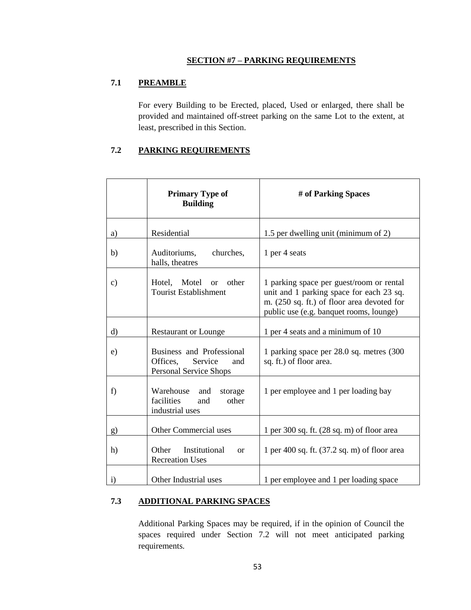## **SECTION #7 – PARKING REQUIREMENTS**

# **7.1 PREAMBLE**

For every Building to be Erected, placed, Used or enlarged, there shall be provided and maintained off-street parking on the same Lot to the extent, at least, prescribed in this Section.

# **7.2 PARKING REQUIREMENTS**

|              | <b>Primary Type of</b><br><b>Building</b>                                                | # of Parking Spaces                                                                                                                                                           |
|--------------|------------------------------------------------------------------------------------------|-------------------------------------------------------------------------------------------------------------------------------------------------------------------------------|
| a)           | Residential                                                                              | 1.5 per dwelling unit (minimum of 2)                                                                                                                                          |
| b)           | Auditoriums,<br>churches,<br>halls, theatres                                             | 1 per 4 seats                                                                                                                                                                 |
| c)           | Hotel, Motel or<br>other<br><b>Tourist Establishment</b>                                 | 1 parking space per guest/room or rental<br>unit and 1 parking space for each 23 sq.<br>m. (250 sq. ft.) of floor area devoted for<br>public use (e.g. banquet rooms, lounge) |
| $\rm d$      | <b>Restaurant or Lounge</b>                                                              | 1 per 4 seats and a minimum of 10                                                                                                                                             |
| e)           | Business and Professional<br>Offices.<br>Service<br>and<br><b>Personal Service Shops</b> | 1 parking space per 28.0 sq. metres (300)<br>sq. ft.) of floor area.                                                                                                          |
| f)           | Warehouse<br>and<br>storage<br>facilities<br>other<br>and<br>industrial uses             | 1 per employee and 1 per loading bay                                                                                                                                          |
| g)           | Other Commercial uses                                                                    | 1 per 300 sq. ft. $(28 \text{ sq. m})$ of floor area                                                                                                                          |
| h)           | Other<br>Institutional<br><b>or</b><br><b>Recreation Uses</b>                            | 1 per 400 sq. ft. $(37.2 \text{ sq. m})$ of floor area                                                                                                                        |
| $\mathbf{i}$ | Other Industrial uses                                                                    | 1 per employee and 1 per loading space                                                                                                                                        |

# **7.3 ADDITIONAL PARKING SPACES**

Additional Parking Spaces may be required, if in the opinion of Council the spaces required under Section 7.2 will not meet anticipated parking requirements.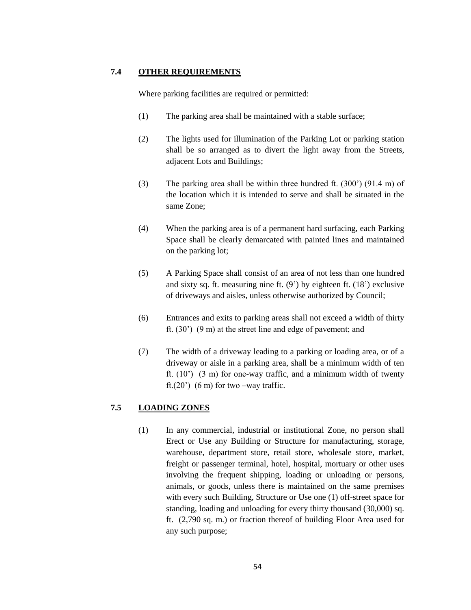## **7.4 OTHER REQUIREMENTS**

Where parking facilities are required or permitted:

- (1) The parking area shall be maintained with a stable surface;
- (2) The lights used for illumination of the Parking Lot or parking station shall be so arranged as to divert the light away from the Streets, adjacent Lots and Buildings;
- (3) The parking area shall be within three hundred ft. (300') (91.4 m) of the location which it is intended to serve and shall be situated in the same Zone;
- (4) When the parking area is of a permanent hard surfacing, each Parking Space shall be clearly demarcated with painted lines and maintained on the parking lot;
- (5) A Parking Space shall consist of an area of not less than one hundred and sixty sq. ft. measuring nine ft. (9') by eighteen ft. (18') exclusive of driveways and aisles, unless otherwise authorized by Council;
- (6) Entrances and exits to parking areas shall not exceed a width of thirty ft. (30') (9 m) at the street line and edge of pavement; and
- (7) The width of a driveway leading to a parking or loading area, or of a driveway or aisle in a parking area, shall be a minimum width of ten ft.  $(10^{\circ})$   $(3 \text{ m})$  for one-way traffic, and a minimum width of twenty ft. $(20')$  (6 m) for two –way traffic.

# **7.5 LOADING ZONES**

(1) In any commercial, industrial or institutional Zone, no person shall Erect or Use any Building or Structure for manufacturing, storage, warehouse, department store, retail store, wholesale store, market, freight or passenger terminal, hotel, hospital, mortuary or other uses involving the frequent shipping, loading or unloading or persons, animals, or goods, unless there is maintained on the same premises with every such Building, Structure or Use one (1) off-street space for standing, loading and unloading for every thirty thousand (30,000) sq. ft. (2,790 sq. m.) or fraction thereof of building Floor Area used for any such purpose;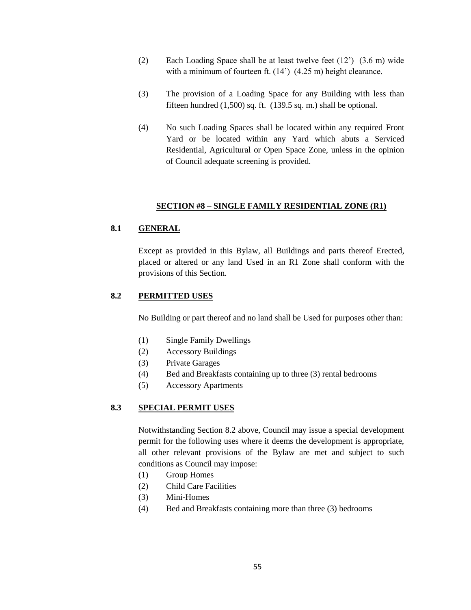- (2) Each Loading Space shall be at least twelve feet (12') (3.6 m) wide with a minimum of fourteen ft. (14') (4.25 m) height clearance.
- (3) The provision of a Loading Space for any Building with less than fifteen hundred  $(1,500)$  sq. ft.  $(139.5 \text{ sq. m.})$  shall be optional.
- (4) No such Loading Spaces shall be located within any required Front Yard or be located within any Yard which abuts a Serviced Residential, Agricultural or Open Space Zone, unless in the opinion of Council adequate screening is provided.

## **SECTION #8 – SINGLE FAMILY RESIDENTIAL ZONE (R1)**

## **8.1 GENERAL**

Except as provided in this Bylaw, all Buildings and parts thereof Erected, placed or altered or any land Used in an R1 Zone shall conform with the provisions of this Section.

## **8.2 PERMITTED USES**

No Building or part thereof and no land shall be Used for purposes other than:

- (1) Single Family Dwellings
- (2) Accessory Buildings
- (3) Private Garages
- (4) Bed and Breakfasts containing up to three (3) rental bedrooms
- (5) Accessory Apartments

## **8.3 SPECIAL PERMIT USES**

Notwithstanding Section 8.2 above, Council may issue a special development permit for the following uses where it deems the development is appropriate, all other relevant provisions of the Bylaw are met and subject to such conditions as Council may impose:

- (1) Group Homes
- (2) Child Care Facilities
- (3) Mini-Homes
- (4) Bed and Breakfasts containing more than three (3) bedrooms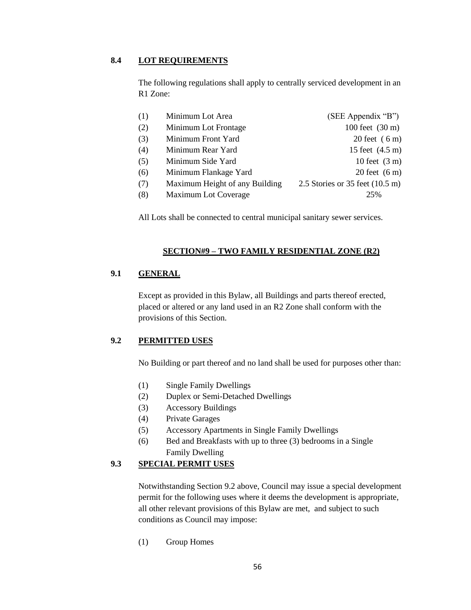# **8.4 LOT REQUIREMENTS**

The following regulations shall apply to centrally serviced development in an R1 Zone:

| (1) | Minimum Lot Area               | (SEE Appendix "B")                        |
|-----|--------------------------------|-------------------------------------------|
| (2) | Minimum Lot Frontage           | 100 feet $(30 \text{ m})$                 |
| (3) | Minimum Front Yard             | 20 feet $(6m)$                            |
| (4) | Minimum Rear Yard              | 15 feet (4.5 m)                           |
| (5) | Minimum Side Yard              | 10 feet $(3 m)$                           |
| (6) | Minimum Flankage Yard          | $20$ feet $(6 \text{ m})$                 |
| (7) | Maximum Height of any Building | 2.5 Stories or 35 feet $(10.5 \text{ m})$ |
| (8) | Maximum Lot Coverage           | 25%                                       |
|     |                                |                                           |

All Lots shall be connected to central municipal sanitary sewer services.

## **SECTION#9 – TWO FAMILY RESIDENTIAL ZONE (R2)**

# **9.1 GENERAL**

Except as provided in this Bylaw, all Buildings and parts thereof erected, placed or altered or any land used in an R2 Zone shall conform with the provisions of this Section.

## **9.2 PERMITTED USES**

No Building or part thereof and no land shall be used for purposes other than:

- (1) Single Family Dwellings
- (2) Duplex or Semi-Detached Dwellings
- (3) Accessory Buildings
- (4) Private Garages
- (5) Accessory Apartments in Single Family Dwellings
- (6) Bed and Breakfasts with up to three (3) bedrooms in a Single Family Dwelling

# **9.3 SPECIAL PERMIT USES**

Notwithstanding Section 9.2 above, Council may issue a special development permit for the following uses where it deems the development is appropriate, all other relevant provisions of this Bylaw are met, and subject to such conditions as Council may impose:

(1) Group Homes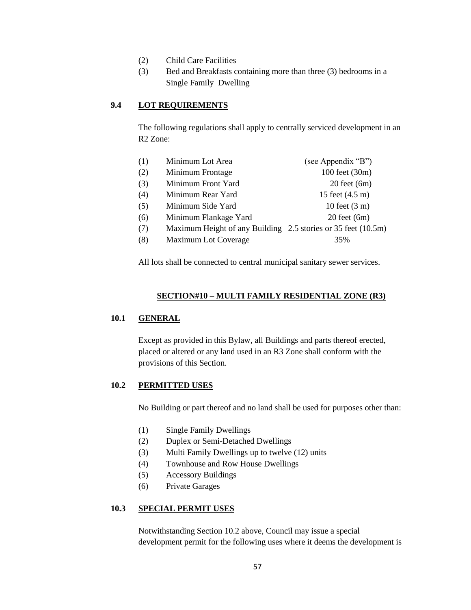- (2) Child Care Facilities
- (3) Bed and Breakfasts containing more than three (3) bedrooms in a Single Family Dwelling

## **9.4 LOT REQUIREMENTS**

The following regulations shall apply to centrally serviced development in an R2 Zone:

| (1) | Minimum Lot Area                                              | (see Appendix "B")      |
|-----|---------------------------------------------------------------|-------------------------|
| (2) | Minimum Frontage                                              | 100 feet (30m)          |
| (3) | Minimum Front Yard                                            | $20$ feet $(6m)$        |
| (4) | Minimum Rear Yard                                             | 15 feet (4.5 m)         |
| (5) | Minimum Side Yard                                             | 10 feet $(3 \text{ m})$ |
| (6) | Minimum Flankage Yard                                         | $20$ feet $(6m)$        |
| (7) | Maximum Height of any Building 2.5 stories or 35 feet (10.5m) |                         |
| (8) | Maximum Lot Coverage                                          | 35%                     |
|     |                                                               |                         |

All lots shall be connected to central municipal sanitary sewer services.

### **SECTION#10 – MULTI FAMILY RESIDENTIAL ZONE (R3)**

## **10.1 GENERAL**

Except as provided in this Bylaw, all Buildings and parts thereof erected, placed or altered or any land used in an R3 Zone shall conform with the provisions of this Section.

## **10.2 PERMITTED USES**

No Building or part thereof and no land shall be used for purposes other than:

- (1) Single Family Dwellings
- (2) Duplex or Semi-Detached Dwellings
- (3) Multi Family Dwellings up to twelve (12) units
- (4) Townhouse and Row House Dwellings
- (5) Accessory Buildings
- (6) Private Garages

## **10.3 SPECIAL PERMIT USES**

Notwithstanding Section 10.2 above, Council may issue a special development permit for the following uses where it deems the development is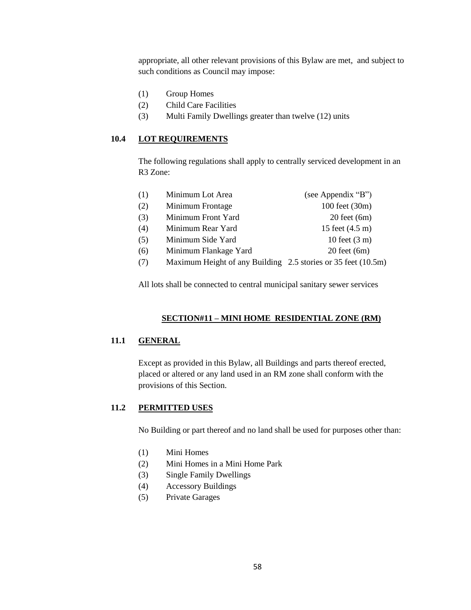appropriate, all other relevant provisions of this Bylaw are met, and subject to such conditions as Council may impose:

- (1) Group Homes
- (2) Child Care Facilities
- (3) Multi Family Dwellings greater than twelve (12) units

#### **10.4 LOT REQUIREMENTS**

The following regulations shall apply to centrally serviced development in an R3 Zone:

| 100 feet (30m)<br>(2)<br>Minimum Frontage<br>(3)<br>Minimum Front Yard<br>$20$ feet $(6m)$<br>(4)<br>15 feet (4.5 m)<br>Minimum Rear Yard |  |
|-------------------------------------------------------------------------------------------------------------------------------------------|--|
|                                                                                                                                           |  |
|                                                                                                                                           |  |
|                                                                                                                                           |  |
| (5)<br>10 feet $(3 \text{ m})$<br>Minimum Side Yard                                                                                       |  |
| $20$ feet $(6m)$<br>(6)<br>Minimum Flankage Yard                                                                                          |  |
| Maximum Height of any Building 2.5 stories or 35 feet (10.5m)<br>(7)                                                                      |  |

All lots shall be connected to central municipal sanitary sewer services

#### **SECTION#11 – MINI HOME RESIDENTIAL ZONE (RM)**

## **11.1 GENERAL**

Except as provided in this Bylaw, all Buildings and parts thereof erected, placed or altered or any land used in an RM zone shall conform with the provisions of this Section.

### **11.2 PERMITTED USES**

No Building or part thereof and no land shall be used for purposes other than:

- (1) Mini Homes
- (2) Mini Homes in a Mini Home Park
- (3) Single Family Dwellings
- (4) Accessory Buildings
- (5) Private Garages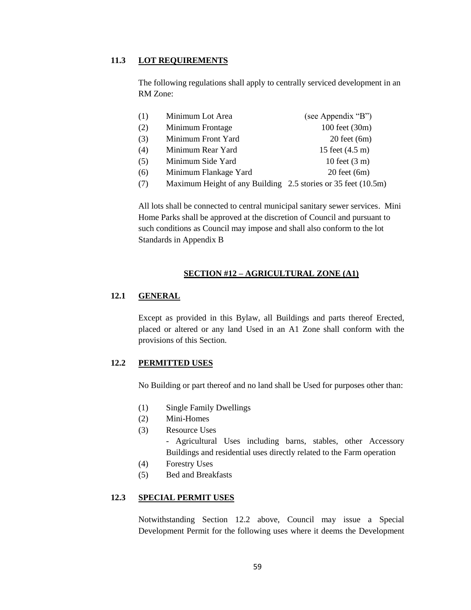### **11.3 LOT REQUIREMENTS**

The following regulations shall apply to centrally serviced development in an RM Zone:

| (1)        | Minimum Lot Area             | (see Appendix "B")      |
|------------|------------------------------|-------------------------|
| (2)        | Minimum Frontage             | 100 feet (30m)          |
| (3)        | Minimum Front Yard           | $20$ feet $(6m)$        |
| (4)        | Minimum Rear Yard            | 15 feet (4.5 m)         |
| (5)        | Minimum Side Yard            | 10 feet $(3 \text{ m})$ |
| (6)        | Minimum Flankage Yard        | $20$ feet $(6m)$        |
| $\sqrt{2}$ | M : H'ILL D'II' OF : OF (10F |                         |

(7) Maximum Height of any Building 2.5 stories or 35 feet (10.5m)

All lots shall be connected to central municipal sanitary sewer services. Mini Home Parks shall be approved at the discretion of Council and pursuant to such conditions as Council may impose and shall also conform to the lot Standards in Appendix B

## **SECTION #12 – AGRICULTURAL ZONE (A1)**

## **12.1 GENERAL**

Except as provided in this Bylaw, all Buildings and parts thereof Erected, placed or altered or any land Used in an A1 Zone shall conform with the provisions of this Section.

## **12.2 PERMITTED USES**

No Building or part thereof and no land shall be Used for purposes other than:

- (1) Single Family Dwellings
- (2) Mini-Homes
- (3) Resource Uses

- Agricultural Uses including barns, stables, other Accessory Buildings and residential uses directly related to the Farm operation

- (4) Forestry Uses
- (5) Bed and Breakfasts

# **12.3 SPECIAL PERMIT USES**

Notwithstanding Section 12.2 above, Council may issue a Special Development Permit for the following uses where it deems the Development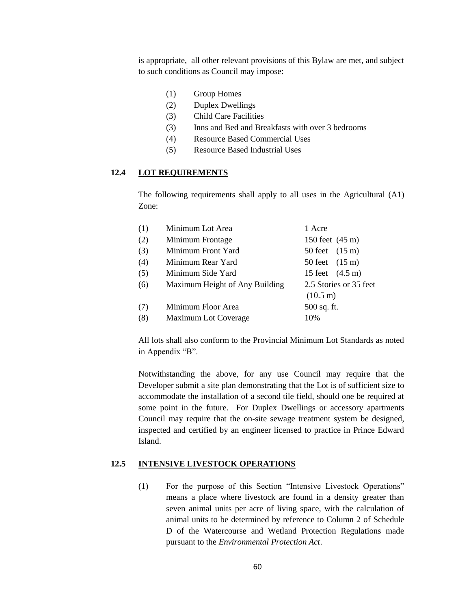is appropriate, all other relevant provisions of this Bylaw are met, and subject to such conditions as Council may impose:

- (1) Group Homes
- (2) Duplex Dwellings
- (3) Child Care Facilities
- (3) Inns and Bed and Breakfasts with over 3 bedrooms
- (4) Resource Based Commercial Uses
- (5) Resource Based Industrial Uses

#### **12.4 LOT REQUIREMENTS**

The following requirements shall apply to all uses in the Agricultural (A1) Zone:

| (1) | Minimum Lot Area               | 1 Acre                    |
|-----|--------------------------------|---------------------------|
| (2) | Minimum Frontage               | 150 feet (45 m)           |
| (3) | Minimum Front Yard             | 50 feet $(15 \text{ m})$  |
| (4) | Minimum Rear Yard              | 50 feet (15 m)            |
| (5) | Minimum Side Yard              | 15 feet $(4.5 \text{ m})$ |
| (6) | Maximum Height of Any Building | 2.5 Stories or 35 feet    |
|     |                                | $(10.5 \text{ m})$        |
| (7) | Minimum Floor Area             | 500 sq. ft.               |
| (8) | Maximum Lot Coverage           | 10%                       |
|     |                                |                           |

All lots shall also conform to the Provincial Minimum Lot Standards as noted in Appendix "B".

Notwithstanding the above, for any use Council may require that the Developer submit a site plan demonstrating that the Lot is of sufficient size to accommodate the installation of a second tile field, should one be required at some point in the future. For Duplex Dwellings or accessory apartments Council may require that the on-site sewage treatment system be designed, inspected and certified by an engineer licensed to practice in Prince Edward Island.

#### **12.5 INTENSIVE LIVESTOCK OPERATIONS**

(1) For the purpose of this Section "Intensive Livestock Operations" means a place where livestock are found in a density greater than seven animal units per acre of living space, with the calculation of animal units to be determined by reference to Column 2 of Schedule D of the Watercourse and Wetland Protection Regulations made pursuant to the *Environmental Protection Act*.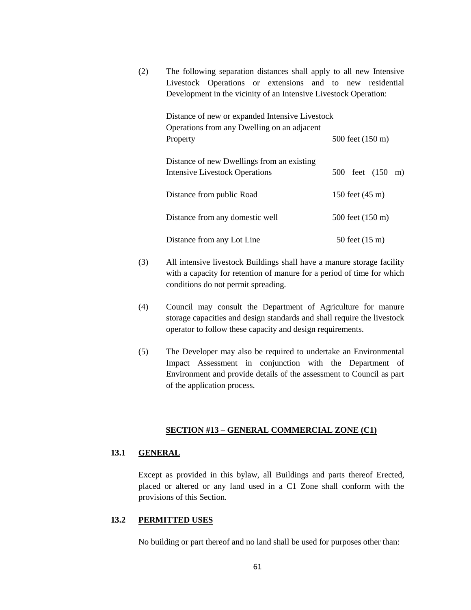(2) The following separation distances shall apply to all new Intensive Livestock Operations or extensions and to new residential Development in the vicinity of an Intensive Livestock Operation:

| Distance of new or expanded Intensive Livestock                                     |                  |  |
|-------------------------------------------------------------------------------------|------------------|--|
| Operations from any Dwelling on an adjacent<br>Property                             | 500 feet (150 m) |  |
| Distance of new Dwellings from an existing<br><b>Intensive Livestock Operations</b> | 500 feet (150 m) |  |
| Distance from public Road                                                           | 150 feet (45 m)  |  |
| Distance from any domestic well                                                     | 500 feet (150 m) |  |
| Distance from any Lot Line                                                          | 50 feet (15 m)   |  |

- (3) All intensive livestock Buildings shall have a manure storage facility with a capacity for retention of manure for a period of time for which conditions do not permit spreading.
- (4) Council may consult the Department of Agriculture for manure storage capacities and design standards and shall require the livestock operator to follow these capacity and design requirements.
- (5) The Developer may also be required to undertake an Environmental Impact Assessment in conjunction with the Department of Environment and provide details of the assessment to Council as part of the application process.

## **SECTION #13 – GENERAL COMMERCIAL ZONE (C1)**

## **13.1 GENERAL**

Except as provided in this bylaw, all Buildings and parts thereof Erected, placed or altered or any land used in a C1 Zone shall conform with the provisions of this Section.

## **13.2 PERMITTED USES**

No building or part thereof and no land shall be used for purposes other than: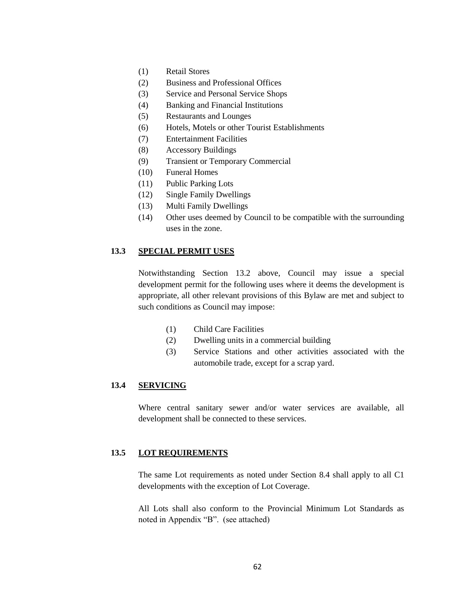- (1) Retail Stores
- (2) Business and Professional Offices
- (3) Service and Personal Service Shops
- (4) Banking and Financial Institutions
- (5) Restaurants and Lounges
- (6) Hotels, Motels or other Tourist Establishments
- (7) Entertainment Facilities
- (8) Accessory Buildings
- (9) Transient or Temporary Commercial
- (10) Funeral Homes
- (11) Public Parking Lots
- (12) Single Family Dwellings
- (13) Multi Family Dwellings
- (14) Other uses deemed by Council to be compatible with the surrounding uses in the zone.

## **13.3 SPECIAL PERMIT USES**

Notwithstanding Section 13.2 above, Council may issue a special development permit for the following uses where it deems the development is appropriate, all other relevant provisions of this Bylaw are met and subject to such conditions as Council may impose:

- (1) Child Care Facilities
- (2) Dwelling units in a commercial building
- (3) Service Stations and other activities associated with the automobile trade, except for a scrap yard.

## **13.4 SERVICING**

Where central sanitary sewer and/or water services are available, all development shall be connected to these services.

## **13.5 LOT REQUIREMENTS**

The same Lot requirements as noted under Section 8.4 shall apply to all C1 developments with the exception of Lot Coverage.

All Lots shall also conform to the Provincial Minimum Lot Standards as noted in Appendix "B". (see attached)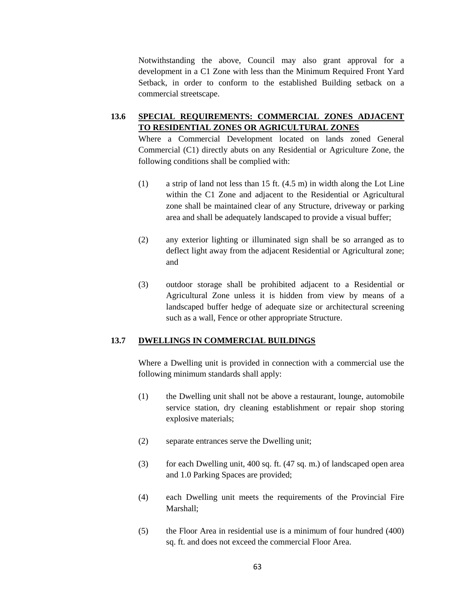Notwithstanding the above, Council may also grant approval for a development in a C1 Zone with less than the Minimum Required Front Yard Setback, in order to conform to the established Building setback on a commercial streetscape.

# **13.6 SPECIAL REQUIREMENTS: COMMERCIAL ZONES ADJACENT TO RESIDENTIAL ZONES OR AGRICULTURAL ZONES**

Where a Commercial Development located on lands zoned General Commercial (C1) directly abuts on any Residential or Agriculture Zone, the following conditions shall be complied with:

- (1) a strip of land not less than 15 ft. (4.5 m) in width along the Lot Line within the C1 Zone and adjacent to the Residential or Agricultural zone shall be maintained clear of any Structure, driveway or parking area and shall be adequately landscaped to provide a visual buffer;
- (2) any exterior lighting or illuminated sign shall be so arranged as to deflect light away from the adjacent Residential or Agricultural zone; and
- (3) outdoor storage shall be prohibited adjacent to a Residential or Agricultural Zone unless it is hidden from view by means of a landscaped buffer hedge of adequate size or architectural screening such as a wall, Fence or other appropriate Structure.

## **13.7 DWELLINGS IN COMMERCIAL BUILDINGS**

Where a Dwelling unit is provided in connection with a commercial use the following minimum standards shall apply:

- (1) the Dwelling unit shall not be above a restaurant, lounge, automobile service station, dry cleaning establishment or repair shop storing explosive materials;
- (2) separate entrances serve the Dwelling unit;
- (3) for each Dwelling unit, 400 sq. ft. (47 sq. m.) of landscaped open area and 1.0 Parking Spaces are provided;
- (4) each Dwelling unit meets the requirements of the Provincial Fire Marshall;
- (5) the Floor Area in residential use is a minimum of four hundred (400) sq. ft. and does not exceed the commercial Floor Area.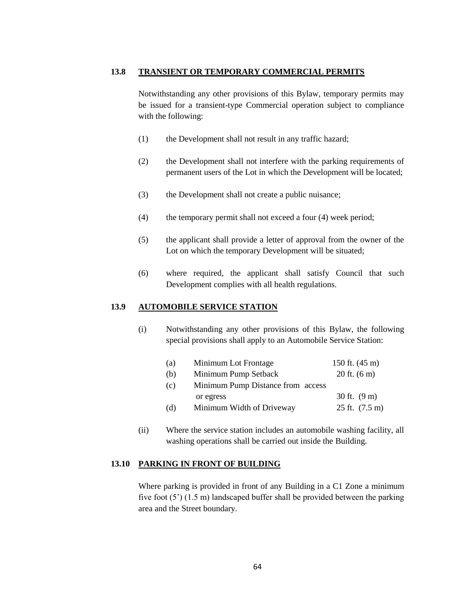## **13.8 TRANSIENT OR TEMPORARY COMMERCIAL PERMITS**

Notwithstanding any other provisions of this Bylaw, temporary permits may be issued for a transient-type Commercial operation subject to compliance with the following:

- (1) the Development shall not result in any traffic hazard;
- (2) the Development shall not interfere with the parking requirements of permanent users of the Lot in which the Development will be located;
- (3) the Development shall not create a public nuisance;
- (4) the temporary permit shall not exceed a four (4) week period;
- (5) the applicant shall provide a letter of approval from the owner of the Lot on which the temporary Development will be situated;
- (6) where required, the applicant shall satisfy Council that such Development complies with all health regulations.

## **13.9 AUTOMOBILE SERVICE STATION**

(i) Notwithstanding any other provisions of this Bylaw, the following special provisions shall apply to an Automobile Service Station:

| (a) | Minimum Lot Frontage              | 150 ft. $(45 \text{ m})$   |
|-----|-----------------------------------|----------------------------|
| (b) | Minimum Pump Setback              | 20 ft. $(6 \text{ m})$     |
| (c) | Minimum Pump Distance from access |                            |
|     | or egress                         | 30 ft. $(9 \text{ m})$     |
| (d) | Minimum Width of Driveway         | $25$ ft. $(7.5 \text{ m})$ |

(ii) Where the service station includes an automobile washing facility, all washing operations shall be carried out inside the Building.

### **13.10 PARKING IN FRONT OF BUILDING**

Where parking is provided in front of any Building in a C1 Zone a minimum five foot (5') (1.5 m) landscaped buffer shall be provided between the parking area and the Street boundary.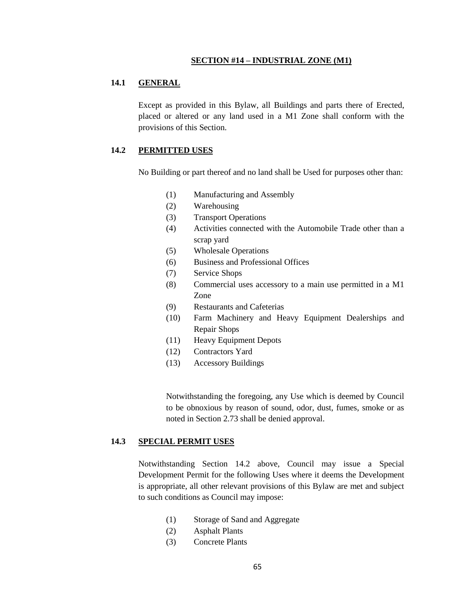#### **SECTION #14 – INDUSTRIAL ZONE (M1)**

### **14.1 GENERAL**

Except as provided in this Bylaw, all Buildings and parts there of Erected, placed or altered or any land used in a M1 Zone shall conform with the provisions of this Section.

### **14.2 PERMITTED USES**

No Building or part thereof and no land shall be Used for purposes other than:

- (1) Manufacturing and Assembly
- (2) Warehousing
- (3) Transport Operations
- (4) Activities connected with the Automobile Trade other than a scrap yard
- (5) Wholesale Operations
- (6) Business and Professional Offices
- (7) Service Shops
- (8) Commercial uses accessory to a main use permitted in a M1 Zone
- (9) Restaurants and Cafeterias
- (10) Farm Machinery and Heavy Equipment Dealerships and Repair Shops
- (11) Heavy Equipment Depots
- (12) Contractors Yard
- (13) Accessory Buildings

Notwithstanding the foregoing, any Use which is deemed by Council to be obnoxious by reason of sound, odor, dust, fumes, smoke or as noted in Section 2.73 shall be denied approval.

#### **14.3 SPECIAL PERMIT USES**

Notwithstanding Section 14.2 above, Council may issue a Special Development Permit for the following Uses where it deems the Development is appropriate, all other relevant provisions of this Bylaw are met and subject to such conditions as Council may impose:

- (1) Storage of Sand and Aggregate
- (2) Asphalt Plants
- (3) Concrete Plants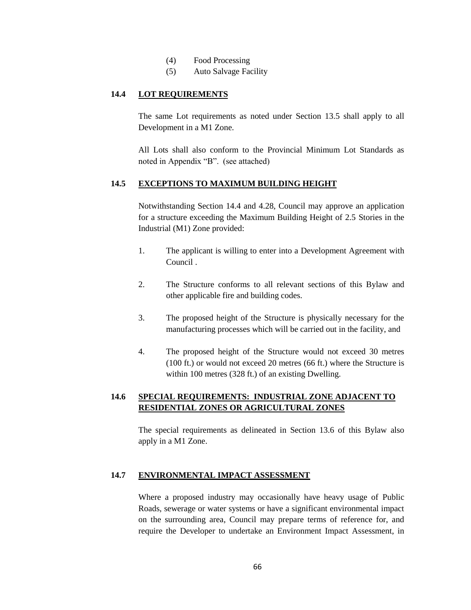- (4) Food Processing
- (5) Auto Salvage Facility

## **14.4 LOT REQUIREMENTS**

The same Lot requirements as noted under Section 13.5 shall apply to all Development in a M1 Zone.

All Lots shall also conform to the Provincial Minimum Lot Standards as noted in Appendix "B". (see attached)

## **14.5 EXCEPTIONS TO MAXIMUM BUILDING HEIGHT**

Notwithstanding Section 14.4 and 4.28, Council may approve an application for a structure exceeding the Maximum Building Height of 2.5 Stories in the Industrial (M1) Zone provided:

- 1. The applicant is willing to enter into a Development Agreement with Council .
- 2. The Structure conforms to all relevant sections of this Bylaw and other applicable fire and building codes.
- 3. The proposed height of the Structure is physically necessary for the manufacturing processes which will be carried out in the facility, and
- 4. The proposed height of the Structure would not exceed 30 metres (100 ft.) or would not exceed 20 metres (66 ft.) where the Structure is within 100 metres (328 ft.) of an existing Dwelling.

# **14.6 SPECIAL REQUIREMENTS: INDUSTRIAL ZONE ADJACENT TO RESIDENTIAL ZONES OR AGRICULTURAL ZONES**

The special requirements as delineated in Section 13.6 of this Bylaw also apply in a M1 Zone.

# **14.7 ENVIRONMENTAL IMPACT ASSESSMENT**

Where a proposed industry may occasionally have heavy usage of Public Roads, sewerage or water systems or have a significant environmental impact on the surrounding area, Council may prepare terms of reference for, and require the Developer to undertake an Environment Impact Assessment, in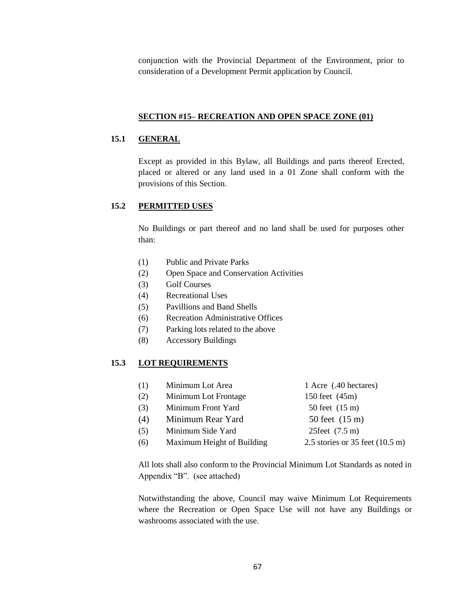conjunction with the Provincial Department of the Environment, prior to consideration of a Development Permit application by Council.

## **SECTION #15– RECREATION AND OPEN SPACE ZONE (01)**

## **15.1 GENERAL**

Except as provided in this Bylaw, all Buildings and parts thereof Erected, placed or altered or any land used in a 01 Zone shall conform with the provisions of this Section.

## **15.2 PERMITTED USES**

No Buildings or part thereof and no land shall be used for purposes other than:

- (1) Public and Private Parks
- (2) Open Space and Conservation Activities
- (3) Golf Courses
- (4) Recreational Uses
- (5) Pavillions and Band Shells
- (6) Recreation Administrative Offices
- (7) Parking lots related to the above
- (8) Accessory Buildings

# **15.3 LOT REQUIREMENTS**

| (1) | Minimum Lot Area           | 1 Acre (.40 hectares)                     |
|-----|----------------------------|-------------------------------------------|
| (2) | Minimum Lot Frontage       | 150 feet (45m)                            |
| (3) | Minimum Front Yard         | 50 feet (15 m)                            |
| (4) | Minimum Rear Yard          | 50 feet (15 m)                            |
| (5) | Minimum Side Yard          | 25 feet $(7.5 \text{ m})$                 |
| (6) | Maximum Height of Building | 2.5 stories or 35 feet $(10.5 \text{ m})$ |
|     |                            |                                           |

All lots shall also conform to the Provincial Minimum Lot Standards as noted in Appendix "B". (see attached)

Notwithstanding the above, Council may waive Minimum Lot Requirements where the Recreation or Open Space Use will not have any Buildings or washrooms associated with the use.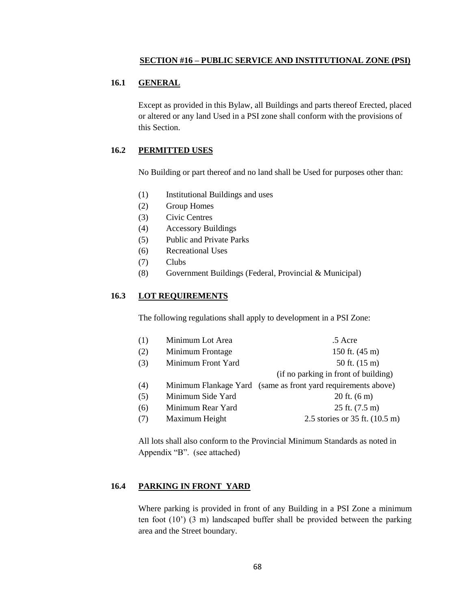#### **SECTION #16 – PUBLIC SERVICE AND INSTITUTIONAL ZONE (PSI)**

# **16.1 GENERAL**

Except as provided in this Bylaw, all Buildings and parts thereof Erected, placed or altered or any land Used in a PSI zone shall conform with the provisions of this Section.

## **16.2 PERMITTED USES**

No Building or part thereof and no land shall be Used for purposes other than:

- (1) Institutional Buildings and uses
- (2) Group Homes
- (3) Civic Centres
- (4) Accessory Buildings
- (5) Public and Private Parks
- (6) Recreational Uses
- (7) Clubs
- (8) Government Buildings (Federal, Provincial & Municipal)

## **16.3 LOT REQUIREMENTS**

The following regulations shall apply to development in a PSI Zone:

| (1) | Minimum Lot Area   | .5 Acre                                                       |
|-----|--------------------|---------------------------------------------------------------|
| (2) | Minimum Frontage   | 150 ft. $(45 \text{ m})$                                      |
| (3) | Minimum Front Yard | 50 ft. (15 m)                                                 |
|     |                    | (if no parking in front of building)                          |
| (4) |                    | Minimum Flankage Yard (same as front yard requirements above) |
| (5) | Minimum Side Yard  | 20 ft. $(6 \text{ m})$                                        |
| (6) | Minimum Rear Yard  | 25 ft. $(7.5 \text{ m})$                                      |
| (7) | Maximum Height     | 2.5 stories or $35$ ft. $(10.5 \text{ m})$                    |
|     |                    |                                                               |

All lots shall also conform to the Provincial Minimum Standards as noted in Appendix "B". (see attached)

### **16.4 PARKING IN FRONT YARD**

Where parking is provided in front of any Building in a PSI Zone a minimum ten foot (10') (3 m) landscaped buffer shall be provided between the parking area and the Street boundary.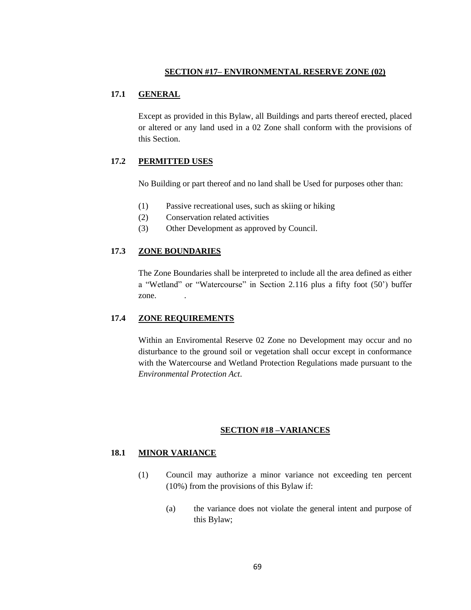### **SECTION #17– ENVIRONMENTAL RESERVE ZONE (02)**

## **17.1 GENERAL**

Except as provided in this Bylaw, all Buildings and parts thereof erected, placed or altered or any land used in a 02 Zone shall conform with the provisions of this Section.

## **17.2 PERMITTED USES**

No Building or part thereof and no land shall be Used for purposes other than:

- (1) Passive recreational uses, such as skiing or hiking
- (2) Conservation related activities
- (3) Other Development as approved by Council.

## **17.3 ZONE BOUNDARIES**

The Zone Boundaries shall be interpreted to include all the area defined as either a "Wetland" or "Watercourse" in Section 2.116 plus a fifty foot (50') buffer zone.

## **17.4 ZONE REQUIREMENTS**

Within an Enviromental Reserve 02 Zone no Development may occur and no disturbance to the ground soil or vegetation shall occur except in conformance with the Watercourse and Wetland Protection Regulations made pursuant to the *Environmental Protection Act*.

### **SECTION #18 –VARIANCES**

### **18.1 MINOR VARIANCE**

- (1) Council may authorize a minor variance not exceeding ten percent (10%) from the provisions of this Bylaw if:
	- (a) the variance does not violate the general intent and purpose of this Bylaw;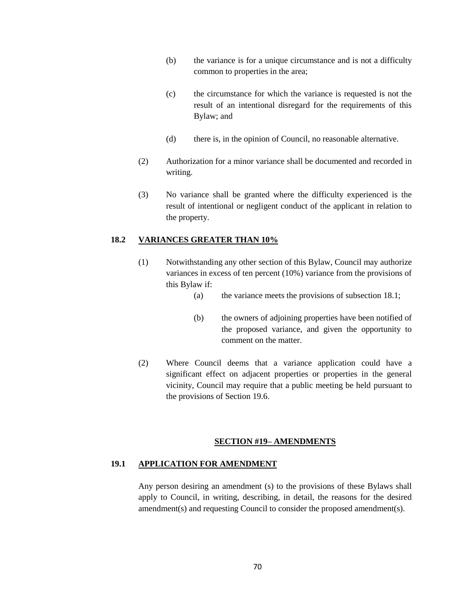- (b) the variance is for a unique circumstance and is not a difficulty common to properties in the area;
- (c) the circumstance for which the variance is requested is not the result of an intentional disregard for the requirements of this Bylaw; and
- (d) there is, in the opinion of Council, no reasonable alternative.
- (2) Authorization for a minor variance shall be documented and recorded in writing.
- (3) No variance shall be granted where the difficulty experienced is the result of intentional or negligent conduct of the applicant in relation to the property.

## **18.2 VARIANCES GREATER THAN 10%**

- (1) Notwithstanding any other section of this Bylaw, Council may authorize variances in excess of ten percent (10%) variance from the provisions of this Bylaw if:
	- (a) the variance meets the provisions of subsection 18.1;
	- (b) the owners of adjoining properties have been notified of the proposed variance, and given the opportunity to comment on the matter.
- (2) Where Council deems that a variance application could have a significant effect on adjacent properties or properties in the general vicinity, Council may require that a public meeting be held pursuant to the provisions of Section 19.6.

#### **SECTION #19– AMENDMENTS**

## **19.1 APPLICATION FOR AMENDMENT**

Any person desiring an amendment (s) to the provisions of these Bylaws shall apply to Council, in writing, describing, in detail, the reasons for the desired amendment(s) and requesting Council to consider the proposed amendment(s).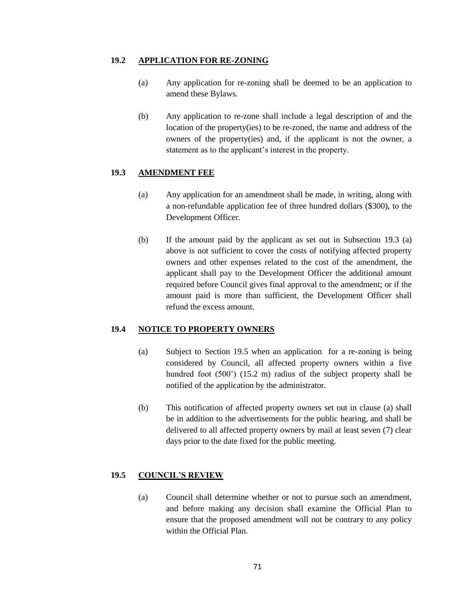#### **19.2 APPLICATION FOR RE-ZONING**

- (a) Any application for re-zoning shall be deemed to be an application to amend these Bylaws.
- (b) Any application to re-zone shall include a legal description of and the location of the property(ies) to be re-zoned, the name and address of the owners of the property(ies) and, if the applicant is not the owner, a statement as to the applicant's interest in the property.

### **19.3 AMENDMENT FEE**

- (a) Any application for an amendment shall be made, in writing, along with a non-refundable application fee of three hundred dollars (\$300), to the Development Officer.
- (b) If the amount paid by the applicant as set out in Subsection 19.3 (a) above is not sufficient to cover the costs of notifying affected property owners and other expenses related to the cost of the amendment, the applicant shall pay to the Development Officer the additional amount required before Council gives final approval to the amendment; or if the amount paid is more than sufficient, the Development Officer shall refund the excess amount.

#### **19.4 NOTICE TO PROPERTY OWNERS**

- (a) Subject to Section 19.5 when an application for a re-zoning is being considered by Council, all affected property owners within a five hundred foot (500<sup>o</sup>) (15.2 m) radius of the subject property shall be notified of the application by the administrator.
- (b) This notification of affected property owners set out in clause (a) shall be in addition to the advertisements for the public hearing, and shall be delivered to all affected property owners by mail at least seven (7) clear days prior to the date fixed for the public meeting.

## **19.5 COUNCIL'S REVIEW**

(a) Council shall determine whether or not to pursue such an amendment, and before making any decision shall examine the Official Plan to ensure that the proposed amendment will not be contrary to any policy within the Official Plan.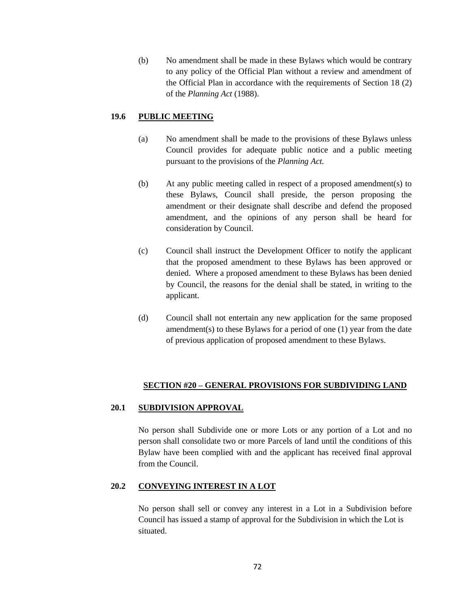(b) No amendment shall be made in these Bylaws which would be contrary to any policy of the Official Plan without a review and amendment of the Official Plan in accordance with the requirements of Section 18 (2) of the *Planning Act* (1988).

# **19.6 PUBLIC MEETING**

- (a) No amendment shall be made to the provisions of these Bylaws unless Council provides for adequate public notice and a public meeting pursuant to the provisions of the *Planning Act.*
- (b) At any public meeting called in respect of a proposed amendment(s) to these Bylaws, Council shall preside, the person proposing the amendment or their designate shall describe and defend the proposed amendment, and the opinions of any person shall be heard for consideration by Council.
- (c) Council shall instruct the Development Officer to notify the applicant that the proposed amendment to these Bylaws has been approved or denied. Where a proposed amendment to these Bylaws has been denied by Council, the reasons for the denial shall be stated, in writing to the applicant.
- (d) Council shall not entertain any new application for the same proposed amendment(s) to these Bylaws for a period of one (1) year from the date of previous application of proposed amendment to these Bylaws.

# **SECTION #20 – GENERAL PROVISIONS FOR SUBDIVIDING LAND**

## **20.1 SUBDIVISION APPROVAL**

No person shall Subdivide one or more Lots or any portion of a Lot and no person shall consolidate two or more Parcels of land until the conditions of this Bylaw have been complied with and the applicant has received final approval from the Council.

## **20.2 CONVEYING INTEREST IN A LOT**

No person shall sell or convey any interest in a Lot in a Subdivision before Council has issued a stamp of approval for the Subdivision in which the Lot is situated.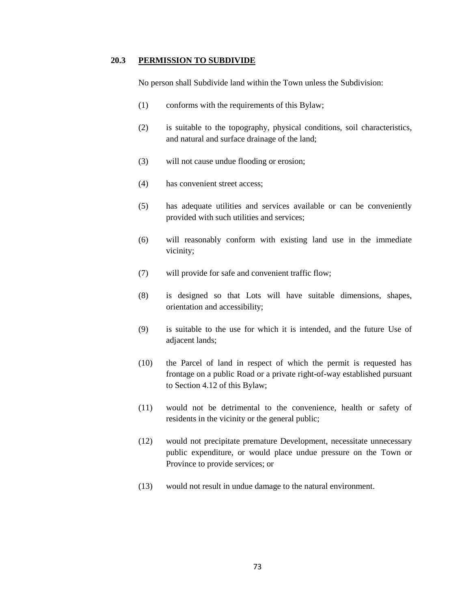#### **20.3 PERMISSION TO SUBDIVIDE**

No person shall Subdivide land within the Town unless the Subdivision:

- (1) conforms with the requirements of this Bylaw;
- (2) is suitable to the topography, physical conditions, soil characteristics, and natural and surface drainage of the land;
- (3) will not cause undue flooding or erosion;
- (4) has convenient street access;
- (5) has adequate utilities and services available or can be conveniently provided with such utilities and services;
- (6) will reasonably conform with existing land use in the immediate vicinity;
- (7) will provide for safe and convenient traffic flow;
- (8) is designed so that Lots will have suitable dimensions, shapes, orientation and accessibility;
- (9) is suitable to the use for which it is intended, and the future Use of adjacent lands;
- (10) the Parcel of land in respect of which the permit is requested has frontage on a public Road or a private right-of-way established pursuant to Section 4.12 of this Bylaw;
- (11) would not be detrimental to the convenience, health or safety of residents in the vicinity or the general public;
- (12) would not precipitate premature Development, necessitate unnecessary public expenditure, or would place undue pressure on the Town or Province to provide services; or
- (13) would not result in undue damage to the natural environment.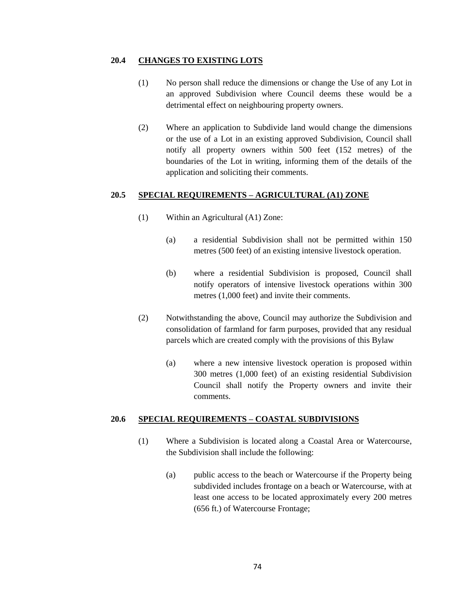#### **20.4 CHANGES TO EXISTING LOTS**

- (1) No person shall reduce the dimensions or change the Use of any Lot in an approved Subdivision where Council deems these would be a detrimental effect on neighbouring property owners.
- (2) Where an application to Subdivide land would change the dimensions or the use of a Lot in an existing approved Subdivision, Council shall notify all property owners within 500 feet (152 metres) of the boundaries of the Lot in writing, informing them of the details of the application and soliciting their comments.

## **20.5 SPECIAL REQUIREMENTS – AGRICULTURAL (A1) ZONE**

- (1) Within an Agricultural (A1) Zone:
	- (a) a residential Subdivision shall not be permitted within 150 metres (500 feet) of an existing intensive livestock operation.
	- (b) where a residential Subdivision is proposed, Council shall notify operators of intensive livestock operations within 300 metres (1,000 feet) and invite their comments.
- (2) Notwithstanding the above, Council may authorize the Subdivision and consolidation of farmland for farm purposes, provided that any residual parcels which are created comply with the provisions of this Bylaw
	- (a) where a new intensive livestock operation is proposed within 300 metres (1,000 feet) of an existing residential Subdivision Council shall notify the Property owners and invite their comments.

#### **20.6 SPECIAL REQUIREMENTS – COASTAL SUBDIVISIONS**

- (1) Where a Subdivision is located along a Coastal Area or Watercourse, the Subdivision shall include the following:
	- (a) public access to the beach or Watercourse if the Property being subdivided includes frontage on a beach or Watercourse, with at least one access to be located approximately every 200 metres (656 ft.) of Watercourse Frontage;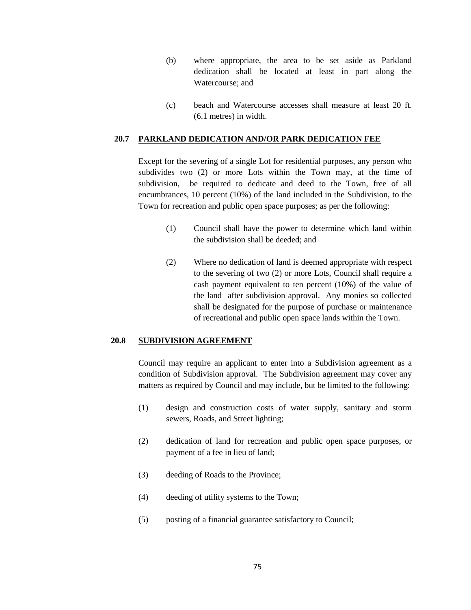- (b) where appropriate, the area to be set aside as Parkland dedication shall be located at least in part along the Watercourse; and
- (c) beach and Watercourse accesses shall measure at least 20 ft. (6.1 metres) in width.

#### **20.7 PARKLAND DEDICATION AND/OR PARK DEDICATION FEE**

Except for the severing of a single Lot for residential purposes, any person who subdivides two (2) or more Lots within the Town may, at the time of subdivision, be required to dedicate and deed to the Town, free of all encumbrances, 10 percent (10%) of the land included in the Subdivision, to the Town for recreation and public open space purposes; as per the following:

- (1) Council shall have the power to determine which land within the subdivision shall be deeded; and
- (2) Where no dedication of land is deemed appropriate with respect to the severing of two (2) or more Lots, Council shall require a cash payment equivalent to ten percent (10%) of the value of the land after subdivision approval. Any monies so collected shall be designated for the purpose of purchase or maintenance of recreational and public open space lands within the Town.

## **20.8 SUBDIVISION AGREEMENT**

Council may require an applicant to enter into a Subdivision agreement as a condition of Subdivision approval. The Subdivision agreement may cover any matters as required by Council and may include, but be limited to the following:

- (1) design and construction costs of water supply, sanitary and storm sewers, Roads, and Street lighting;
- (2) dedication of land for recreation and public open space purposes, or payment of a fee in lieu of land;
- (3) deeding of Roads to the Province;
- (4) deeding of utility systems to the Town;
- (5) posting of a financial guarantee satisfactory to Council;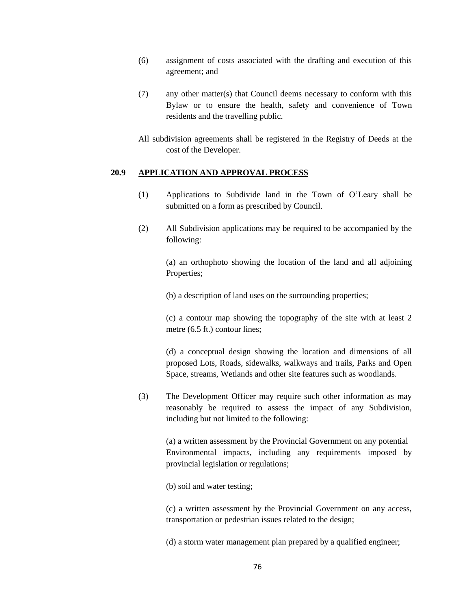- (6) assignment of costs associated with the drafting and execution of this agreement; and
- (7) any other matter(s) that Council deems necessary to conform with this Bylaw or to ensure the health, safety and convenience of Town residents and the travelling public.

All subdivision agreements shall be registered in the Registry of Deeds at the cost of the Developer.

#### **20.9 APPLICATION AND APPROVAL PROCESS**

- (1) Applications to Subdivide land in the Town of O'Leary shall be submitted on a form as prescribed by Council.
- (2) All Subdivision applications may be required to be accompanied by the following:

(a) an orthophoto showing the location of the land and all adjoining Properties;

(b) a description of land uses on the surrounding properties;

(c) a contour map showing the topography of the site with at least 2 metre (6.5 ft.) contour lines;

(d) a conceptual design showing the location and dimensions of all proposed Lots, Roads, sidewalks, walkways and trails, Parks and Open Space, streams, Wetlands and other site features such as woodlands.

(3) The Development Officer may require such other information as may reasonably be required to assess the impact of any Subdivision, including but not limited to the following:

(a) a written assessment by the Provincial Government on any potential Environmental impacts, including any requirements imposed by provincial legislation or regulations;

(b) soil and water testing;

(c) a written assessment by the Provincial Government on any access, transportation or pedestrian issues related to the design;

(d) a storm water management plan prepared by a qualified engineer;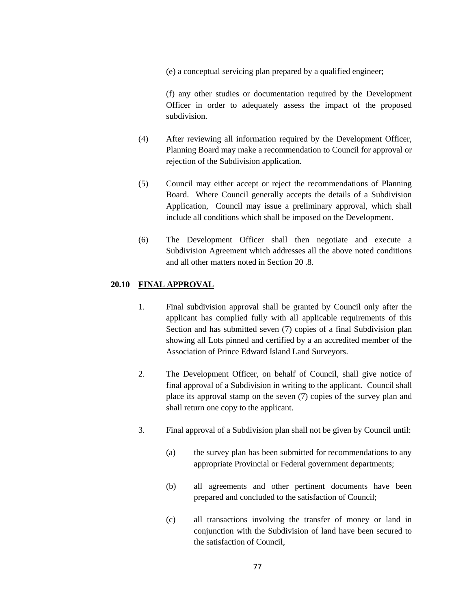(e) a conceptual servicing plan prepared by a qualified engineer;

(f) any other studies or documentation required by the Development Officer in order to adequately assess the impact of the proposed subdivision.

- (4) After reviewing all information required by the Development Officer, Planning Board may make a recommendation to Council for approval or rejection of the Subdivision application.
- (5) Council may either accept or reject the recommendations of Planning Board. Where Council generally accepts the details of a Subdivision Application, Council may issue a preliminary approval, which shall include all conditions which shall be imposed on the Development.
- (6) The Development Officer shall then negotiate and execute a Subdivision Agreement which addresses all the above noted conditions and all other matters noted in Section 20 .8.

### **20.10 FINAL APPROVAL**

- 1. Final subdivision approval shall be granted by Council only after the applicant has complied fully with all applicable requirements of this Section and has submitted seven (7) copies of a final Subdivision plan showing all Lots pinned and certified by a an accredited member of the Association of Prince Edward Island Land Surveyors.
- 2. The Development Officer, on behalf of Council, shall give notice of final approval of a Subdivision in writing to the applicant. Council shall place its approval stamp on the seven (7) copies of the survey plan and shall return one copy to the applicant.
- 3. Final approval of a Subdivision plan shall not be given by Council until:
	- (a) the survey plan has been submitted for recommendations to any appropriate Provincial or Federal government departments;
	- (b) all agreements and other pertinent documents have been prepared and concluded to the satisfaction of Council;
	- (c) all transactions involving the transfer of money or land in conjunction with the Subdivision of land have been secured to the satisfaction of Council,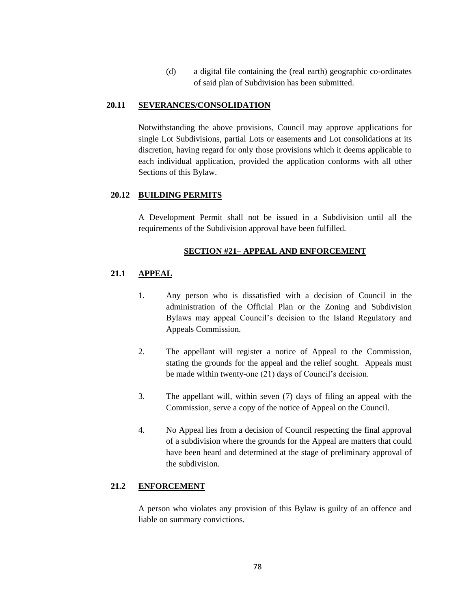(d) a digital file containing the (real earth) geographic co-ordinates of said plan of Subdivision has been submitted.

#### **20.11 SEVERANCES/CONSOLIDATION**

Notwithstanding the above provisions, Council may approve applications for single Lot Subdivisions, partial Lots or easements and Lot consolidations at its discretion, having regard for only those provisions which it deems applicable to each individual application, provided the application conforms with all other Sections of this Bylaw.

#### **20.12 BUILDING PERMITS**

A Development Permit shall not be issued in a Subdivision until all the requirements of the Subdivision approval have been fulfilled.

#### **SECTION #21– APPEAL AND ENFORCEMENT**

## **21.1 APPEAL**

- 1. Any person who is dissatisfied with a decision of Council in the administration of the Official Plan or the Zoning and Subdivision Bylaws may appeal Council's decision to the Island Regulatory and Appeals Commission.
- 2. The appellant will register a notice of Appeal to the Commission, stating the grounds for the appeal and the relief sought. Appeals must be made within twenty-one (21) days of Council's decision.
- 3. The appellant will, within seven (7) days of filing an appeal with the Commission, serve a copy of the notice of Appeal on the Council.
- 4. No Appeal lies from a decision of Council respecting the final approval of a subdivision where the grounds for the Appeal are matters that could have been heard and determined at the stage of preliminary approval of the subdivision.

#### **21.2 ENFORCEMENT**

A person who violates any provision of this Bylaw is guilty of an offence and liable on summary convictions.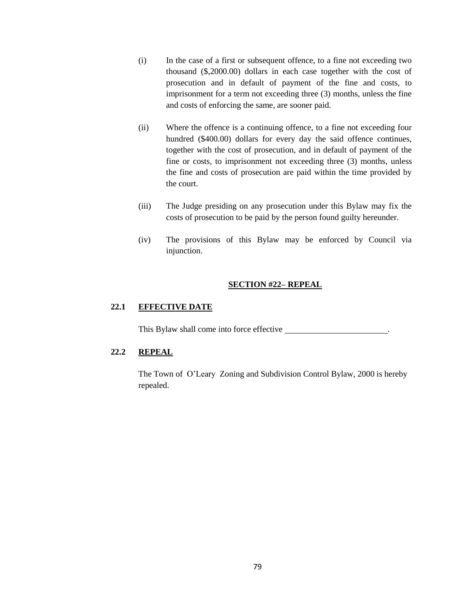- (i) In the case of a first or subsequent offence, to a fine not exceeding two thousand (\$,2000.00) dollars in each case together with the cost of prosecution and in default of payment of the fine and costs, to imprisonment for a term not exceeding three (3) months, unless the fine and costs of enforcing the same, are sooner paid.
- (ii) Where the offence is a continuing offence, to a fine not exceeding four hundred (\$400.00) dollars for every day the said offence continues, together with the cost of prosecution, and in default of payment of the fine or costs, to imprisonment not exceeding three (3) months, unless the fine and costs of prosecution are paid within the time provided by the court.
- (iii) The Judge presiding on any prosecution under this Bylaw may fix the costs of prosecution to be paid by the person found guilty hereunder.
- (iv) The provisions of this Bylaw may be enforced by Council via injunction.

#### **SECTION #22– REPEAL**

## **22.1 EFFECTIVE DATE**

This Bylaw shall come into force effective .

## **22.2 REPEAL**

The Town of O'Leary Zoning and Subdivision Control Bylaw, 2000 is hereby repealed.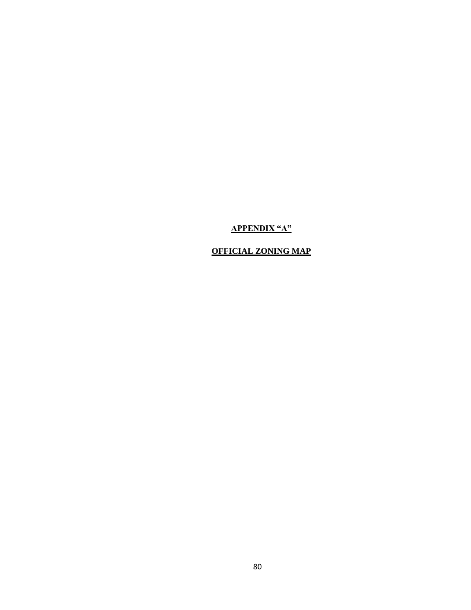# **APPENDIX "A"**

# **OFFICIAL ZONING MAP**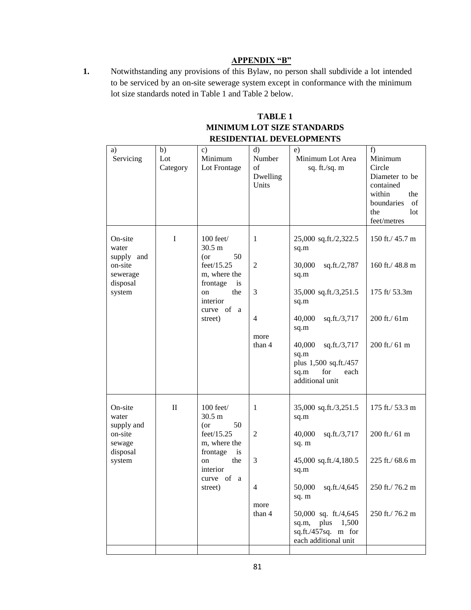## **APPENDIX "B"**

**1.** Notwithstanding any provisions of this Bylaw, no person shall subdivide a lot intended to be serviced by an on-site sewerage system except in conformance with the minimum lot size standards noted in Table 1 and Table 2 below.

## **TABLE 1 MINIMUM LOT SIZE STANDARDS RESIDENTIAL DEVELOPMENTS**

| a)<br>Servicing                                                             | b)<br>Lot<br>Category | $\mathbf{c})$<br>Minimum<br>Lot Frontage                                                                                                                        | d)<br>Number<br>of<br>Dwelling<br>Units                      | e)<br>Minimum Lot Area<br>sq. ft./sq. m                                                                                                                                                                                                 | f)<br>Minimum<br>Circle<br>Diameter to be<br>contained<br>within<br>the<br>boundaries<br>of<br>the<br>lot<br>feet/metres |
|-----------------------------------------------------------------------------|-----------------------|-----------------------------------------------------------------------------------------------------------------------------------------------------------------|--------------------------------------------------------------|-----------------------------------------------------------------------------------------------------------------------------------------------------------------------------------------------------------------------------------------|--------------------------------------------------------------------------------------------------------------------------|
| On-site<br>water<br>supply and<br>on-site<br>sewerage<br>disposal<br>system | I                     | $100$ feet $/$<br>$30.5 \text{ m}$<br>$($ or<br>50<br>feet/15.25<br>m, where the<br>frontage<br>is<br>the<br><sub>on</sub><br>interior<br>curve of a<br>street) | 1<br>$\overline{2}$<br>3<br>$\overline{4}$<br>more<br>than 4 | 25,000 sq.ft./2,322.5<br>sq.m<br>30,000<br>sq.ft./2,787<br>sq.m<br>35,000 sq.ft./3,251.5<br>sq.m<br>40,000<br>sq.ft./3,717<br>sq.m<br>40,000<br>sq.ft./3,717<br>sq.m<br>plus 1,500 sq.ft./457<br>for<br>sq.m<br>each<br>additional unit | 150 ft./ 45.7 m<br>160 ft./ 48.8 m<br>175 ft/ 53.3m<br>200 ft./ 61m<br>200 ft./ 61 m                                     |
| On-site<br>water<br>supply and<br>on-site<br>sewage<br>disposal<br>system   | $\mathbf{I}$          | $100$ feet $/$<br>$30.5 \text{ m}$<br>$($ or<br>50<br>feet/15.25<br>m, where the<br>frontage<br>is<br>the<br>on<br>interior<br>curve of a<br>street)            | 1<br>$\overline{2}$<br>3<br>4<br>more<br>than 4              | 35,000 sq.ft./3,251.5<br>sq.m<br>40,000<br>sq.ft./3,717<br>sq. m<br>45,000 sq.ft./4,180.5<br>sq.m<br>50,000 sq.ft./4,645<br>sq. m<br>50,000 sq. ft./4,645<br>plus 1,500<br>sq.m,<br>sq.ft./457sq. m for<br>each additional unit         | 175 ft./ 53.3 m<br>200 ft./ 61 m<br>225 ft./ 68.6 m<br>250 ft./ 76.2 m<br>250 ft./76.2 m                                 |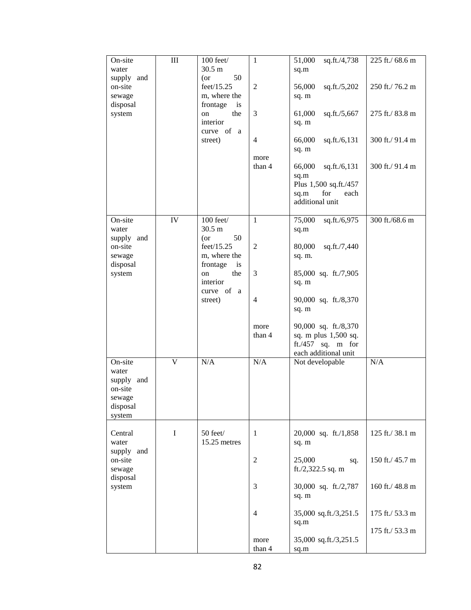| On-site<br>water                                                          | III | 100 feet/<br>30.5 m                                          | 1                                  | 51,000<br>sq.ft./4,738<br>sq.m                                                                    | 225 ft./ 68.6 m                    |
|---------------------------------------------------------------------------|-----|--------------------------------------------------------------|------------------------------------|---------------------------------------------------------------------------------------------------|------------------------------------|
| supply and<br>on-site<br>sewage<br>disposal                               |     | $($ or<br>50<br>feet/15.25<br>m, where the<br>frontage<br>is | $\mathfrak{2}$                     | 56,000<br>sq.ft./5,202<br>sq. m                                                                   | 250 ft./76.2 m                     |
| system                                                                    |     | the<br>on<br>interior<br>curve of<br>a                       | 3                                  | 61,000<br>sq.ft./5,667<br>sq. m                                                                   | 275 ft./ 83.8 m                    |
|                                                                           |     | street)                                                      | $\overline{4}$<br>more             | 66,000<br>sq.ft./6,131<br>sq. m                                                                   | 300 ft./ 91.4 m                    |
|                                                                           |     |                                                              | than 4                             | 66,000<br>sq.ft./6,131<br>sq.m<br>Plus 1,500 sq.ft./457<br>sq.m<br>for<br>each<br>additional unit | 300 ft./ 91.4 m                    |
| On-site<br>water<br>supply and                                            | IV  | $100$ feet/<br>30.5 m<br>50<br>$($ or                        | $\mathbf{1}$                       | 75,000<br>sq.ft./6,975<br>sq.m                                                                    | 300 ft./68.6 m                     |
| on-site<br>sewage<br>disposal                                             |     | feet/15.25<br>m, where the<br>frontage<br>is                 | $\overline{c}$                     | 80,000<br>sq.ft./7,440<br>sq. m.                                                                  |                                    |
| system                                                                    |     | the<br>on<br>interior<br>curve of a                          | 3                                  | 85,000 sq. ft./7,905<br>sq. m                                                                     |                                    |
|                                                                           |     | street)                                                      | $\overline{4}$                     | 90,000 sq. ft./8,370<br>sq. m                                                                     |                                    |
|                                                                           |     |                                                              | more<br>than 4                     | 90,000 sq. ft./8,370<br>sq. m plus 1,500 sq.<br>ft./457 sq. m for<br>each additional unit         |                                    |
| On-site<br>water<br>supply and<br>on-site<br>sewage<br>disposal<br>system | V   | N/A                                                          | N/A                                | Not developable                                                                                   | N/A                                |
| Central<br>water<br>supply and                                            | I   | 50 feet/<br>15.25 metres                                     | $\mathbf{1}$                       | 20,000 sq. ft./1,858<br>sq. m                                                                     | 125 ft./38.1 m                     |
| on-site<br>sewage<br>disposal                                             |     | $\mathfrak 2$                                                | 25,000<br>sq.<br>ft./2,322.5 sq. m | 150 ft./ 45.7 m                                                                                   |                                    |
| system                                                                    |     |                                                              | 3                                  | 30,000 sq. ft./2,787<br>sq. m                                                                     | 160 ft./ 48.8 m                    |
|                                                                           |     |                                                              | 4                                  | 35,000 sq.ft./3,251.5<br>sq.m                                                                     | 175 ft./ 53.3 m<br>175 ft./ 53.3 m |
|                                                                           |     |                                                              | more<br>than 4                     | 35,000 sq.ft./3,251.5<br>sq.m                                                                     |                                    |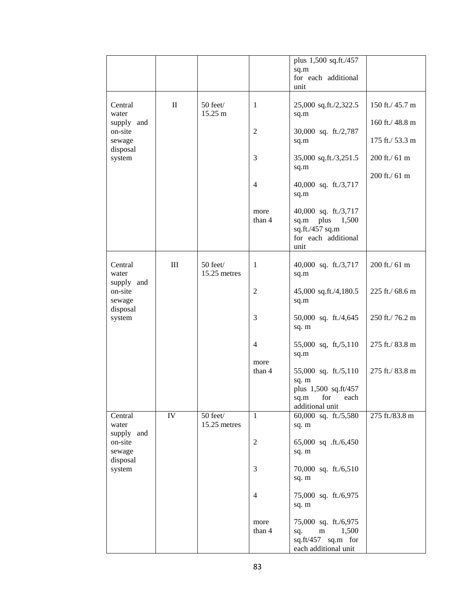|                                             |              |                               |                | plus 1,500 sq.ft./457<br>sq.m<br>for each additional<br>unit                                    |                 |
|---------------------------------------------|--------------|-------------------------------|----------------|-------------------------------------------------------------------------------------------------|-----------------|
| Central<br>water                            | $\mathbf{I}$ | 50 feet/<br>15.25 m           | $\mathbf{1}$   | 25,000 sq.ft./2,322.5<br>sq.m                                                                   | 150 ft./ 45.7 m |
| supply and<br>on-site                       |              |                               | $\mathfrak{2}$ | 30,000 sq. ft./2,787                                                                            | 160 ft./ 48.8 m |
| sewage<br>disposal                          |              |                               |                | sq.m                                                                                            | 175 ft./ 53.3 m |
| system                                      |              |                               | 3              | 35,000 sq.ft./3,251.5<br>sq.m                                                                   | 200 ft./ 61 m   |
|                                             |              |                               | 4              | 40,000 sq. ft./3,717<br>sq.m                                                                    | 200 ft./ 61 m   |
|                                             |              |                               | more<br>than 4 | 40,000 sq. ft./3,717<br>sq.m<br>plus<br>1,500<br>sq.ft./457 sq.m<br>for each additional<br>unit |                 |
| Central<br>water                            | $\rm III$    | 50 feet/<br>15.25 metres      | 1              | 40,000 sq. ft./3,717<br>sq.m                                                                    | 200 ft./ 61 m   |
| supply and<br>on-site<br>sewage<br>disposal |              |                               | $\overline{c}$ | 45,000 sq.ft./4,180.5<br>sq.m                                                                   | 225 ft./ 68.6 m |
| system                                      |              |                               | 3              | 50,000 sq. ft./4,645<br>sq. m                                                                   | 250 ft./76.2 m  |
|                                             |              |                               | $\overline{4}$ | 55,000 sq, ft,/5,110<br>sq.m                                                                    | 275 ft./ 83.8 m |
|                                             |              |                               | more<br>than 4 | 55,000 sq. ft./5,110<br>sq. m<br>plus 1,500 sq.ft/457<br>sq.m for each<br>additional unit       | 275 ft./ 83.8 m |
| Central<br>water                            | IV           | $50$ feet $/$<br>15.25 metres | $\mathbf{1}$   | 60,000 sq. ft./5,580<br>sq. m                                                                   | 275 ft./83.8 m  |
| supply and<br>on-site<br>sewage             |              |                               | $\sqrt{2}$     | 65,000 sq .ft./6,450<br>sq. m                                                                   |                 |
| disposal<br>system                          |              |                               | 3              | 70,000 sq. ft./6,510<br>sq. m                                                                   |                 |
|                                             |              |                               | $\overline{4}$ | 75,000 sq. ft./6,975<br>sq. m                                                                   |                 |
|                                             |              |                               | more<br>than 4 | 75,000 sq. ft./6,975<br>1,500<br>sq.<br>m<br>sq.ft/457 sq.m for<br>each additional unit         |                 |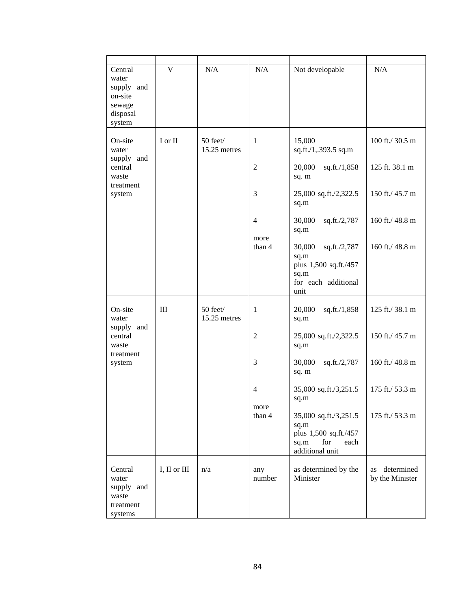| Central<br>water<br>supply and<br>on-site<br>sewage<br>disposal<br>system | $\overline{\mathsf{V}}$         | N/A                      | N/A                                                     | Not developable                                                                                                                                                                                         | N/A                                                                                        |
|---------------------------------------------------------------------------|---------------------------------|--------------------------|---------------------------------------------------------|---------------------------------------------------------------------------------------------------------------------------------------------------------------------------------------------------------|--------------------------------------------------------------------------------------------|
| On-site<br>water<br>supply and<br>central<br>waste<br>treatment<br>system | I or II                         | 50 feet/<br>15.25 metres | 1<br>$\overline{c}$<br>3<br>4<br>more<br>than 4         | 15,000<br>sq.ft./1,.393.5 sq.m<br>20,000<br>sq.ft./1,858<br>sq. m<br>25,000 sq.ft./2,322.5<br>sq.m<br>30,000<br>sq.ft./2,787<br>sq.m<br>30,000<br>sq.ft./2,787<br>sq.m<br>plus 1,500 sq.ft./457<br>sq.m | 100 ft./ 30.5 m<br>125 ft. 38.1 m<br>150 ft./ 45.7 m<br>160 ft./ 48.8 m<br>160 ft./ 48.8 m |
|                                                                           |                                 |                          |                                                         | for each additional<br>unit                                                                                                                                                                             |                                                                                            |
| On-site<br>water<br>supply and<br>central<br>waste<br>treatment<br>system | III<br>50 feet/<br>15.25 metres | 1<br>2                   | 20,000<br>sq.ft./1,858<br>sq.m<br>25,000 sq.ft./2,322.5 | 125 ft./38.1 m<br>150 ft./ 45.7 m                                                                                                                                                                       |                                                                                            |
|                                                                           |                                 |                          | 3                                                       | sq.m<br>30,000<br>sq.ft./2,787                                                                                                                                                                          | 160 ft./ 48.8 m                                                                            |
|                                                                           |                                 |                          | 4<br>more<br>than 4                                     | sq. m<br>35,000 sq.ft./3,251.5<br>sq.m<br>35,000 sq.ft./3,251.5<br>sq.m<br>plus 1,500 sq.ft./457<br>for<br>sq.m<br>each                                                                                 | 175 ft./ 53.3 m<br>175 ft./ 53.3 m                                                         |
| Central<br>water<br>supply and<br>waste<br>treatment<br>systems           | I, II or III                    | n/a                      | any<br>number                                           | additional unit<br>as determined by the<br>Minister                                                                                                                                                     | determined<br>as<br>by the Minister                                                        |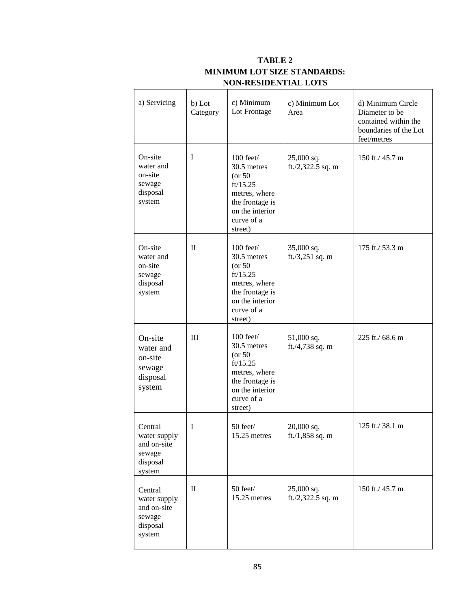| a) Servicing                                                           | b) Lot<br>Category | c) Minimum<br>Lot Frontage                                                                                                             | c) Minimum Lot<br>Area          | d) Minimum Circle<br>Diameter to be<br>contained within the<br>boundaries of the Lot<br>feet/metres |
|------------------------------------------------------------------------|--------------------|----------------------------------------------------------------------------------------------------------------------------------------|---------------------------------|-----------------------------------------------------------------------------------------------------|
| On-site<br>water and<br>on-site<br>sewage<br>disposal<br>system        | I                  | $100$ feet $/$<br>30.5 metres<br>$($ or 50<br>ft/15.25<br>metres, where<br>the frontage is<br>on the interior<br>curve of a<br>street) | 25,000 sq.<br>ft./2,322.5 sq. m | 150 ft./ 45.7 m                                                                                     |
| On-site<br>water and<br>on-site<br>sewage<br>disposal<br>system        | П                  | $100$ feet $/$<br>30.5 metres<br>$($ or 50<br>ft/15.25<br>metres, where<br>the frontage is<br>on the interior<br>curve of a<br>street) | 35,000 sq.<br>ft./3,251 sq. m   | 175 ft./ 53.3 m                                                                                     |
| On-site<br>water and<br>on-site<br>sewage<br>disposal<br>system        | III                | $100$ feet $/$<br>30.5 metres<br>$($ or 50<br>ft/15.25<br>metres, where<br>the frontage is<br>on the interior<br>curve of a<br>street) | 51,000 sq.<br>ft./4,738 sq. m   | 225 ft./ 68.6 m                                                                                     |
| Central<br>water supply<br>and on-site<br>sewage<br>disposal<br>system | 1                  | 50 feet/<br>15.25 metres                                                                                                               | $20,000$ sq.<br>ft./1,858 sq. m | 125 ft./38.1 m                                                                                      |
| Central<br>water supply<br>and on-site<br>sewage<br>disposal<br>system | $\rm II$           | 50 feet/<br>15.25 metres                                                                                                               | 25,000 sq.<br>ft./2,322.5 sq. m | 150 ft./ 45.7 m                                                                                     |

# **TABLE 2 MINIMUM LOT SIZE STANDARDS: NON-RESIDENTIAL LOTS**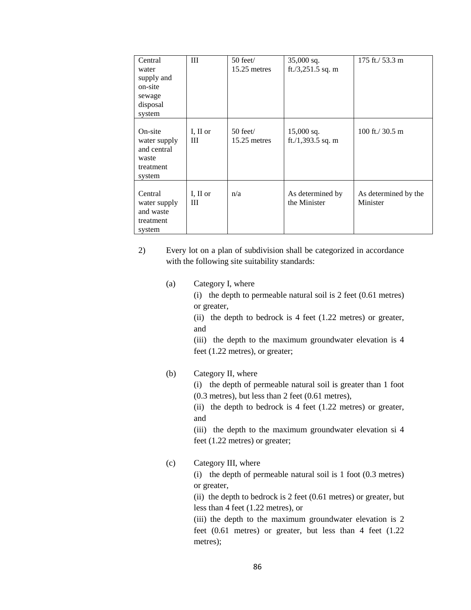| Central<br>water<br>supply and<br>on-site<br>sewage<br>disposal<br>system | III           | $50$ feet $/$<br>15.25 metres | $35,000$ sq.<br>ft./3,251.5 sq. m | 175 ft./ 53.3 m                  |
|---------------------------------------------------------------------------|---------------|-------------------------------|-----------------------------------|----------------------------------|
| On-site<br>water supply<br>and central<br>waste<br>treatment<br>system    | I, II or<br>Ш | $50$ feet $/$<br>15.25 metres | $15,000$ sq.<br>ft./1,393.5 sq. m | 100 ft./ $30.5 \text{ m}$        |
| Central<br>water supply<br>and waste<br>treatment<br>system               | I, II or<br>Ш | n/a                           | As determined by<br>the Minister  | As determined by the<br>Minister |

2) Every lot on a plan of subdivision shall be categorized in accordance with the following site suitability standards:

(a) Category I, where

(i) the depth to permeable natural soil is 2 feet (0.61 metres) or greater,

(ii) the depth to bedrock is 4 feet (1.22 metres) or greater, and

(iii) the depth to the maximum groundwater elevation is 4 feet (1.22 metres), or greater;

### (b) Category II, where

(i) the depth of permeable natural soil is greater than 1 foot (0.3 metres), but less than 2 feet (0.61 metres),

(ii) the depth to bedrock is 4 feet (1.22 metres) or greater, and

(iii) the depth to the maximum groundwater elevation si 4 feet (1.22 metres) or greater;

## (c) Category III, where

(i) the depth of permeable natural soil is 1 foot (0.3 metres) or greater,

(ii) the depth to bedrock is 2 feet (0.61 metres) or greater, but less than 4 feet (1.22 metres), or

(iii) the depth to the maximum groundwater elevation is 2 feet (0.61 metres) or greater, but less than 4 feet (1.22 metres);